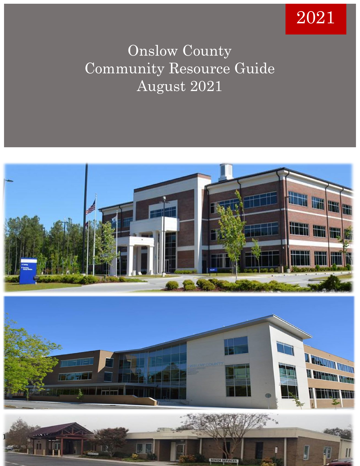# 2021

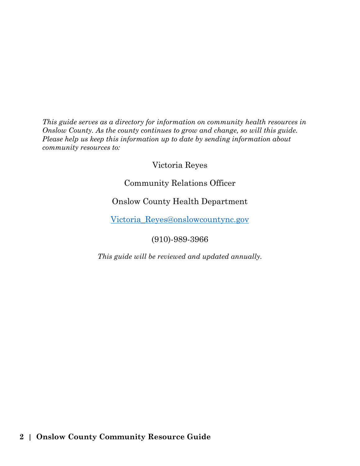*This guide serves as a directory for information on community health resources in Onslow County. As the county continues to grow and change, so will this guide. Please help us keep this information up to date by sending information about community resources to:*

Victoria Reyes

Community Relations Officer

Onslow County Health Department

[Victoria\\_Reyes@onslowcountync.gov](mailto:Victoria_Reyes@onslowcountync.gov)

(910)-989-3966

*This guide will be reviewed and updated annually.*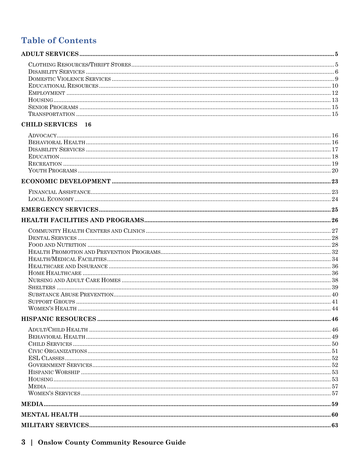## **Table of Contents**

#### **CHILD SERVICES** 16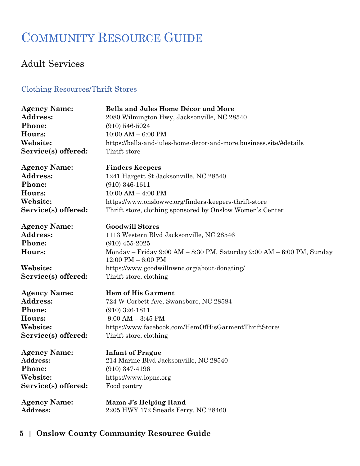# COMMUNITY RESOURCE GUIDE

## <span id="page-4-0"></span>Adult Services

#### <span id="page-4-1"></span>Clothing Resources/Thrift Stores

| <b>Agency Name:</b><br>Address:<br>Phone:<br>Hours:<br>Website:<br>Service(s) offered: | Bella and Jules Home Décor and More<br>2080 Wilmington Hwy, Jacksonville, NC 28540<br>$(910) 546 - 5024$<br>$10:00$ AM $- 6:00$ PM<br>https://bella-and-jules-home-decor-and-more.business.site/#details<br>Thrift store |
|----------------------------------------------------------------------------------------|--------------------------------------------------------------------------------------------------------------------------------------------------------------------------------------------------------------------------|
| <b>Agency Name:</b>                                                                    | <b>Finders Keepers</b>                                                                                                                                                                                                   |
| Address:                                                                               | 1241 Hargett St Jacksonville, NC 28540                                                                                                                                                                                   |
| Phone:                                                                                 | $(910)$ 346-1611                                                                                                                                                                                                         |
| Hours:                                                                                 | $10:00$ AM $-$ 4:00 PM                                                                                                                                                                                                   |
| Website:                                                                               | https://www.onslowwc.org/finders-keepers-thrift-store                                                                                                                                                                    |
| Service(s) offered:                                                                    | Thrift store, clothing sponsored by Onslow Women's Center                                                                                                                                                                |
| <b>Agency Name:</b>                                                                    | <b>Goodwill Stores</b>                                                                                                                                                                                                   |
| Address:                                                                               | 1113 Western Blvd Jacksonville, NC 28546                                                                                                                                                                                 |
| Phone:                                                                                 | $(910)$ 455-2025                                                                                                                                                                                                         |
| Hours:                                                                                 | Monday – Friday $9:00 AM - 8:30 PM$ , Saturday $9:00 AM - 6:00 PM$ , Sunday<br>$12:00 \text{ PM} - 6:00 \text{ PM}$                                                                                                      |
| Website:                                                                               | https://www.goodwillnwnc.org/about-donating/                                                                                                                                                                             |
| Service(s) offered:                                                                    | Thrift store, clothing                                                                                                                                                                                                   |
| <b>Agency Name:</b>                                                                    | <b>Hem of His Garment</b>                                                                                                                                                                                                |
| <b>Address:</b>                                                                        | 724 W Corbett Ave, Swansboro, NC 28584                                                                                                                                                                                   |
| Phone:                                                                                 | $(910)$ 326-1811                                                                                                                                                                                                         |
| Hours:                                                                                 | $9:00 AM - 3:45 PM$                                                                                                                                                                                                      |
| Website:                                                                               | https://www.facebook.com/HemOfHisGarmentThriftStore/                                                                                                                                                                     |
| Service(s) offered:                                                                    | Thrift store, clothing                                                                                                                                                                                                   |
| <b>Agency Name:</b>                                                                    | <b>Infant of Prague</b>                                                                                                                                                                                                  |
| Address:                                                                               | 214 Marine Blvd Jacksonville, NC 28540                                                                                                                                                                                   |
| Phone:                                                                                 | $(910)$ 347-4196                                                                                                                                                                                                         |
| Website:                                                                               | https://www.iopnc.org                                                                                                                                                                                                    |
| Service(s) offered:                                                                    | Food pantry                                                                                                                                                                                                              |
| <b>Agency Name:</b><br>Address:                                                        | Mama J's Helping Hand<br>2205 HWY 172 Sneads Ferry, NC 28460                                                                                                                                                             |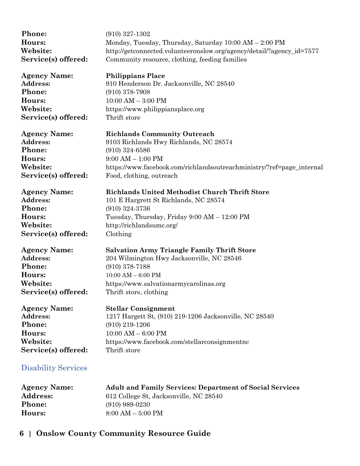| Phone:                     | $(910)$ 327-1302                                                      |
|----------------------------|-----------------------------------------------------------------------|
| Hours:                     | Monday, Tuesday, Thursday, Saturday 10:00 AM - 2:00 PM                |
| Website:                   | http://getconnected.volunteeronslow.org/agency/detail/?agency_id=7577 |
| Service(s) offered:        | Community resource, clothing, feeding families                        |
| <b>Agency Name:</b>        | <b>Philippians Place</b>                                              |
| Address:                   | 910 Henderson Dr. Jacksonville, NC 28540                              |
| Phone:                     | $(910)$ 378-7908                                                      |
| Hours:                     | $10:00$ AM $-3:00$ PM                                                 |
| Website:                   | https://www.philippiansplace.org                                      |
| Service(s) offered:        | Thrift store                                                          |
| <b>Agency Name:</b>        | <b>Richlands Community Outreach</b>                                   |
| Address:                   | 9103 Richlands Hwy Richlands, NC 28574                                |
| Phone:                     | $(910)$ 324-6586                                                      |
| Hours:                     | $9:00$ AM $- 1:00$ PM                                                 |
| Website:                   | https://www.facebook.com/richlandsoutreachministry/?ref=page_internal |
| Service(s) offered:        | Food, clothing, outreach                                              |
| <b>Agency Name:</b>        | <b>Richlands United Methodist Church Thrift Store</b>                 |
| Address:                   | 101 E Hargrett St Richlands, NC 28574                                 |
| Phone:                     | $(910)$ 324-3736                                                      |
| Hours:                     | Tuesday, Thursday, Friday 9:00 AM - 12:00 PM                          |
| Website:                   | http://richlandsumc.org/                                              |
| Service(s) offered:        | Clothing                                                              |
| <b>Agency Name:</b>        | <b>Salvation Army Triangle Family Thrift Store</b>                    |
| Address:                   | 204 Wilmington Hwy Jacksonville, NC 28546                             |
| Phone:                     | $(910)$ 378-7188                                                      |
| Hours:                     | $10:00$ AM $-$ 6:00 PM                                                |
| Website:                   | https://www.salvationarmycarolinas.org                                |
| Service(s) offered:        | Thrift store, clothing                                                |
| <b>Agency Name:</b>        | <b>Stellar Consignment</b>                                            |
| Address:                   | 1217 Hargett St, (910) 219-1206 Jacksonville, NC 28540                |
| Phone:                     | $(910)$ 219-1206                                                      |
| Hours:                     | $10:00$ AM $-6:00$ PM                                                 |
| Website:                   | https://www.facebook.com/stellarconsignmentnc                         |
| Service(s) offered:        | Thrift store                                                          |
| <b>Disability Services</b> |                                                                       |
|                            |                                                                       |

<span id="page-5-0"></span>

| <b>Agency Name:</b> | <b>Adult and Family Services: Department of Social Services</b> |
|---------------------|-----------------------------------------------------------------|
| <b>Address:</b>     | 612 College St. Jacksonville, NC 28540                          |
| <b>Phone:</b>       | $(910)$ 989-0230                                                |
| Hours:              | $8:00 AM - 5:00 PM$                                             |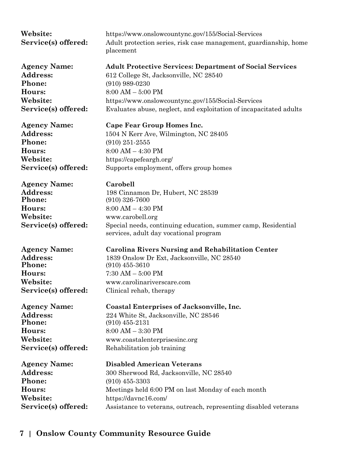| Website:<br>Service(s) offered:                                                        | https://www.onslowcountync.gov/155/Social-Services<br>Adult protection series, risk case management, guardianship, home<br>placement                                                                                    |
|----------------------------------------------------------------------------------------|-------------------------------------------------------------------------------------------------------------------------------------------------------------------------------------------------------------------------|
| <b>Agency Name:</b>                                                                    | <b>Adult Protective Services: Department of Social Services</b>                                                                                                                                                         |
| Address:                                                                               | 612 College St, Jacksonville, NC 28540                                                                                                                                                                                  |
| Phone:                                                                                 | $(910)$ 989-0230                                                                                                                                                                                                        |
| Hours:                                                                                 | $8:00$ AM $-$ 5:00 PM                                                                                                                                                                                                   |
| Website:                                                                               | https://www.onslowcountync.gov/155/Social-Services                                                                                                                                                                      |
| Service(s) offered:                                                                    | Evaluates abuse, neglect, and exploitation of incapacitated adults                                                                                                                                                      |
| <b>Agency Name:</b>                                                                    | Cape Fear Group Homes Inc.                                                                                                                                                                                              |
| Address:                                                                               | 1504 N Kerr Ave, Wilmington, NC 28405                                                                                                                                                                                   |
| Phone:                                                                                 | $(910)$ 251-2555                                                                                                                                                                                                        |
| Hours:                                                                                 | $8:00 AM - 4:30 PM$                                                                                                                                                                                                     |
| Website:                                                                               | https://capefeargh.org/                                                                                                                                                                                                 |
| Service(s) offered:                                                                    | Supports employment, offers group homes                                                                                                                                                                                 |
| <b>Agency Name:</b><br>Address:<br>Phone:<br>Hours:<br>Website:<br>Service(s) offered: | Carobell<br>198 Cinnamon Dr, Hubert, NC 28539<br>$(910)$ 326-7600<br>$8:00 AM - 4:30 PM$<br>www.carobell.org<br>Special needs, continuing education, summer camp, Residential<br>services, adult day vocational program |
| <b>Agency Name:</b>                                                                    | <b>Carolina Rivers Nursing and Rehabilitation Center</b>                                                                                                                                                                |
| Address:                                                                               | 1839 Onslow Dr Ext, Jacksonville, NC 28540                                                                                                                                                                              |
| Phone:                                                                                 | $(910)$ 455-3610                                                                                                                                                                                                        |
| Hours:                                                                                 | $7:30$ AM $-5:00$ PM                                                                                                                                                                                                    |
| Website:                                                                               | www.carolinariverscare.com                                                                                                                                                                                              |
| Service(s) offered:                                                                    | Clinical rehab, therapy                                                                                                                                                                                                 |
| <b>Agency Name:</b>                                                                    | <b>Coastal Enterprises of Jacksonville, Inc.</b>                                                                                                                                                                        |
| <b>Address:</b>                                                                        | 224 White St, Jacksonville, NC 28546                                                                                                                                                                                    |
| Phone:                                                                                 | $(910)$ 455-2131                                                                                                                                                                                                        |
| Hours:                                                                                 | $8:00 AM - 3:30 PM$                                                                                                                                                                                                     |
| Website:                                                                               | www.coastalenterprisesinc.org                                                                                                                                                                                           |
| Service(s) offered:                                                                    | Rehabilitation job training                                                                                                                                                                                             |
| <b>Agency Name:</b>                                                                    | <b>Disabled American Veterans</b>                                                                                                                                                                                       |
| <b>Address:</b>                                                                        | 300 Sherwood Rd, Jacksonville, NC 28540                                                                                                                                                                                 |
| Phone:                                                                                 | $(910)$ 455-3303                                                                                                                                                                                                        |
| Hours:                                                                                 | Meetings held 6:00 PM on last Monday of each month                                                                                                                                                                      |
| Website:                                                                               | https://davnc16.com/                                                                                                                                                                                                    |
| Service(s) offered:                                                                    | Assistance to veterans, outreach, representing disabled veterans                                                                                                                                                        |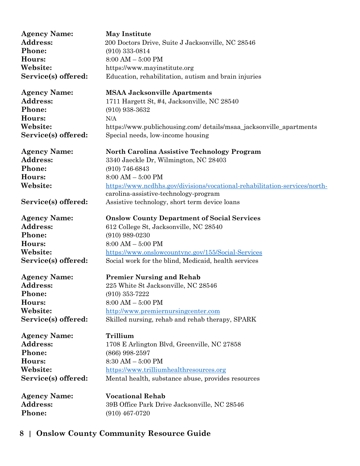| <b>Agency Name:</b> | <b>May Institute</b>                                                       |
|---------------------|----------------------------------------------------------------------------|
| Address:            | 200 Doctors Drive, Suite J Jacksonville, NC 28546                          |
| Phone:              | $(910)$ 333-0814                                                           |
| Hours:              | $8:00$ AM $-$ 5:00 PM                                                      |
| Website:            | https://www.mayinstitute.org                                               |
| Service(s) offered: | Education, rehabilitation, autism and brain injuries                       |
|                     |                                                                            |
| <b>Agency Name:</b> | <b>MSAA Jacksonville Apartments</b>                                        |
| Address:            | 1711 Hargett St, #4, Jacksonville, NC 28540                                |
| Phone:              | $(910)$ 938-3632                                                           |
| Hours:              | N/A                                                                        |
| Website:            | https://www.publichousing.com/ details/msaa_jacksonville_apartments        |
| Service(s) offered: | Special needs, low-income housing                                          |
|                     |                                                                            |
| <b>Agency Name:</b> | <b>North Carolina Assistive Technology Program</b>                         |
| Address:            | 3340 Jaeckle Dr, Wilmington, NC 28403                                      |
| Phone:              | $(910)$ 746-6843                                                           |
| Hours:              | $8:00$ AM $-5:00$ PM                                                       |
| Website:            | https://www.ncdhhs.gov/divisions/vocational-rehabilitation-services/north- |
|                     | carolina-assistive-technology-program                                      |
| Service(s) offered: | Assistive technology, short term device loans                              |
| <b>Agency Name:</b> | <b>Onslow County Department of Social Services</b>                         |
| Address:            | 612 College St, Jacksonville, NC 28540                                     |
| Phone:              | $(910)$ 989-0230                                                           |
| Hours:              | $8:00$ AM $-5:00$ PM                                                       |
| Website:            | https://www.onslowcountync.gov/155/Social-Services                         |
| Service(s) offered: | Social work for the blind, Medicaid, health services                       |
|                     |                                                                            |
| <b>Agency Name:</b> | <b>Premier Nursing and Rehab</b>                                           |
| Address:            | 225 White St Jacksonville, NC 28546                                        |
| Phone:              | $(910)$ 353-7222                                                           |
| Hours:              | $8:00 AM - 5:00 PM$                                                        |
| Website:            | http://www.premiernursingcenter.com                                        |
| Service(s) offered: | Skilled nursing, rehab and rehab therapy, SPARK                            |
| <b>Agency Name:</b> | Trillium                                                                   |
| Address:            | 1708 E Arlington Blvd, Greenville, NC 27858                                |
| Phone:              | $(866)$ 998-2597                                                           |
| Hours:              | $8:30$ AM $-5:00$ PM                                                       |
| Website:            | https://www.trilliumhealthresources.org                                    |
| Service(s) offered: | Mental health, substance abuse, provides resources                         |
|                     |                                                                            |
| <b>Agency Name:</b> | <b>Vocational Rehab</b>                                                    |
| Address:            | 39B Office Park Drive Jacksonville, NC 28546                               |
| Phone:              | $(910)$ 467-0720                                                           |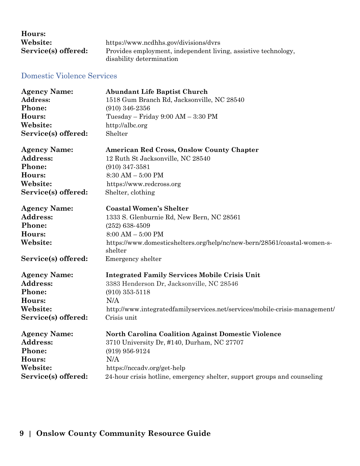| Hours:              |                                                                |
|---------------------|----------------------------------------------------------------|
| Website:            | https://www.ncdhhs.gov/divisions/dyrs                          |
| Service(s) offered: | Provides employment, independent living, assistive technology, |
|                     | disability determination                                       |

#### <span id="page-8-0"></span>Domestic Violence Services

| <b>Agency Name:</b> | <b>Abundant Life Baptist Church</b>                                                 |
|---------------------|-------------------------------------------------------------------------------------|
| Address:            | 1518 Gum Branch Rd, Jacksonville, NC 28540                                          |
| Phone:              | $(910)$ 346-2356                                                                    |
| Hours:              | Tuesday - Friday 9:00 AM - 3:30 PM                                                  |
| Website:            | http://albc.org                                                                     |
| Service(s) offered: | Shelter                                                                             |
| <b>Agency Name:</b> | American Red Cross, Onslow County Chapter                                           |
| Address:            | 12 Ruth St Jacksonville, NC 28540                                                   |
| Phone:              | $(910)$ 347-3581                                                                    |
| Hours:              | $8:30 AM - 5:00 PM$                                                                 |
| Website:            | https://www.redcross.org                                                            |
| Service(s) offered: | Shelter, clothing                                                                   |
| <b>Agency Name:</b> | <b>Coastal Women's Shelter</b>                                                      |
| Address:            | 1333 S. Glenburnie Rd, New Bern, NC 28561                                           |
| Phone:              | $(252)$ 638-4509                                                                    |
| Hours:              | $8:00 AM - 5:00 PM$                                                                 |
| Website:            | https://www.domesticshelters.org/help/nc/new-bern/28561/coastal-women-s-<br>shelter |
| Service(s) offered: | Emergency shelter                                                                   |
| <b>Agency Name:</b> | <b>Integrated Family Services Mobile Crisis Unit</b>                                |
| <b>Address:</b>     | 3383 Henderson Dr, Jacksonville, NC 28546                                           |
| Phone:              | $(910)$ 353-5118                                                                    |
| Hours:              | N/A                                                                                 |
| Website:            | http://www.integratedfamilyservices.net/services/mobile-crisis-management/          |
| Service(s) offered: | Crisis unit                                                                         |
| <b>Agency Name:</b> | <b>North Carolina Coalition Against Domestic Violence</b>                           |
| <b>Address:</b>     | 3710 University Dr, #140, Durham, NC 27707                                          |
| Phone:              | $(919)$ 956-9124                                                                    |
| Hours:              | N/A                                                                                 |
| Website:            | https://nccadv.org/get-help                                                         |
| Service(s) offered: | 24-hour crisis hotline, emergency shelter, support groups and counseling            |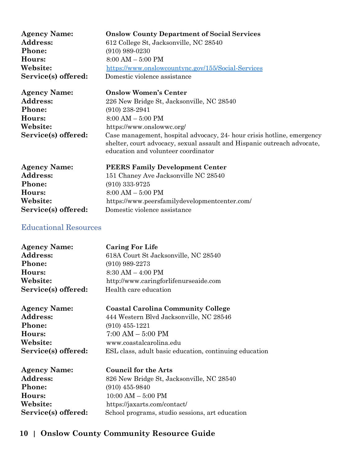| <b>Agency Name:</b> | <b>Onslow County Department of Social Services</b>                                                                                                                                       |
|---------------------|------------------------------------------------------------------------------------------------------------------------------------------------------------------------------------------|
| <b>Address:</b>     | 612 College St, Jacksonville, NC 28540                                                                                                                                                   |
| Phone:              | $(910)$ 989-0230                                                                                                                                                                         |
| Hours:              | $8:00 AM - 5:00 PM$                                                                                                                                                                      |
| Website:            | https://www.onslowcountync.gov/155/Social-Services                                                                                                                                       |
| Service(s) offered: | Domestic violence assistance                                                                                                                                                             |
| <b>Agency Name:</b> | <b>Onslow Women's Center</b>                                                                                                                                                             |
| <b>Address:</b>     | 226 New Bridge St, Jacksonville, NC 28540                                                                                                                                                |
| Phone:              | $(910)$ 238-2941                                                                                                                                                                         |
| Hours:              | $8:00 AM - 5:00 PM$                                                                                                                                                                      |
| Website:            | https://www.onslowwc.org/                                                                                                                                                                |
| Service(s) offered: | Case management, hospital advocacy, 24- hour crisis hotline, emergency<br>shelter, court advocacy, sexual assault and Hispanic outreach advocate,<br>education and volunteer coordinator |
| <b>Agency Name:</b> | <b>PEERS Family Development Center</b>                                                                                                                                                   |
| Address:            | 151 Chaney Ave Jacksonville NC 28540                                                                                                                                                     |

| 11.                 | TOT OHAILEY TWE GACKSONVINE IN 20040          |
|---------------------|-----------------------------------------------|
| Phone:              | $(910)$ 333-9725                              |
| <b>Hours:</b>       | $8:00 AM - 5:00 PM$                           |
| <b>Website:</b>     | https://www.peersfamilydevelopmentcenter.com/ |
| Service(s) offered: | Domestic violence assistance                  |

#### <span id="page-9-0"></span>Educational Resources

| <b>Agency Name:</b> | <b>Caring For Life</b>                                 |
|---------------------|--------------------------------------------------------|
| <b>Address:</b>     | 618A Court St Jacksonville, NC 28540                   |
| Phone:              | $(910)$ 989-2273                                       |
| Hours:              | $8:30$ AM $-$ 4:00 PM                                  |
| Website:            | http://www.caringforlifenurseaide.com                  |
| Service(s) offered: | Health care education                                  |
| <b>Agency Name:</b> | <b>Coastal Carolina Community College</b>              |
| Address:            | 444 Western Blvd Jacksonville, NC 28546                |
| Phone:              | $(910)$ 455-1221                                       |
| Hours:              | $7:00 AM - 5:00 PM$                                    |
| Website:            | www.coastalcarolina.edu                                |
| Service(s) offered: | ESL class, adult basic education, continuing education |
| <b>Agency Name:</b> | <b>Council for the Arts</b>                            |
| Address:            | 826 New Bridge St, Jacksonville, NC 28540              |
| Phone:              | $(910)$ 455-9840                                       |
| Hours:              | $10:00$ AM $-5:00$ PM                                  |
| Website:            | https://jaxarts.com/contact/                           |
| Service(s) offered: | School programs, studio sessions, art education        |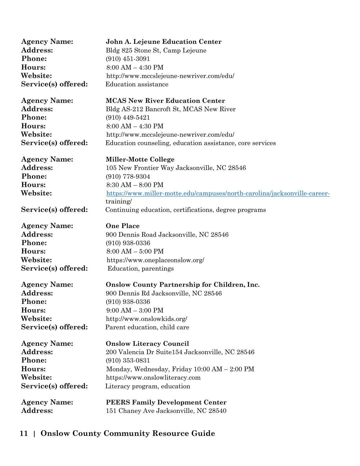| <b>Agency Name:</b> | John A. Lejeune Education Center                                          |
|---------------------|---------------------------------------------------------------------------|
| <b>Address:</b>     | Bldg 825 Stone St, Camp Lejeune                                           |
| Phone:              | $(910)$ 451-3091                                                          |
| Hours:              | $8:00$ AM $-$ 4:30 PM                                                     |
| Website:            | http://www.mccslejeune-newriver.com/edu/                                  |
| Service(s) offered: | Education assistance                                                      |
| <b>Agency Name:</b> | <b>MCAS New River Education Center</b>                                    |
| Address:            | Bldg AS-212 Bancroft St, MCAS New River                                   |
| Phone:              | $(910)$ 449-5421                                                          |
| Hours:              | $8:00 AM - 4:30 PM$                                                       |
| Website:            | http://www.mccslejeune-newriver.com/edu/                                  |
| Service(s) offered: | Education counseling, education assistance, core services                 |
| <b>Agency Name:</b> | <b>Miller-Motte College</b>                                               |
| <b>Address:</b>     | 105 New Frontier Way Jacksonville, NC 28546                               |
| Phone:              | $(910)$ 778-9304                                                          |
| Hours:              | $8:30 AM - 8:00 PM$                                                       |
| Website:            | https://www.miller-motte.edu/campuses/north-carolina/jacksonville-career- |
|                     | training/                                                                 |
| Service(s) offered: | Continuing education, certifications, degree programs                     |
| <b>Agency Name:</b> | <b>One Place</b>                                                          |
| Address:            | 900 Dennis Road Jacksonville, NC 28546                                    |
| Phone:              | $(910)$ 938-0336                                                          |
| Hours:              | $8:00 AM - 5:00 PM$                                                       |
| Website:            | https://www.oneplaceonslow.org/                                           |
| Service(s) offered: | Education, parentings                                                     |
| <b>Agency Name:</b> | <b>Onslow County Partnership for Children, Inc.</b>                       |
| Address:            | 900 Dennis Rd Jacksonville, NC 28546                                      |
| <b>Phone:</b>       | $(910)$ 938-0336                                                          |
| Hours:              | $9:00$ AM $-3:00$ PM                                                      |
| Website:            | http://www.onslowkids.org/                                                |
| Service(s) offered: | Parent education, child care                                              |
| <b>Agency Name:</b> | <b>Onslow Literacy Council</b>                                            |
| Address:            | 200 Valencia Dr Suite154 Jacksonville, NC 28546                           |
| Phone:              | $(910)$ 353-0831                                                          |
| Hours:              | Monday, Wednesday, Friday 10:00 AM - 2:00 PM                              |
| Website:            | https://www.onslowliteracy.com                                            |
| Service(s) offered: | Literacy program, education                                               |
| <b>Agency Name:</b> | <b>PEERS Family Development Center</b>                                    |
| <b>Address:</b>     | 151 Chaney Ave Jacksonville, NC 28540                                     |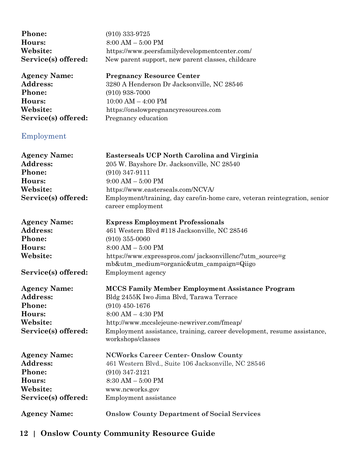<span id="page-11-0"></span>

| Phone:              | $(910)$ 333-9725                                                                               |  |
|---------------------|------------------------------------------------------------------------------------------------|--|
| Hours:              | $8:00 AM - 5:00 PM$                                                                            |  |
| Website:            | https://www.peersfamilydevelopmentcenter.com/                                                  |  |
| Service(s) offered: | New parent support, new parent classes, childcare                                              |  |
| <b>Agency Name:</b> | <b>Pregnancy Resource Center</b>                                                               |  |
| Address:            | 3280 A Henderson Dr Jacksonville, NC 28546                                                     |  |
| Phone:              | $(910)$ 938-7000                                                                               |  |
| Hours:              | $10:00$ AM $-$ 4:00 PM                                                                         |  |
| Website:            | https://onslowpregnancyresources.com                                                           |  |
| Service(s) offered: | Pregnancy education                                                                            |  |
| Employment          |                                                                                                |  |
| <b>Agency Name:</b> | Easterseals UCP North Carolina and Virginia                                                    |  |
| <b>Address:</b>     | 205 W. Bayshore Dr. Jacksonville, NC 28540                                                     |  |
| Phone:              | $(910)$ 347-9111                                                                               |  |
| Hours:              | $9:00 AM - 5:00 PM$                                                                            |  |
| Website:            | https://www.easterseals.com/NCVA/                                                              |  |
| Service(s) offered: | Employment/training, day care/in-home care, veteran reintegration, senior<br>career employment |  |
| <b>Agency Name:</b> | <b>Express Employment Professionals</b>                                                        |  |
| <b>Address:</b>     | 461 Western Blvd #118 Jacksonville, NC 28546                                                   |  |
| Phone:              | $(910)$ 355-0060                                                                               |  |
| Hours:              | $8:00 AM - 5:00 PM$                                                                            |  |
| Website:            | https://www.expresspros.com/ jacksonvillenc/?utm_source=g                                      |  |
|                     | mb&utm_medium=organic&utm_campaign=Qiigo                                                       |  |
| Service(s) offered: | Employment agency                                                                              |  |
| <b>Agency Name:</b> | <b>MCCS Family Member Employment Assistance Program</b>                                        |  |
| <b>Address:</b>     | Bldg 2455K Iwo Jima Blvd, Tarawa Terrace                                                       |  |
| Phone:              | $(910)$ 450-1676                                                                               |  |
| Hours:              | $8:00 AM - 4:30 PM$                                                                            |  |
| Website:            | http://www.mccslejeune-newriver.com/fmeap/                                                     |  |
| Service(s) offered: | Employment assistance, training, career development, resume assistance,<br>workshops/classes   |  |
| <b>Agency Name:</b> | <b>NCWorks Career Center-Onslow County</b>                                                     |  |
| <b>Address:</b>     | 461 Western Blvd., Suite 106 Jacksonville, NC 28546                                            |  |
| Phone:              | $(910)$ 347-2121                                                                               |  |
| Hours:              | $8:30$ AM $-5:00$ PM                                                                           |  |
| Website:            | www.ncworks.gov                                                                                |  |
| Service(s) offered: | Employment assistance                                                                          |  |
| <b>Agency Name:</b> | <b>Onslow County Department of Social Services</b>                                             |  |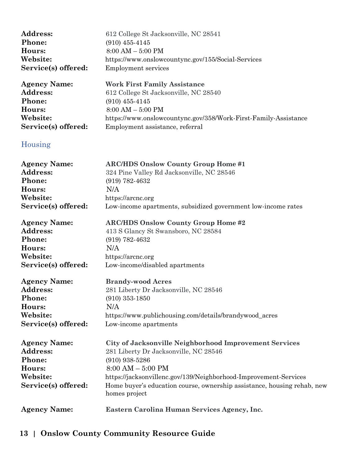<span id="page-12-0"></span>

| Address:                                                                               | 612 College St Jacksonville, NC 28541                                                                                                                                                                                                                                                                       |
|----------------------------------------------------------------------------------------|-------------------------------------------------------------------------------------------------------------------------------------------------------------------------------------------------------------------------------------------------------------------------------------------------------------|
| Phone:                                                                                 | $(910)$ 455-4145                                                                                                                                                                                                                                                                                            |
| Hours:                                                                                 | $8:00$ AM $-$ 5:00 PM                                                                                                                                                                                                                                                                                       |
| Website:                                                                               | https://www.onslowcountync.gov/155/Social-Services                                                                                                                                                                                                                                                          |
| Service(s) offered:                                                                    | <b>Employment services</b>                                                                                                                                                                                                                                                                                  |
| <b>Agency Name:</b>                                                                    | <b>Work First Family Assistance</b>                                                                                                                                                                                                                                                                         |
| Address:                                                                               | 612 College St Jacksonville, NC 28540                                                                                                                                                                                                                                                                       |
| Phone:                                                                                 | $(910)$ 455-4145                                                                                                                                                                                                                                                                                            |
| Hours:                                                                                 | $8:00 AM - 5:00 PM$                                                                                                                                                                                                                                                                                         |
| Website:                                                                               | https://www.onslowcountync.gov/358/Work-First-Family-Assistance                                                                                                                                                                                                                                             |
| Service(s) offered:                                                                    | Employment assistance, referral                                                                                                                                                                                                                                                                             |
| Housing                                                                                |                                                                                                                                                                                                                                                                                                             |
| <b>Agency Name:</b>                                                                    | <b>ARC/HDS Onslow County Group Home #1</b>                                                                                                                                                                                                                                                                  |
| Address:                                                                               | 324 Pine Valley Rd Jacksonville, NC 28546                                                                                                                                                                                                                                                                   |
| Phone:                                                                                 | $(919) 782 - 4632$                                                                                                                                                                                                                                                                                          |
| Hours:                                                                                 | N/A                                                                                                                                                                                                                                                                                                         |
| Website:                                                                               | https://arcnc.org                                                                                                                                                                                                                                                                                           |
| Service(s) offered:                                                                    | Low-income apartments, subsidized government low-income rates                                                                                                                                                                                                                                               |
| <b>Agency Name:</b>                                                                    | <b>ARC/HDS Onslow County Group Home #2</b>                                                                                                                                                                                                                                                                  |
| Address:                                                                               | 413 S Glancy St Swansboro, NC 28584                                                                                                                                                                                                                                                                         |
| Phone:                                                                                 | $(919) 782 - 4632$                                                                                                                                                                                                                                                                                          |
| Hours:                                                                                 | N/A                                                                                                                                                                                                                                                                                                         |
| Website:                                                                               | https://arcnc.org                                                                                                                                                                                                                                                                                           |
| Service(s) offered:                                                                    | Low-income/disabled apartments                                                                                                                                                                                                                                                                              |
| <b>Agency Name:</b>                                                                    | <b>Brandy-wood Acres</b>                                                                                                                                                                                                                                                                                    |
| Address:                                                                               | 281 Liberty Dr Jacksonville, NC 28546                                                                                                                                                                                                                                                                       |
| Phone:                                                                                 | $(910)$ 353-1850                                                                                                                                                                                                                                                                                            |
| Hours:                                                                                 | N/A                                                                                                                                                                                                                                                                                                         |
| Website:                                                                               | https://www.publichousing.com/details/brandywood_acres                                                                                                                                                                                                                                                      |
| Service(s) offered:                                                                    | Low-income apartments                                                                                                                                                                                                                                                                                       |
| <b>Agency Name:</b><br>Address:<br>Phone:<br>Hours:<br>Website:<br>Service(s) offered: | City of Jacksonville Neighborhood Improvement Services<br>281 Liberty Dr Jacksonville, NC 28546<br>$(910)$ 938-5286<br>$8:00$ AM $-5:00$ PM<br>https://jacksonvillenc.gov/139/Neighborhood-Improvement-Services<br>Home buyer's education course, ownership assistance, housing rehab, new<br>homes project |
| <b>Agency Name:</b>                                                                    | Eastern Carolina Human Services Agency, Inc.                                                                                                                                                                                                                                                                |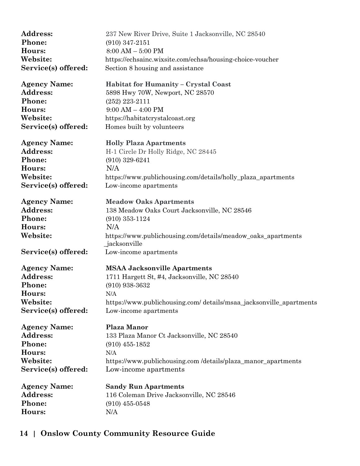| <b>Address:</b>     | 237 New River Drive, Suite 1 Jacksonville, NC 28540                           |
|---------------------|-------------------------------------------------------------------------------|
| Phone:              | $(910)$ 347-2151                                                              |
| Hours:              | $8:00 AM - 5:00 PM$                                                           |
| Website:            | https://echsainc.wixsite.com/echsa/housing-choice-voucher                     |
| Service(s) offered: | Section 8 housing and assistance                                              |
| <b>Agency Name:</b> | Habitat for Humanity - Crystal Coast                                          |
| Address:            | 5898 Hwy 70W, Newport, NC 28570                                               |
| Phone:              | $(252)$ 223-2111                                                              |
| Hours:              | $9:00 AM - 4:00 PM$                                                           |
| Website:            | https://habitaterystalcoast.org                                               |
| Service(s) offered: | Homes built by volunteers                                                     |
| <b>Agency Name:</b> | <b>Holly Plaza Apartments</b>                                                 |
| Address:            | H-1 Circle Dr Holly Ridge, NC 28445                                           |
| Phone:              | $(910)$ 329-6241                                                              |
| Hours:              | N/A                                                                           |
| Website:            | https://www.publichousing.com/details/holly_plaza_apartments                  |
| Service(s) offered: | Low-income apartments                                                         |
| <b>Agency Name:</b> | <b>Meadow Oaks Apartments</b>                                                 |
| Address:            | 138 Meadow Oaks Court Jacksonville, NC 28546                                  |
| Phone:              | $(910)$ 353-1124                                                              |
| Hours:              | N/A                                                                           |
| Website:            | https://www.publichousing.com/details/meadow_oaks_apartments<br>_jacksonville |
| Service(s) offered: | Low-income apartments                                                         |
| <b>Agency Name:</b> | <b>MSAA Jacksonville Apartments</b>                                           |
| Address:            | 1711 Hargett St, #4, Jacksonville, NC 28540                                   |
| Phone:              | $(910)$ 938-3632                                                              |
| Hours:              | N/A                                                                           |
| Website:            | https://www.publichousing.com/ details/msaa_jacksonville_apartments           |
| Service(s) offered: | Low-income apartments                                                         |
| <b>Agency Name:</b> | <b>Plaza Manor</b>                                                            |
| Address:            | 133 Plaza Manor Ct Jacksonville, NC 28540                                     |
| Phone:              | $(910)$ 455-1852                                                              |
| Hours:              | N/A                                                                           |
| Website:            | https://www.publichousing.com/details/plaza_manor_apartments                  |
| Service(s) offered: | Low-income apartments                                                         |
| <b>Agency Name:</b> | <b>Sandy Run Apartments</b>                                                   |
| Address:            | 116 Coleman Drive Jacksonville, NC 28546                                      |
| Phone:              | $(910)$ 455-0548                                                              |
| Hours:              | N/A                                                                           |
|                     |                                                                               |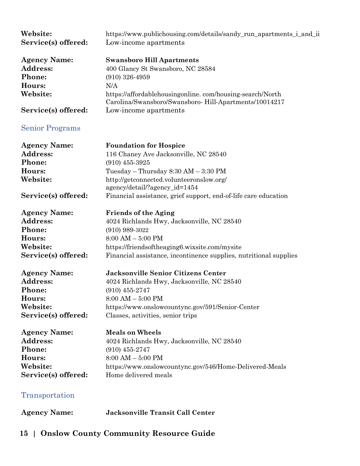<span id="page-14-1"></span><span id="page-14-0"></span>

| Website:<br>Service(s) offered: | https://www.publichousing.com/details/sandy_run_apartments_i_and_ii<br>Low-income apartments |
|---------------------------------|----------------------------------------------------------------------------------------------|
| <b>Agency Name:</b>             | <b>Swansboro Hill Apartments</b>                                                             |
| Address:                        | 400 Glancy St Swansboro, NC 28584                                                            |
| Phone:                          | $(910)$ 326-4959                                                                             |
| Hours:                          | N/A                                                                                          |
| Website:                        | https://affordablehousingonline.com/housing-search/North                                     |
|                                 | Carolina/Swansboro/Swansboro-Hill-Apartments/10014217                                        |
| Service(s) offered:             | Low-income apartments                                                                        |
| <b>Senior Programs</b>          |                                                                                              |
| <b>Agency Name:</b>             | <b>Foundation for Hospice</b>                                                                |
| Address:                        | 116 Chaney Ave Jacksonville, NC 28540                                                        |
| Phone:                          | $(910)$ 455-3925                                                                             |
| Hours:                          | Tuesday – Thursday $8:30$ AM – $3:30$ PM                                                     |
| Website:                        | http://getconnected.volunteeronslow.org/                                                     |
|                                 | agency/detail/?agency_id=1454                                                                |
| Service(s) offered:             | Financial assistance, grief support, end-of-life care education                              |
| <b>Agency Name:</b>             | <b>Friends of the Aging</b>                                                                  |
| <b>Address:</b>                 | 4024 Richlands Hwy, Jacksonville, NC 28540                                                   |
| Phone:                          | $(910)$ 989-3022                                                                             |
| Hours:                          | $8:00 AM - 5:00 PM$                                                                          |
| Website:                        | https://friendsoftheaging6.wixsite.com/mysite                                                |
| Service(s) offered:             | Financial assistance, incontinence supplies, nutritional supplies                            |
| <b>Agency Name:</b>             | <b>Jacksonville Senior Citizens Center</b>                                                   |
| Address:                        | 4024 Richlands Hwy, Jacksonville, NC 28540                                                   |
| <b>Phone:</b>                   | $(910)$ 455-2747                                                                             |
| Hours:                          | $8:00 AM - 5:00 PM$                                                                          |
| Website:                        | https://www.onslowcountync.gov/591/Senior-Center                                             |
| Service(s) offered:             | Classes, activities, senior trips                                                            |
| <b>Agency Name:</b>             | <b>Meals on Wheels</b>                                                                       |
| Address:                        | 4024 Richlands Hwy, Jacksonville, NC 28540                                                   |
| Phone:                          | $(910)$ 455-2747                                                                             |
| Hours:                          | $8:00 AM - 5:00 PM$                                                                          |
| Website:                        | https://www.onslowcountync.gov/546/Home-Delivered-Meals                                      |
| Service(s) offered:             | Home delivered meals                                                                         |
| Transportation                  |                                                                                              |
| <b>Agency Name:</b>             | <b>Jacksonville Transit Call Center</b>                                                      |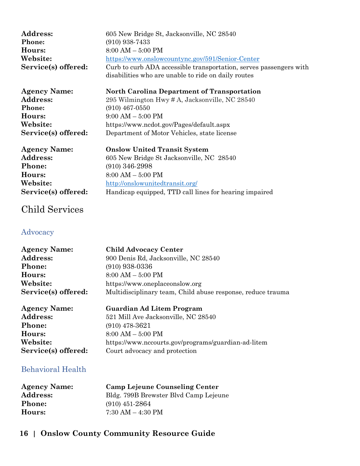| <b>Agency Name:</b> | <b>North Carolina Department of Transportation</b>                 |
|---------------------|--------------------------------------------------------------------|
|                     | disabilities who are unable to ride on daily routes                |
| Service(s) offered: | Curb to curb ADA accessible transportation, serves passengers with |
| Website:            | https://www.onslowcountync.gov/591/Senior-Center                   |
| Hours:              | $8:00 AM - 5:00 PM$                                                |
| <b>Phone:</b>       | $(910)$ 938-7433                                                   |
| <b>Address:</b>     | 605 New Bridge St, Jacksonville, NC 28540                          |

**Address:** 295 Wilmington Hwy # A, Jacksonville, NC 28540<br>Phone: (910) 467-0550 **Phone:** (910) 467-0550 **Hours:** 9:00 AM – 5:00 PM **Website:** https://www.ncdot.gov/Pages/default.aspx **Service(s) offered:** Department of Motor Vehicles, state license

| <b>Agency Name:</b> | <b>Onslow United Transit System</b>                    |
|---------------------|--------------------------------------------------------|
| <b>Address:</b>     | 605 New Bridge St Jacksonville, NC 28540               |
| Phone:              | $(910)$ 346-2998                                       |
| Hours:              | $8:00 AM - 5:00 PM$                                    |
| Website:            | http://onslowunitedtransit.org/                        |
| Service(s) offered: | Handicap equipped, TTD call lines for hearing impaired |

#### <span id="page-15-0"></span>Child Services

#### <span id="page-15-1"></span>Advocacy

| <b>Agency Name:</b> | <b>Child Advocacy Center</b>                                |
|---------------------|-------------------------------------------------------------|
| <b>Address:</b>     | 900 Denis Rd, Jacksonville, NC 28540                        |
| <b>Phone:</b>       | $(910)$ 938-0336                                            |
| Hours:              | $8:00 AM - 5:00 PM$                                         |
| Website:            | https://www.oneplaceonslow.org                              |
| Service(s) offered: | Multidisciplinary team, Child abuse response, reduce trauma |
|                     |                                                             |

| <b>Agency Name:</b> | <b>Guardian Ad Litem Program</b>                    |
|---------------------|-----------------------------------------------------|
| <b>Address:</b>     | 521 Mill Ave Jacksonville, NC 28540                 |
| <b>Phone:</b>       | $(910)$ 478-3621                                    |
| Hours:              | $8:00 AM - 5:00 PM$                                 |
| Website:            | https://www.nccourts.gov/programs/guardian-ad-litem |
| Service(s) offered: | Court advocacy and protection                       |

#### <span id="page-15-2"></span>Behavioral Health

| <b>Agency Name:</b> | <b>Camp Lejeune Counseling Center</b> |
|---------------------|---------------------------------------|
| <b>Address:</b>     | Bldg. 799B Brewster Blvd Camp Lejeune |
| <b>Phone:</b>       | $(910)$ 451-2864                      |
| Hours:              | $7:30 AM - 4:30 PM$                   |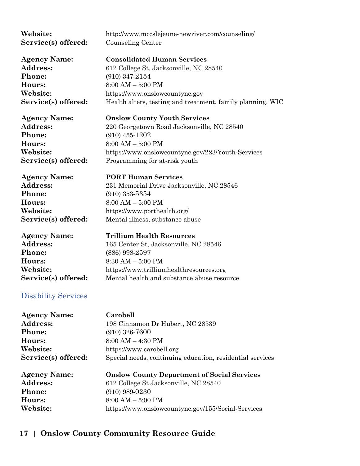<span id="page-16-0"></span>

| Website:                   | http://www.mccslejeune-newriver.com/counseling/            |
|----------------------------|------------------------------------------------------------|
| Service(s) offered:        | Counseling Center                                          |
| <b>Agency Name:</b>        | <b>Consolidated Human Services</b>                         |
| <b>Address:</b>            | 612 College St, Jacksonville, NC 28540                     |
| Phone:                     | $(910)$ 347-2154                                           |
| Hours:                     | $8:00 AM - 5:00 PM$                                        |
| Website:                   | https://www.onslowcountync.gov                             |
| Service(s) offered:        | Health alters, testing and treatment, family planning, WIC |
| <b>Agency Name:</b>        | <b>Onslow County Youth Services</b>                        |
| Address:                   | 220 Georgetown Road Jacksonville, NC 28540                 |
| Phone:                     | $(910)$ 455-1202                                           |
| Hours:                     | $8:00 AM - 5:00 PM$                                        |
| Website:                   | https://www.onslowcountync.gov/223/Youth-Services          |
| Service(s) offered:        | Programming for at-risk youth                              |
| <b>Agency Name:</b>        | <b>PORT Human Services</b>                                 |
| Address:                   | 231 Memorial Drive Jacksonville, NC 28546                  |
| Phone:                     | $(910)$ 353-5354                                           |
| Hours:                     | $8:00 AM - 5:00 PM$                                        |
| Website:                   | https://www.porthealth.org/                                |
| Service(s) offered:        | Mental illness, substance abuse                            |
| <b>Agency Name:</b>        | <b>Trillium Health Resources</b>                           |
| Address:                   | 165 Center St, Jacksonville, NC 28546                      |
| Phone:                     | $(886)$ 998-2597                                           |
| Hours:                     | $8:30$ AM $-5:00$ PM                                       |
| Website:                   | https://www.trilliumhealthresources.org                    |
| Service(s) offered:        | Mental health and substance abuse resource                 |
| <b>Disability Services</b> |                                                            |
| <b>Agency Name:</b>        | Carobell                                                   |
| Address:                   | 198 Cinnamon Dr Hubert, NC 28539                           |
| Phone:                     | $(910)$ 326-7600                                           |
| Hours:                     | $8:00 AM - 4:30 PM$                                        |
| Website:                   | https://www.carobell.org                                   |
| Service(s) offered:        | Special needs, continuing education, residential services  |
| <b>Agency Name:</b>        | <b>Onslow County Department of Social Services</b>         |
| Address:                   | 612 College St Jacksonville, NC 28540                      |
| Phone:                     | $(910)$ 989-0230                                           |
| Hours:                     | $8:00 AM - 5:00 PM$                                        |
| Website:                   | https://www.onslowcountync.gov/155/Social-Services         |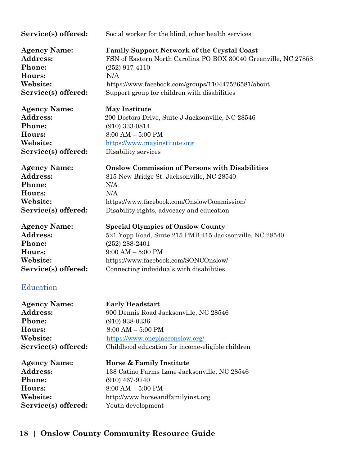<span id="page-17-0"></span>

| Service(s) offered:                                                                                        | Social worker for the blind, other health services                                                                                                                                                                                  |
|------------------------------------------------------------------------------------------------------------|-------------------------------------------------------------------------------------------------------------------------------------------------------------------------------------------------------------------------------------|
| <b>Agency Name:</b>                                                                                        | <b>Family Support Network of the Crystal Coast</b>                                                                                                                                                                                  |
| Address:                                                                                                   | FSN of Eastern North Carolina PO BOX 30040 Greenville, NC 27858                                                                                                                                                                     |
| Phone:                                                                                                     | $(252)$ 917-4110                                                                                                                                                                                                                    |
| Hours:                                                                                                     | N/A                                                                                                                                                                                                                                 |
| Website:                                                                                                   | https://www.facebook.com/groups/110447526581/about                                                                                                                                                                                  |
| Service(s) offered:                                                                                        | Support group for children with disabilities                                                                                                                                                                                        |
| <b>Agency Name:</b>                                                                                        | <b>May Institute</b>                                                                                                                                                                                                                |
| Address:                                                                                                   | 200 Doctors Drive, Suite J Jacksonville, NC 28546                                                                                                                                                                                   |
| Phone:                                                                                                     | $(910)$ 333-0814                                                                                                                                                                                                                    |
| Hours:                                                                                                     | $8:00$ AM $-5:00$ PM                                                                                                                                                                                                                |
| Website:                                                                                                   | https://www.mayinstitute.org                                                                                                                                                                                                        |
| Service(s) offered:                                                                                        | Disability services                                                                                                                                                                                                                 |
| <b>Agency Name:</b>                                                                                        | <b>Onslow Commission of Persons with Disabilities</b>                                                                                                                                                                               |
| Address:                                                                                                   | 815 New Bridge St. Jacksonville, NC 28540                                                                                                                                                                                           |
| Phone:                                                                                                     | N/A                                                                                                                                                                                                                                 |
| Hours:                                                                                                     | N/A                                                                                                                                                                                                                                 |
| Website:                                                                                                   | https://www.facebook.com/OnslowCommission/                                                                                                                                                                                          |
| Service(s) offered:                                                                                        | Disability rights, advocacy and education                                                                                                                                                                                           |
| <b>Agency Name:</b><br>Address:<br>Phone:<br>Hours:<br>Website:<br>Service(s) offered:<br><b>Education</b> | <b>Special Olympics of Onslow County</b><br>521 Yopp Road, Suite 215 PMB 415 Jacksonville, NC 28540<br>$(252)$ 288-2401<br>$9:00$ AM $-5:00$ PM<br>https://www.facebook.com/SONCOnslow/<br>Connecting individuals with disabilities |
| <b>Agency Name:</b>                                                                                        | <b>Early Headstart</b>                                                                                                                                                                                                              |
| Address:                                                                                                   | 900 Dennis Road Jacksonville, NC 28546                                                                                                                                                                                              |
| Phone:                                                                                                     | $(910)$ 938-0336                                                                                                                                                                                                                    |
| Hours:                                                                                                     | $8:00 AM - 5:00 PM$                                                                                                                                                                                                                 |
| Website:                                                                                                   | https://www.oneplaceonslow.org/                                                                                                                                                                                                     |
| Service(s) offered:                                                                                        | Childhood education for income-eligible children                                                                                                                                                                                    |
| <b>Agency Name:</b>                                                                                        | Horse & Family Institute                                                                                                                                                                                                            |
| <b>Address:</b>                                                                                            | 138 Catino Farms Lane Jacksonville, NC 28546                                                                                                                                                                                        |
| Phone:                                                                                                     | $(910)$ 467-9740                                                                                                                                                                                                                    |
| Hours:                                                                                                     | $8:00 AM - 5:00 PM$                                                                                                                                                                                                                 |
| Website:                                                                                                   | http://www.horseandfamilyinst.org                                                                                                                                                                                                   |
| Service(s) offered:                                                                                        | Youth development                                                                                                                                                                                                                   |
|                                                                                                            |                                                                                                                                                                                                                                     |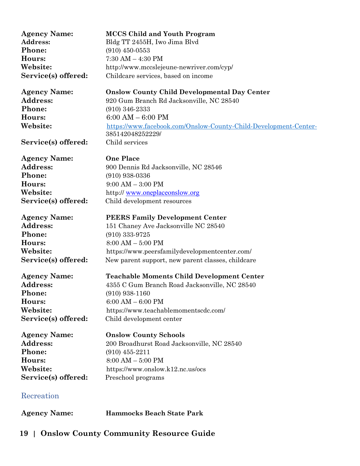<span id="page-18-0"></span>

| <b>Agency Name:</b><br>Address:<br>Phone: | <b>MCCS Child and Youth Program</b><br>Bldg TT 2455H, Iwo Jima Blvd<br>$(910)$ 450-0553 |
|-------------------------------------------|-----------------------------------------------------------------------------------------|
| Hours:                                    | $7:30$ AM $-$ 4:30 PM                                                                   |
| Website:                                  | http://www.mccslejeune-newriver.com/cyp/                                                |
| Service(s) offered:                       | Childcare services, based on income                                                     |
|                                           |                                                                                         |
| <b>Agency Name:</b>                       | <b>Onslow County Child Developmental Day Center</b>                                     |
| Address:                                  | 920 Gum Branch Rd Jacksonville, NC 28540                                                |
| Phone:                                    | $(910)$ 346-2333                                                                        |
| Hours:                                    | $6:00 AM - 6:00 PM$                                                                     |
| Website:                                  | https://www.facebook.com/Onslow-County-Child-Development-Center-                        |
|                                           | 385142048252229/                                                                        |
| Service(s) offered:                       | Child services                                                                          |
| <b>Agency Name:</b>                       | <b>One Place</b>                                                                        |
| Address:                                  | 900 Dennis Rd Jacksonville, NC 28546                                                    |
| Phone:                                    | $(910)$ 938-0336                                                                        |
| Hours:                                    | $9:00 AM - 3:00 PM$                                                                     |
| Website:                                  | http://www.oneplaceonslow.org                                                           |
| Service(s) offered:                       | Child development resources                                                             |
|                                           |                                                                                         |
| <b>Agency Name:</b>                       | <b>PEERS Family Development Center</b>                                                  |
| <b>Address:</b>                           | 151 Chaney Ave Jacksonville NC 28540                                                    |
| Phone:                                    | $(910)$ 333-9725                                                                        |
| Hours:                                    | $8:00 AM - 5:00 PM$                                                                     |
| Website:                                  | https://www.peersfamilydevelopmentcenter.com/                                           |
| Service(s) offered:                       | New parent support, new parent classes, childcare                                       |
|                                           |                                                                                         |
| <b>Agency Name:</b>                       | <b>Teachable Moments Child Development Center</b>                                       |
| <b>Address:</b>                           | 4355 C Gum Branch Road Jacksonville, NC 28540                                           |
| Phone:                                    | $(910)$ 938-1160                                                                        |
| Hours:                                    | $6:00 AM - 6:00 PM$                                                                     |
| Website:                                  | https://www.teachablemomentscdc.com/                                                    |
| Service(s) offered:                       | Child development center                                                                |
| <b>Agency Name:</b>                       | <b>Onslow County Schools</b>                                                            |
| Address:                                  | 200 Broadhurst Road Jacksonville, NC 28540                                              |
| Phone:                                    | $(910)$ 455-2211                                                                        |
| Hours:                                    | $8:00 AM - 5:00 PM$                                                                     |
| Website:                                  | https://www.onslow.k12.nc.us/ocs                                                        |
| Service(s) offered:                       | Preschool programs                                                                      |
|                                           |                                                                                         |
| Recreation                                |                                                                                         |
| <b>Agency Name:</b>                       | <b>Hammocks Beach State Park</b>                                                        |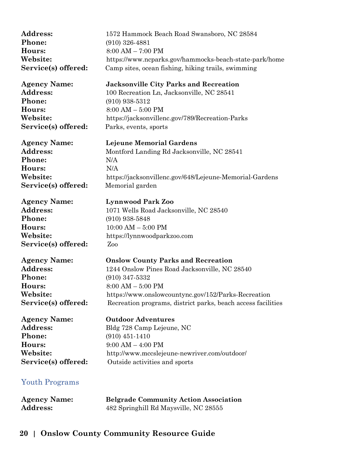| Address:              | 1572 Hammock Beach Road Swansboro, NC 28584                  |
|-----------------------|--------------------------------------------------------------|
| Phone:                | $(910)$ 326-4881                                             |
| Hours:                | $8:00 AM - 7:00 PM$                                          |
| Website:              | https://www.ncparks.gov/hammocks-beach-state-park/home       |
| Service(s) offered:   | Camp sites, ocean fishing, hiking trails, swimming           |
| <b>Agency Name:</b>   | <b>Jacksonville City Parks and Recreation</b>                |
| Address:              | 100 Recreation Ln, Jacksonville, NC 28541                    |
| Phone:                | $(910)$ 938-5312                                             |
| Hours:                | $8:00 AM - 5:00 PM$                                          |
| Website:              | https://jacksonvillenc.gov/789/Recreation-Parks              |
| Service(s) offered:   | Parks, events, sports                                        |
| <b>Agency Name:</b>   | Lejeune Memorial Gardens                                     |
| <b>Address:</b>       | Montford Landing Rd Jacksonville, NC 28541                   |
| Phone:                | N/A                                                          |
| Hours:                | N/A                                                          |
| Website:              | https://jacksonvillenc.gov/648/Lejeune-Memorial-Gardens      |
| Service(s) offered:   | Memorial garden                                              |
| <b>Agency Name:</b>   | <b>Lynnwood Park Zoo</b>                                     |
| <b>Address:</b>       | 1071 Wells Road Jacksonville, NC 28540                       |
| Phone:                | $(910)$ 938-5848                                             |
| Hours:                | $10:00$ AM $-5:00$ PM                                        |
| Website:              | https://lynnwoodparkzoo.com                                  |
| Service(s) offered:   | Zoo                                                          |
| <b>Agency Name:</b>   | <b>Onslow County Parks and Recreation</b>                    |
| Address:              | 1244 Onslow Pines Road Jacksonville, NC 28540                |
| Phone:                | $(910)$ 347-5332                                             |
| Hours:                | $8:00 AM - 5:00 PM$                                          |
| Website:              | https://www.onslowcountync.gov/152/Parks-Recreation          |
| Service(s) offered:   | Recreation programs, district parks, beach access facilities |
| <b>Agency Name:</b>   | <b>Outdoor Adventures</b>                                    |
| <b>Address:</b>       | Bldg 728 Camp Lejeune, NC                                    |
| Phone:                | $(910)$ 451-1410                                             |
| Hours:                | $9:00$ AM $-$ 4:00 PM                                        |
| Website:              | http://www.mccslejeune-newriver.com/outdoor/                 |
| Service(s) offered:   | Outside activities and sports                                |
| <b>Youth Programs</b> |                                                              |

<span id="page-19-0"></span>

| <b>Agency Name:</b> | <b>Belgrade Community Action Association</b> |
|---------------------|----------------------------------------------|
| <b>Address:</b>     | 482 Springhill Rd Maysville, NC 28555        |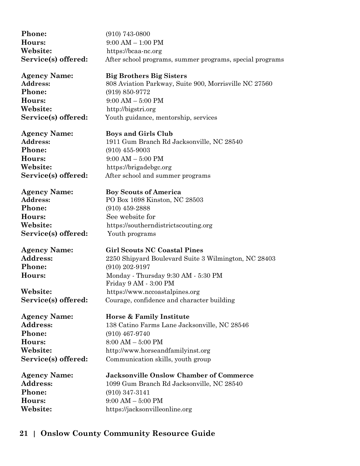| Phone:              | $(910)$ 743-0800                                             |
|---------------------|--------------------------------------------------------------|
| Hours:              | $9:00 AM - 1:00 PM$                                          |
| Website:            | https://bcaa-nc.org                                          |
| Service(s) offered: | After school programs, summer programs, special programs     |
| <b>Agency Name:</b> | <b>Big Brothers Big Sisters</b>                              |
| Address:            | 808 Aviation Parkway, Suite 900, Morrisville NC 27560        |
| Phone:              | $(919) 850 - 9772$                                           |
| Hours:              | $9:00 AM - 5:00 PM$                                          |
| Website:            | http://bigstri.org                                           |
| Service(s) offered: | Youth guidance, mentorship, services                         |
| <b>Agency Name:</b> | <b>Boys and Girls Club</b>                                   |
| <b>Address:</b>     | 1911 Gum Branch Rd Jacksonville, NC 28540                    |
| Phone:              | $(910)$ 455-9003                                             |
| Hours:              | $9:00 AM - 5:00 PM$                                          |
| Website:            | https://brigadebgc.org                                       |
| Service(s) offered: | After school and summer programs                             |
| <b>Agency Name:</b> | <b>Boy Scouts of America</b>                                 |
| Address:            | PO Box 1698 Kinston, NC 28503                                |
| Phone:              | $(910)$ 459-2888                                             |
| Hours:              | See website for                                              |
| Website:            | https://southerndistrictscouting.org                         |
| Service(s) offered: | Youth programs                                               |
| <b>Agency Name:</b> | <b>Girl Scouts NC Coastal Pines</b>                          |
| Address:            | 2250 Shipyard Boulevard Suite 3 Wilmington, NC 28403         |
| Phone:              | $(910)$ 202-9197                                             |
| Hours:              | Monday - Thursday 9:30 AM - 5:30 PM<br>Friday 9 AM - 3:00 PM |
| Website:            | https://www.nccoastalpines.org                               |
| Service(s) offered: | Courage, confidence and character building                   |
| <b>Agency Name:</b> | Horse & Family Institute                                     |
| <b>Address:</b>     | 138 Catino Farms Lane Jacksonville, NC 28546                 |
| Phone:              | $(910)$ 467-9740                                             |
| Hours:              | $8:00 AM - 5:00 PM$                                          |
| Website:            | http://www.horseandfamilyinst.org                            |
| Service(s) offered: | Communication skills, youth group                            |
| <b>Agency Name:</b> | <b>Jacksonville Onslow Chamber of Commerce</b>               |
| Address:            | 1099 Gum Branch Rd Jacksonville, NC 28540                    |
| Phone:              | $(910)$ 347-3141                                             |
| Hours:              | $9:00 AM - 5:00 PM$                                          |
| Website:            | https://jacksonvilleonline.org                               |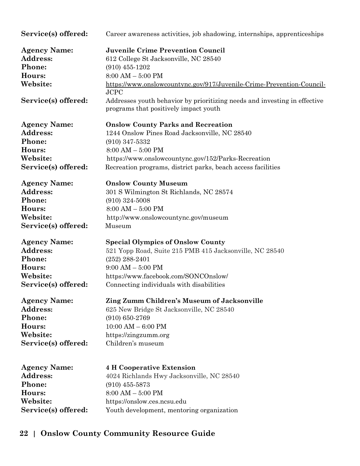| Service(s) offered:                       | Career awareness activities, job shadowing, internships, apprenticeships                                           |
|-------------------------------------------|--------------------------------------------------------------------------------------------------------------------|
| <b>Agency Name:</b>                       | <b>Juvenile Crime Prevention Council</b>                                                                           |
| Address:                                  | 612 College St Jacksonville, NC 28540                                                                              |
| Phone:                                    | $(910)$ 455-1202                                                                                                   |
| Hours:                                    | $8:00$ AM $-5:00$ PM                                                                                               |
| Website:                                  | https://www.onslowcountync.gov/917/Juvenile-Crime-Prevention-Council-<br><b>JCPC</b>                               |
| Service(s) offered:                       | Addresses youth behavior by prioritizing needs and investing in effective<br>programs that positively impact youth |
| <b>Agency Name:</b>                       | <b>Onslow County Parks and Recreation</b>                                                                          |
| Address:                                  | 1244 Onslow Pines Road Jacksonville, NC 28540                                                                      |
| Phone:                                    | $(910)$ 347-5332                                                                                                   |
| Hours:                                    | $8:00 AM - 5:00 PM$                                                                                                |
| Website:                                  | https://www.onslowcountync.gov/152/Parks-Recreation                                                                |
| Service(s) offered:                       | Recreation programs, district parks, beach access facilities                                                       |
| <b>Agency Name:</b>                       | <b>Onslow County Museum</b>                                                                                        |
| Address:                                  | 301 S Wilmington St Richlands, NC 28574                                                                            |
| Phone:                                    | $(910)$ 324-5008                                                                                                   |
| Hours:                                    | $8:00 AM - 5:00 PM$                                                                                                |
| Website:                                  | http://www.onslowcountync.gov/museum                                                                               |
| Service(s) offered:                       | Museum                                                                                                             |
| <b>Agency Name:</b>                       | <b>Special Olympics of Onslow County</b>                                                                           |
| <b>Address:</b>                           | 521 Yopp Road, Suite 215 PMB 415 Jacksonville, NC 28540                                                            |
| Phone:                                    | $(252)$ 288-2401                                                                                                   |
| Hours:                                    | $9:00$ AM $-5:00$ PM                                                                                               |
| Website:                                  | https://www.facebook.com/SONCOnslow/                                                                               |
| Service(s) offered:                       | Connecting individuals with disabilities                                                                           |
| <b>Agency Name:</b>                       | Zing Zumm Children's Museum of Jacksonville                                                                        |
| Address:                                  | 625 New Bridge St Jacksonville, NC 28540                                                                           |
| Phone:                                    | $(910) 650 - 2769$                                                                                                 |
| Hours:                                    | $10:00$ AM $-6:00$ PM                                                                                              |
| Website:                                  | https://zingzumm.org                                                                                               |
| Service(s) offered:                       | Children's museum                                                                                                  |
| <b>Agency Name:</b><br>Address:<br>Phone: | <b>4 H Cooperative Extension</b><br>4024 Richlands Hwy Jacksonville, NC 28540<br>$(910)$ 455-5873                  |
| Hours:                                    | $8:00 AM - 5:00 PM$                                                                                                |
| Website:                                  | https://onslow.ces.ncsu.edu                                                                                        |
| Service(s) offered:                       | Youth development, mentoring organization                                                                          |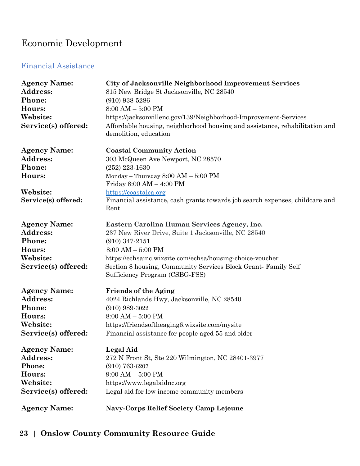# <span id="page-22-0"></span>Economic Development

#### <span id="page-22-1"></span>Financial Assistance

| <b>Agency Name:</b><br><b>Address:</b><br>Phone:<br>Hours:<br>Website:<br>Service(s) offered: | City of Jacksonville Neighborhood Improvement Services<br>815 New Bridge St Jacksonville, NC 28540<br>$(910)$ 938-5286<br>$8:00$ AM $-5:00$ PM<br>https://jacksonvillenc.gov/139/Neighborhood-Improvement-Services<br>Affordable housing, neighborhood housing and assistance, rehabilitation and<br>demolition, education |
|-----------------------------------------------------------------------------------------------|----------------------------------------------------------------------------------------------------------------------------------------------------------------------------------------------------------------------------------------------------------------------------------------------------------------------------|
| <b>Agency Name:</b>                                                                           | <b>Coastal Community Action</b>                                                                                                                                                                                                                                                                                            |
| <b>Address:</b>                                                                               | 303 McQueen Ave Newport, NC 28570                                                                                                                                                                                                                                                                                          |
| Phone:                                                                                        | $(252)$ 223-1630                                                                                                                                                                                                                                                                                                           |
| Hours:                                                                                        | Monday - Thursday 8:00 AM - 5:00 PM                                                                                                                                                                                                                                                                                        |
|                                                                                               | Friday $8:00 \text{ AM} - 4:00 \text{ PM}$                                                                                                                                                                                                                                                                                 |
| Website:                                                                                      | https://coastalca.org                                                                                                                                                                                                                                                                                                      |
| Service(s) offered:                                                                           | Financial assistance, cash grants towards job search expenses, childcare and<br>Rent                                                                                                                                                                                                                                       |
| <b>Agency Name:</b>                                                                           | Eastern Carolina Human Services Agency, Inc.                                                                                                                                                                                                                                                                               |
| Address:                                                                                      | 237 New River Drive, Suite 1 Jacksonville, NC 28540                                                                                                                                                                                                                                                                        |
| Phone:                                                                                        | $(910)$ 347-2151                                                                                                                                                                                                                                                                                                           |
| Hours:                                                                                        | $8:00$ AM $-$ 5:00 PM                                                                                                                                                                                                                                                                                                      |
| Website:                                                                                      | https://echsainc.wixsite.com/echsa/housing-choice-voucher                                                                                                                                                                                                                                                                  |
| Service(s) offered:                                                                           | Section 8 housing, Community Services Block Grant-Family Self<br>Sufficiency Program (CSBG-FSS)                                                                                                                                                                                                                            |
| <b>Agency Name:</b>                                                                           | <b>Friends of the Aging</b>                                                                                                                                                                                                                                                                                                |
| <b>Address:</b>                                                                               | 4024 Richlands Hwy, Jacksonville, NC 28540                                                                                                                                                                                                                                                                                 |
| Phone:                                                                                        | $(910)$ 989-3022                                                                                                                                                                                                                                                                                                           |
| Hours:                                                                                        | $8:00 AM - 5:00 PM$                                                                                                                                                                                                                                                                                                        |
| Website:                                                                                      | https://friendsoftheaging6.wixsite.com/mysite                                                                                                                                                                                                                                                                              |
| Service(s) offered:                                                                           | Financial assistance for people aged 55 and older                                                                                                                                                                                                                                                                          |
| <b>Agency Name:</b>                                                                           | Legal Aid                                                                                                                                                                                                                                                                                                                  |
| Address:                                                                                      | 272 N Front St, Ste 220 Wilmington, NC 28401-3977                                                                                                                                                                                                                                                                          |
| Phone:                                                                                        | $(910) 763 - 6207$                                                                                                                                                                                                                                                                                                         |
| Hours:                                                                                        | $9:00 AM - 5:00 PM$                                                                                                                                                                                                                                                                                                        |
| Website:                                                                                      | https://www.legalaidnc.org                                                                                                                                                                                                                                                                                                 |
| Service(s) offered:                                                                           | Legal aid for low income community members                                                                                                                                                                                                                                                                                 |
| <b>Agency Name:</b>                                                                           | <b>Navy-Corps Relief Society Camp Lejeune</b>                                                                                                                                                                                                                                                                              |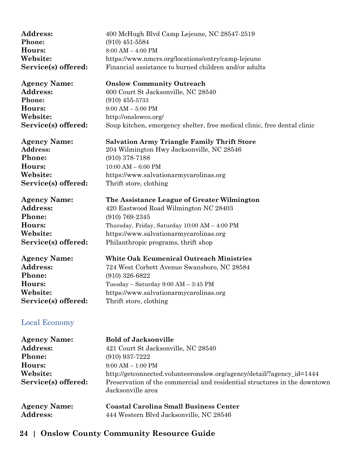| <b>Address:</b>     | 400 McHugh Blvd Camp Lejeune, NC 28547-2519           |
|---------------------|-------------------------------------------------------|
| <b>Phone:</b>       | $(910)$ 451-5584                                      |
| <b>Hours:</b>       | $8:00 AM - 4:00 PM$                                   |
| <b>Website:</b>     | https://www.nmcrs.org/locations/entry/camp-lejeune    |
| Service(s) offered: | Financial assistance to burned children and/or adults |
|                     |                                                       |

**Phone:** (910) 455-5733 **Hours:** 9:00 AM – 5:00 PM **Website:** http://onslowco.org/

**Agency Name: Onslow Community Outreach** Address: 600 Court St Jacksonville, NC 28540 **Service(s) offered:** Soup kitchen, emergency shelter, free medical clinic, free dental clinic

#### **Agency Name: Salvation Army Triangle Family Thrift Store**

**Phone:** (910) 378-7188 **Hours:** 10:00 AM – 6:00 PM **Service(s) offered:** Thrift store, clothing

**Address:** 204 Wilmington Hwy Jacksonville, NC 28546 **Website:** https://www.salvationarmycarolinas.org

**Agency Name: The Assistance League of Greater Wilmington Phone:** (910) 769-2345

Address: 420 Eastwood Road Wilmington NC 28403 **Hours:** Thursday, Friday, Saturday 10:00 AM – 4:00 PM **Website:** https://www.salvationarmycarolinas.org **Service(s) offered:** Philanthropic programs, thrift shop

| <b>White Oak Ecumenical Outreach Ministries</b> |
|-------------------------------------------------|
| 724 West Corbett Avenue Swansboro, NC 28584     |
| $(910)$ 326-6822                                |
| Tuesday – Saturday $9:00$ AM – $3:45$ PM        |
| https://www.salvationarmycarolinas.org          |
| Thrift store, clothing                          |
|                                                 |

#### <span id="page-23-0"></span>Local Economy

| <b>Agency Name:</b> | <b>Bold of Jacksonville</b>                                                                    |
|---------------------|------------------------------------------------------------------------------------------------|
| <b>Address:</b>     | 421 Court St Jacksonville, NC 28540                                                            |
| <b>Phone:</b>       | $(910)$ 937-7222                                                                               |
| Hours:              | $9:00$ AM $-1:00$ PM                                                                           |
| Website:            | http://getconnected.volunteeronslow.org/agency/detail/?agency_id=1444                          |
| Service(s) offered: | Preservation of the commercial and residential structures in the downtown<br>Jacksonville area |
| <b>Agency Name:</b> | <b>Coastal Carolina Small Business Center</b>                                                  |
| <b>Address:</b>     | 444 Western Blvd Jacksonville, NC 28546                                                        |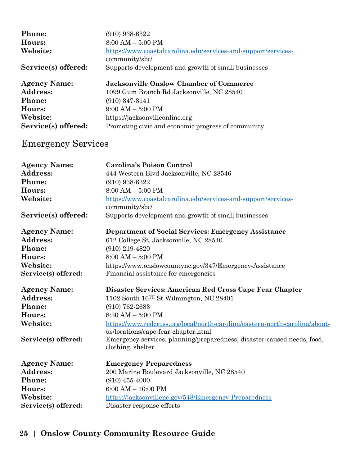| <b>Phone:</b>       | $(910)$ 938-6322                                                                 |
|---------------------|----------------------------------------------------------------------------------|
| Hours:              | $8:00 AM - 5:00 PM$                                                              |
| Website:            | https://www.coastalcarolina.edu/services-and-support/services-<br>community/sbc/ |
| Service(s) offered: | Supports development and growth of small businesses                              |
|                     |                                                                                  |
| <b>Agency Name:</b> | <b>Jacksonville Onslow Chamber of Commerce</b>                                   |
| <b>Address:</b>     | 1099 Gum Branch Rd Jacksonville, NC 28540                                        |
| <b>Phone:</b>       | $(910)$ 347-3141                                                                 |
| Hours:              | $9:00 AM - 5:00 PM$                                                              |
| Website:            | https://jacksonvilleonline.org                                                   |

# <span id="page-24-0"></span>Emergency Services

| <b>Agency Name:</b><br><b>Address:</b><br>Phone:<br>Hours:<br>Website: | <b>Carolina's Poison Control</b><br>444 Western Blvd Jacksonville, NC 28546<br>$(910)$ 938-6322<br>$8:00 AM - 5:00 PM$<br>https://www.coastalcarolina.edu/services-and-support/services-<br>community/sbc/ |
|------------------------------------------------------------------------|------------------------------------------------------------------------------------------------------------------------------------------------------------------------------------------------------------|
| Service(s) offered:                                                    | Supports development and growth of small businesses                                                                                                                                                        |
| <b>Agency Name:</b>                                                    | <b>Department of Social Services: Emergency Assistance</b>                                                                                                                                                 |
| <b>Address:</b>                                                        | 612 College St, Jacksonville, NC 28540                                                                                                                                                                     |
| Phone:                                                                 | $(910)$ 219-4820                                                                                                                                                                                           |
| Hours:                                                                 | $8:00 AM - 5:00 PM$                                                                                                                                                                                        |
| Website:                                                               | https://www.onslowcountync.gov/347/Emergency-Assistance                                                                                                                                                    |
| Service(s) offered:                                                    | Financial assistance for emergencies                                                                                                                                                                       |
| <b>Agency Name:</b>                                                    | Disaster Services: American Red Cross Cape Fear Chapter                                                                                                                                                    |
| <b>Address:</b>                                                        | 1102 South 16TH St Wilmington, NC 28401                                                                                                                                                                    |
| Phone:                                                                 | $(910) 762 - 2683$                                                                                                                                                                                         |
| Hours:                                                                 | $8:30$ AM $-5:00$ PM                                                                                                                                                                                       |
| Website:                                                               | https://www.redcross.org/local/north-carolina/eastern-north-carolina/about-<br>us/locations/cape-fear-chapter.html                                                                                         |
| Service(s) offered:                                                    | Emergency services, planning/preparedness, disaster-caused needs, food,<br>clothing, shelter                                                                                                               |
| <b>Agency Name:</b>                                                    | <b>Emergency Preparedness</b>                                                                                                                                                                              |
| <b>Address:</b>                                                        | 200 Marine Boulevard Jacksonville, NC 28540                                                                                                                                                                |
| Phone:                                                                 | $(910)$ 455-4000                                                                                                                                                                                           |
| Hours:                                                                 | $6:00 AM - 10:00 PM$                                                                                                                                                                                       |
| Website:                                                               | https://jacksonvillenc.gov/548/Emergency-Preparedness                                                                                                                                                      |
| Service(s) offered:                                                    | Disaster response efforts                                                                                                                                                                                  |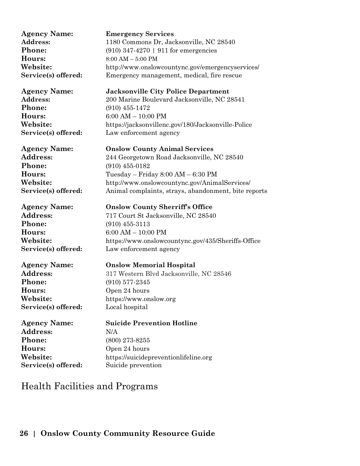**Hours:** 8:00 AM – 5:00 PM

**Phone:** (910) 455-1472 **Hours:** 6:00 AM – 10:00 PM

**Phone:** (910) 455-0182

**Phone:** (910) 455-3113

**Phone:** (910) 577-2345 **Hours:** Open 24 hours **Service(s) offered:** Local hospital

**Address:** N/A **Phone:** (800) 273-8255 **Hours:** Open 24 hours

**Agency Name: Emergency Services** Address: 1180 Commons Dr, Jacksonville, NC 28540 **Phone:** (910) 347-4270 | 911 for emergencies **Website:** http://www.onslowcountync.gov/emergencyservices/ **Service(s) offered:** Emergency management, medical, fire rescue

**Agency Name: Jacksonville City Police Department Address:** 200 Marine Boulevard Jacksonville, NC 28541 **Website:** https://jacksonvillenc.gov/180/Jacksonville-Police Service(s) offered: Law enforcement agency

**Agency Name: Onslow County Animal Services Address:** 244 Georgetown Road Jacksonville, NC 28540 **Hours:** Tuesday – Friday 8:00 AM – 6:30 PM **Website:** http://www.onslowcountync.gov/AnimalServices/ **Service(s) offered:** Animal complaints, strays, abandonment, bite reports

**Agency Name: Onslow County Sherriff's Office Address:** 717 Court St Jacksonville, NC 28540 **Hours:** 6:00 AM – 10:00 PM Website: https://www.onslowcountync.gov/435/Sheriffs-Office<br>Service(s) offered: Law enforcement agency Law enforcement agency

**Agency Name: Onslow Memorial Hospital** Address: 317 Western Blvd Jacksonville, NC 28546 **Website:** https://www.onslow.org

**Agency Name: Suicide Prevention Hotline Website:** https://suicidepreventionlifeline.org **Service(s) offered:** Suicide prevention

## <span id="page-25-0"></span>Health Facilities and Programs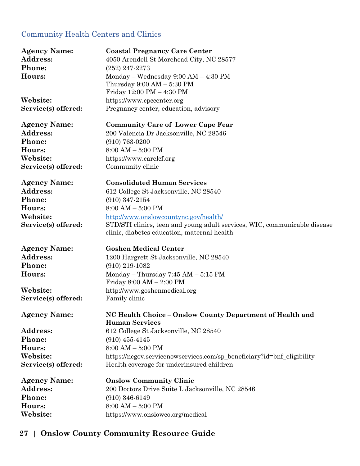#### <span id="page-26-0"></span>Community Health Centers and Clinics

| <b>Agency Name:</b> | <b>Coastal Pregnancy Care Center</b>                                                                                     |
|---------------------|--------------------------------------------------------------------------------------------------------------------------|
| Address:            | 4050 Arendell St Morehead City, NC 28577                                                                                 |
| Phone:              | $(252)$ 247-2273                                                                                                         |
| Hours:              | Monday – Wednesday $9:00 AM - 4:30 PM$                                                                                   |
|                     | Thursday $9:00 \text{ AM} - 5:30 \text{ PM}$                                                                             |
|                     | Friday 12:00 PM - 4:30 PM                                                                                                |
| Website:            | https://www.cpccenter.org                                                                                                |
| Service(s) offered: | Pregnancy center, education, advisory                                                                                    |
| <b>Agency Name:</b> | <b>Community Care of Lower Cape Fear</b>                                                                                 |
| <b>Address:</b>     | 200 Valencia Dr Jacksonville, NC 28546                                                                                   |
| Phone:              | $(910) 763 - 0200$                                                                                                       |
| Hours:              | $8:00 AM - 5:00 PM$                                                                                                      |
| Website:            | https://www.carelcf.org                                                                                                  |
| Service(s) offered: | Community clinic                                                                                                         |
| <b>Agency Name:</b> | <b>Consolidated Human Services</b>                                                                                       |
| Address:            | 612 College St Jacksonville, NC 28540                                                                                    |
| Phone:              | $(910)$ 347-2154                                                                                                         |
| Hours:              | $8:00 AM - 5:00 PM$                                                                                                      |
| Website:            | http://www.onslowcountync.gov/health/                                                                                    |
| Service(s) offered: | STD/STI clinics, teen and young adult services, WIC, communicable disease<br>clinic, diabetes education, maternal health |
| <b>Agency Name:</b> | <b>Goshen Medical Center</b>                                                                                             |
| Address:            | 1200 Hargrett St Jacksonville, NC 28540                                                                                  |
| Phone:              | $(910)$ 219-1082                                                                                                         |
| Hours:              | Monday – Thursday $7:45$ AM – $5:15$ PM                                                                                  |
|                     | Friday 8:00 AM - 2:00 PM                                                                                                 |
| Website:            | http://www.goshenmedical.org                                                                                             |
| Service(s) offered: | Family clinic                                                                                                            |
| <b>Agency Name:</b> | NC Health Choice - Onslow County Department of Health and                                                                |
|                     | <b>Human Services</b>                                                                                                    |
| Address:            | 612 College St Jacksonville, NC 28540                                                                                    |
| Phone:              | $(910)$ 455-4145                                                                                                         |
| Hours:              | $8:00$ AM $-$ 5:00 PM                                                                                                    |
| Website:            | https://ncgov.servicenowservices.com/sp_beneficiary?id=bnf_eligibility                                                   |
| Service(s) offered: | Health coverage for underinsured children                                                                                |
| <b>Agency Name:</b> | <b>Onslow Community Clinic</b>                                                                                           |
| Address:            | 200 Doctors Drive Suite L Jacksonville, NC 28546                                                                         |
| Phone:              | $(910)$ 346-6149                                                                                                         |
|                     |                                                                                                                          |
| Hours:              | $8:00 AM - 5:00 PM$                                                                                                      |
| Website:            | https://www.onslowco.org/medical                                                                                         |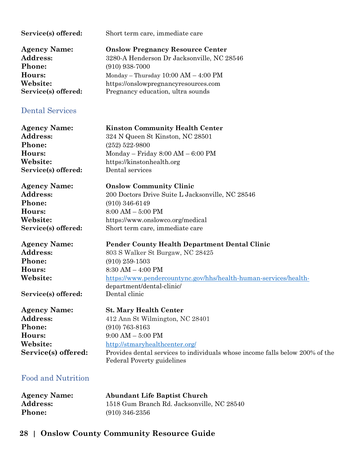<span id="page-27-0"></span>

| Service(s) offered:                                                                           | Short term care, immediate care                                                                                                                                                                                                                  |
|-----------------------------------------------------------------------------------------------|--------------------------------------------------------------------------------------------------------------------------------------------------------------------------------------------------------------------------------------------------|
| <b>Agency Name:</b>                                                                           | <b>Onslow Pregnancy Resource Center</b>                                                                                                                                                                                                          |
| <b>Address:</b>                                                                               | 3280-A Henderson Dr Jacksonville, NC 28546                                                                                                                                                                                                       |
| Phone:                                                                                        | $(910)$ 938-7000                                                                                                                                                                                                                                 |
| Hours:                                                                                        | Monday - Thursday $10:00$ AM $-$ 4:00 PM                                                                                                                                                                                                         |
| Website:                                                                                      | https://onslowpregnancyresources.com                                                                                                                                                                                                             |
| Service(s) offered:                                                                           | Pregnancy education, ultra sounds                                                                                                                                                                                                                |
| <b>Dental Services</b>                                                                        |                                                                                                                                                                                                                                                  |
| <b>Agency Name:</b>                                                                           | <b>Kinston Community Health Center</b>                                                                                                                                                                                                           |
| Address:                                                                                      | 324 N Queen St Kinston, NC 28501                                                                                                                                                                                                                 |
| Phone:                                                                                        | $(252) 522 - 9800$                                                                                                                                                                                                                               |
| Hours:                                                                                        | $Monday - Friday 8:00 AM - 6:00 PM$                                                                                                                                                                                                              |
| Website:                                                                                      | https://kinstonhealth.org                                                                                                                                                                                                                        |
| Service(s) offered:                                                                           | Dental services                                                                                                                                                                                                                                  |
| <b>Agency Name:</b>                                                                           | <b>Onslow Community Clinic</b>                                                                                                                                                                                                                   |
| Address:                                                                                      | 200 Doctors Drive Suite L Jacksonville, NC 28546                                                                                                                                                                                                 |
| Phone:                                                                                        | $(910)$ 346-6149                                                                                                                                                                                                                                 |
| Hours:                                                                                        | $8:00 AM - 5:00 PM$                                                                                                                                                                                                                              |
| Website:                                                                                      | https://www.onslowco.org/medical                                                                                                                                                                                                                 |
| Service(s) offered:                                                                           | Short term care, immediate care                                                                                                                                                                                                                  |
| <b>Agency Name:</b><br><b>Address:</b><br>Phone:<br>Hours:<br>Website:<br>Service(s) offered: | Pender County Health Department Dental Clinic<br>803 S Walker St Burgaw, NC 28425<br>$(910)$ 259-1503<br>$8:30$ AM $-$ 4:00 PM<br>https://www.pendercountync.gov/hhs/health-human-services/health-<br>department/dental-clinic/<br>Dental clinic |
| <b>Agency Name:</b>                                                                           | <b>St. Mary Health Center</b>                                                                                                                                                                                                                    |
| Address:                                                                                      | 412 Ann St Wilmington, NC 28401                                                                                                                                                                                                                  |
| Phone:                                                                                        | $(910)$ 763-8163                                                                                                                                                                                                                                 |
| Hours:                                                                                        | $9:00 AM - 5:00 PM$                                                                                                                                                                                                                              |
| Website:                                                                                      | http://stmaryhealthcenter.org/                                                                                                                                                                                                                   |
| Service(s) offered:                                                                           | Provides dental services to individuals whose income falls below 200% of the                                                                                                                                                                     |
| <b>Food and Nutrition</b>                                                                     | <b>Federal Poverty guidelines</b>                                                                                                                                                                                                                |

<span id="page-27-1"></span>

| <b>Agency Name:</b> | <b>Abundant Life Baptist Church</b>        |
|---------------------|--------------------------------------------|
| <b>Address:</b>     | 1518 Gum Branch Rd. Jacksonville, NC 28540 |
| <b>Phone:</b>       | $(910)$ 346-2356                           |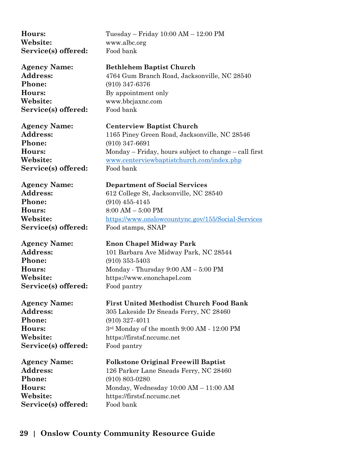**Hours:** Tuesday – Friday 10:00 AM – 12:00 PM **Website:** www.albc.org **Service(s) offered:** Food bank **Agency Name: Bethlehem Baptist Church Address:** 4764 Gum Branch Road, Jacksonville, NC 28540 **Phone:** (910) 347-6376 **Hours:** By appointment only **Website:** www.bbcjaxnc.com Service(s) offered: Food bank **Agency Name: Centerview Baptist Church Address:** 1165 Piney Green Road, Jacksonville, NC 28546 **Phone:** (910) 347-6691 **Hours:** Monday – Friday, hours subject to change – call first **Website:** [www.centerviewbaptistchurch.com/index.php](http://www.centerviewbaptistchurch.com/index.php) Service(s) offered: Food bank **Agency Name: Department of Social Services** Address: 612 College St, Jacksonville, NC 28540 **Phone:** (910) 455-4145 **Hours:** 8:00 AM – 5:00 PM **Website:** <https://www.onslowcountync.gov/155/Social-Services> **Service(s) offered:** Food stamps, SNAP **Agency Name: Enon Chapel Midway Park** Address: 101 Barbara Ave Midway Park, NC 28544 **Phone:** (910) 353-5403 **Hours:** Monday - Thursday 9:00 AM – 5:00 PM **Website:** https://www.enonchapel.com **Service(s) offered:** Food pantry **Agency Name: First United Methodist Church Food Bank** Address: 305 Lakeside Dr Sneads Ferry, NC 28460 **Phone:** (910) 327-4011 **Hours:** 3<sup>rd</sup> Monday of the month 9:00 AM - 12:00 PM **Website:** https://firstsf.nccumc.net **Service(s) offered:** Food pantry **Agency Name: Folkstone Original Freewill Baptist** Address: 126 Parker Lane Sneads Ferry, NC 28460 **Phone:** (910) 803-0280 Hours: Monday, Wednesday  $10:00$  AM –  $11:00$  AM **Website:** https://firstsf.nccumc.net Service(s) offered: Food bank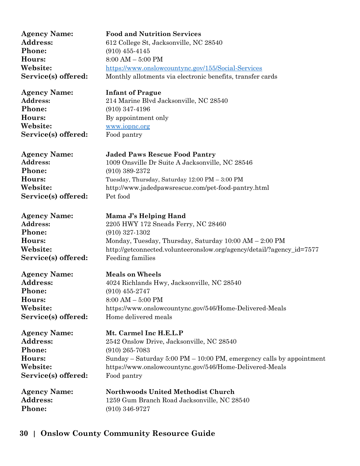| <b>Agency Name:</b> | <b>Food and Nutrition Services</b>                                                      |
|---------------------|-----------------------------------------------------------------------------------------|
| Address:            | 612 College St, Jacksonville, NC 28540                                                  |
| Phone:              | $(910)$ 455-4145                                                                        |
| Hours:              | $8:00 AM - 5:00 PM$                                                                     |
| Website:            | https://www.onslowcountync.gov/155/Social-Services                                      |
| Service(s) offered: | Monthly allotments via electronic benefits, transfer cards                              |
| <b>Agency Name:</b> | <b>Infant of Prague</b>                                                                 |
| Address:            | 214 Marine Blvd Jacksonville, NC 28540                                                  |
| Phone:              | $(910)$ 347-4196                                                                        |
| Hours:              | By appointment only                                                                     |
| Website:            | www.iopnc.org                                                                           |
| Service(s) offered: | Food pantry                                                                             |
| <b>Agency Name:</b> | <b>Jaded Paws Rescue Food Pantry</b>                                                    |
| Address:            | 1009 Onsville Dr Suite A Jacksonville, NC 28546                                         |
| Phone:              | $(910)$ 389-2372                                                                        |
| Hours:              | Tuesday, Thursday, Saturday 12:00 PM - 3:00 PM                                          |
| Website:            | http://www.jadedpawsrescue.com/pet-food-pantry.html                                     |
| Service(s) offered: | Pet food                                                                                |
| <b>Agency Name:</b> | Mama J's Helping Hand                                                                   |
| Address:            | 2205 HWY 172 Sneads Ferry, NC 28460                                                     |
| Phone:              | $(910)$ 327-1302                                                                        |
| Hours:              | Monday, Tuesday, Thursday, Saturday 10:00 AM - 2:00 PM                                  |
| Website:            | http://getconnected.volunteeronslow.org/agency/detail/?agency_id=7577                   |
| Service(s) offered: | Feeding families                                                                        |
| <b>Agency Name:</b> | <b>Meals on Wheels</b>                                                                  |
| <b>Address:</b>     | 4024 Richlands Hwy, Jacksonville, NC 28540                                              |
| <b>Phone:</b>       | $(910)$ 455-2747                                                                        |
| Hours:              | $8:00 AM - 5:00 PM$                                                                     |
| Website:            | https://www.onslowcountync.gov/546/Home-Delivered-Meals                                 |
| Service(s) offered: | Home delivered meals                                                                    |
| <b>Agency Name:</b> | Mt. Carmel Inc H.E.L.P                                                                  |
| Address:            | 2542 Onslow Drive, Jacksonville, NC 28540                                               |
| Phone:              | $(910)$ 265-7083                                                                        |
| Hours:              | Sunday – Saturday $5:00 \text{ PM} - 10:00 \text{ PM}$ , emergency calls by appointment |
| Website:            | https://www.onslowcountync.gov/546/Home-Delivered-Meals                                 |
| Service(s) offered: | Food pantry                                                                             |
| <b>Agency Name:</b> | <b>Northwoods United Methodist Church</b>                                               |
| Address:            | 1259 Gum Branch Road Jacksonville, NC 28540                                             |
| Phone:              | $(910)$ 346-9727                                                                        |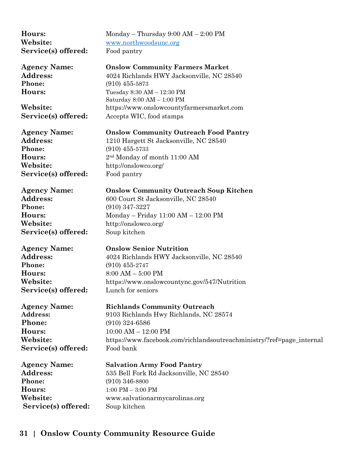| Hours:              | Monday – Thursday $9:00$ AM – $2:00$ PM                               |
|---------------------|-----------------------------------------------------------------------|
| Website:            | www.northwoodsunc.org                                                 |
| Service(s) offered: | Food pantry                                                           |
| <b>Agency Name:</b> | <b>Onslow Community Farmers Market</b>                                |
| Address:            | 4024 Richlands HWY Jacksonville, NC 28540                             |
| Phone:              | $(910)$ 455-5873                                                      |
| Hours:              | Tuesday 8:30 AM - 12:30 PM<br>Saturday 8:00 AM - 1:00 PM              |
| Website:            | https://www.onslowcountyfarmersmarket.com                             |
| Service(s) offered: | Accepts WIC, food stamps                                              |
| <b>Agency Name:</b> | <b>Onslow Community Outreach Food Pantry</b>                          |
| Address:            | 1210 Hargett St Jacksonville, NC 28540                                |
| Phone:              | $(910)$ 455-5733                                                      |
| Hours:              | 2 <sup>nd</sup> Monday of month 11:00 AM                              |
| Website:            | http://onslowco.org/                                                  |
| Service(s) offered: | Food pantry                                                           |
| <b>Agency Name:</b> | <b>Onslow Community Outreach Soup Kitchen</b>                         |
| <b>Address:</b>     | 600 Court St Jacksonville, NC 28540                                   |
| Phone:              | $(910)$ 347-3227                                                      |
| Hours:              | Monday – Friday $11:00$ AM – $12:00$ PM                               |
| Website:            | http://onslowco.org/                                                  |
| Service(s) offered: | Soup kitchen                                                          |
| <b>Agency Name:</b> | <b>Onslow Senior Nutrition</b>                                        |
| Address:            | 4024 Richlands HWY Jacksonville, NC 28540                             |
| Phone:              | $(910)$ 455-2747                                                      |
| Hours:              | $8:00 AM - 5:00 PM$                                                   |
| Website:            | https://www.onslowcountync.gov/547/Nutrition                          |
| Service(s) offered: | Lunch for seniors                                                     |
| <b>Agency Name:</b> | <b>Richlands Community Outreach</b>                                   |
| Address:            | 9103 Richlands Hwy Richlands, NC 28574                                |
| Phone:              | $(910)$ 324-6586                                                      |
| Hours:              | $10:00$ AM $- 12:00$ PM                                               |
| Website:            | https://www.facebook.com/richlandsoutreachministry/?ref=page_internal |
| Service(s) offered: | Food bank                                                             |
| <b>Agency Name:</b> | <b>Salvation Army Food Pantry</b>                                     |
| Address:            | 535 Bell Fork Rd Jacksonville, NC 28540                               |
| Phone:              | $(910)$ 346-8800                                                      |
| Hours:              | $1:00$ PM $-3:00$ PM                                                  |
| Website:            | www.salvationarmycarolinas.org                                        |
| Service(s) offered: | Soup kitchen                                                          |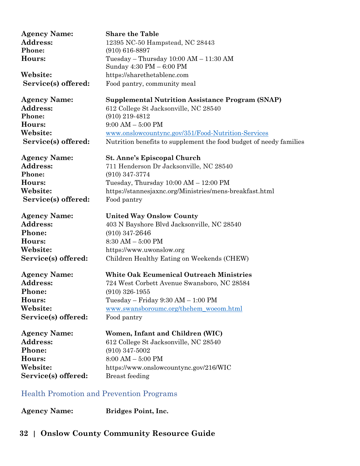| <b>Agency Name:</b> | <b>Share the Table</b>                                             |
|---------------------|--------------------------------------------------------------------|
| Address:            | 12395 NC-50 Hampstead, NC 28443                                    |
| Phone:              | $(910) 616 - 8897$                                                 |
| Hours:              | Tuesday – Thursday $10:00$ AM – $11:30$ AM                         |
|                     | Sunday 4:30 PM - 6:00 PM                                           |
| Website:            | https://sharethetablenc.com                                        |
| Service(s) offered: | Food pantry, community meal                                        |
| <b>Agency Name:</b> | <b>Supplemental Nutrition Assistance Program (SNAP)</b>            |
| Address:            | 612 College St Jacksonville, NC 28540                              |
| Phone:              | $(910)$ 219-4812                                                   |
| Hours:              | $9:00$ AM $-5:00$ PM                                               |
| Website:            | www.onslowcountync.gov/351/Food-Nutrition-Services                 |
| Service(s) offered: | Nutrition benefits to supplement the food budget of needy families |
| <b>Agency Name:</b> | <b>St. Anne's Episcopal Church</b>                                 |
| Address:            | 711 Henderson Dr Jacksonville, NC 28540                            |
| Phone:              | $(910)$ 347-3774                                                   |
| Hours:              | Tuesday, Thursday $10:00$ AM $- 12:00$ PM                          |
| Website:            | https://stannesjaxnc.org/Ministries/mens-breakfast.html            |
| Service(s) offered: | Food pantry                                                        |
| <b>Agency Name:</b> | <b>United Way Onslow County</b>                                    |
| <b>Address:</b>     | 403 N Bayshore Blvd Jacksonville, NC 28540                         |
| Phone:              | $(910)$ 347-2646                                                   |
| Hours:              | $8:30$ AM $-5:00$ PM                                               |
| Website:            | https://www.uwonslow.org                                           |
| Service(s) offered: | Children Healthy Eating on Weekends (CHEW)                         |
| <b>Agency Name:</b> | <b>White Oak Ecumenical Outreach Ministries</b>                    |
| Address:            | 724 West Corbett Avenue Swansboro, NC 28584                        |
| <b>Phone:</b>       | $(910)$ 326-1955                                                   |
| Hours:              | Tuesday – Friday $9:30$ AM – $1:00$ PM                             |
| Website:            | www.swansboroumc.org/thehem_woeom.html                             |
| Service(s) offered: | Food pantry                                                        |
| <b>Agency Name:</b> | Women, Infant and Children (WIC)                                   |
| Address:            | 612 College St Jacksonville, NC 28540                              |
| Phone:              | $(910)$ 347-5002                                                   |
| Hours:              | $8:00 AM - 5:00 PM$                                                |
| Website:            | https://www.onslowcountync.gov/216/WIC                             |
| Service(s) offered: | <b>Breast</b> feeding                                              |
|                     |                                                                    |

#### <span id="page-31-0"></span>Health Promotion and Prevention Programs

**Agency Name: Bridges Point, Inc.**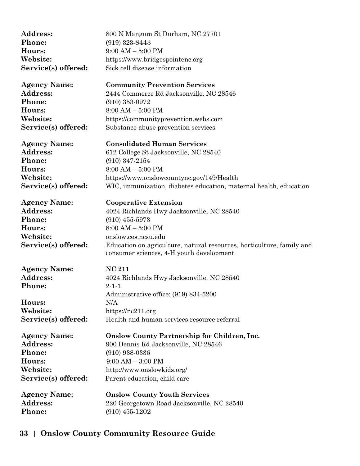| Address:<br>Phone:<br>Hours:<br>Website: | 800 N Mangum St Durham, NC 27701<br>$(919)$ 323-8443<br>$9:00$ AM $-5:00$ PM<br>https://www.bridgespointenc.org   |
|------------------------------------------|-------------------------------------------------------------------------------------------------------------------|
| Service(s) offered:                      | Sick cell disease information                                                                                     |
| <b>Agency Name:</b>                      | <b>Community Prevention Services</b>                                                                              |
| <b>Address:</b>                          | 2444 Commerce Rd Jacksonville, NC 28546                                                                           |
| Phone:                                   | $(910)$ 353-0972                                                                                                  |
| Hours:                                   | $8:00 AM - 5:00 PM$                                                                                               |
| Website:                                 | https://communityprevention.webs.com                                                                              |
| Service(s) offered:                      | Substance abuse prevention services                                                                               |
| <b>Agency Name:</b>                      | <b>Consolidated Human Services</b>                                                                                |
| Address:                                 | 612 College St Jacksonville, NC 28540                                                                             |
| Phone:                                   | $(910)$ 347-2154                                                                                                  |
| Hours:                                   | $8:00$ AM $-$ 5:00 PM                                                                                             |
| Website:                                 | https://www.onslowcountync.gov/149/Health                                                                         |
| Service(s) offered:                      | WIC, immunization, diabetes education, maternal health, education                                                 |
| <b>Agency Name:</b>                      | <b>Cooperative Extension</b>                                                                                      |
| <b>Address:</b>                          | 4024 Richlands Hwy Jacksonville, NC 28540                                                                         |
| Phone:                                   | $(910)$ 455-5973                                                                                                  |
| Hours:                                   | $8:00 AM - 5:00 PM$                                                                                               |
| Website:                                 | onslow.ces.ncsu.edu                                                                                               |
| Service(s) offered:                      | Education on agriculture, natural resources, horticulture, family and<br>consumer sciences, 4-H youth development |
| <b>Agency Name:</b>                      | <b>NC 211</b>                                                                                                     |
| Address:                                 | 4024 Richlands Hwy Jacksonville, NC 28540                                                                         |
| Phone:                                   | $2 - 1 - 1$                                                                                                       |
|                                          | Administrative office: (919) 834-5200                                                                             |
| Hours:                                   | N/A                                                                                                               |
| Website:                                 | https://nc211.org                                                                                                 |
| Service(s) offered:                      | Health and human services resource referral                                                                       |
| <b>Agency Name:</b>                      | <b>Onslow County Partnership for Children, Inc.</b>                                                               |
| <b>Address:</b>                          | 900 Dennis Rd Jacksonville, NC 28546                                                                              |
| Phone:                                   | $(910)$ 938-0336                                                                                                  |
| Hours:                                   | $9:00 AM - 3:00 PM$                                                                                               |
| Website:                                 | http://www.onslowkids.org/                                                                                        |
| Service(s) offered:                      | Parent education, child care                                                                                      |
| <b>Agency Name:</b>                      | <b>Onslow County Youth Services</b>                                                                               |
| Address:                                 | 220 Georgetown Road Jacksonville, NC 28540                                                                        |
| Phone:                                   | $(910)$ 455-1202                                                                                                  |
|                                          |                                                                                                                   |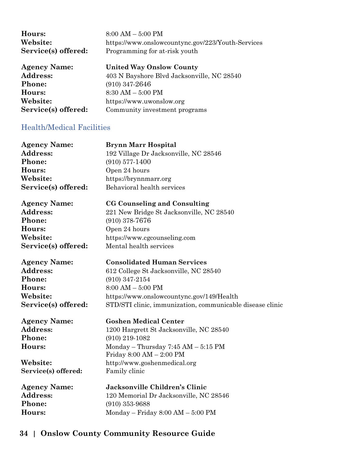| Hours:              | $8:00 AM - 5:00 PM$                               |
|---------------------|---------------------------------------------------|
| Website:            | https://www.onslowcountync.gov/223/Youth-Services |
| Service(s) offered: | Programming for at-risk youth                     |
| <b>Agency Name:</b> | <b>United Way Onslow County</b>                   |
| <b>Address:</b>     | 403 N Bayshore Blvd Jacksonville, NC 28540        |
| <b>Phone:</b>       | $(910)$ 347-2646                                  |
| Hours:              | $8:30$ AM $-5:00$ PM                              |
| Website:            | https://www.uwonslow.org                          |
| Service(s) offered: | Community investment programs                     |

#### <span id="page-33-0"></span>Health/Medical Facilities

| <b>Agency Name:</b> | <b>Brynn Marr Hospital</b>                                |
|---------------------|-----------------------------------------------------------|
| <b>Address:</b>     | 192 Village Dr Jacksonville, NC 28546                     |
| <b>Phone:</b>       | $(910)$ 577-1400                                          |
| <b>Hours:</b>       | Open 24 hours                                             |
| Website:            | https://brynnmarr.org                                     |
| Service(s) offered: | Behavioral health services                                |
| <b>Agency Name:</b> | <b>CG Counseling and Consulting</b>                       |
| <b>Address:</b>     | 221 New Bridge St Jacksonville, NC 28540                  |
| <b>Phone:</b>       | $(910)$ 378-7676                                          |
| Hours:              | Open 24 hours                                             |
| Website:            | https://www.cgcounseling.com                              |
| Service(s) offered: | Mental health services                                    |
| Agency Name:        | <b>Consolidated Human Services</b>                        |
| <b>Address:</b>     | 612 College St Jacksonville, NC 28540                     |
| <b>Phone:</b>       | $(910)$ 347-2154                                          |
| <b>Hours:</b>       | $8:00 AM - 5:00 PM$                                       |
| Website:            | https://www.onslowcountync.gov/149/Health                 |
| Service(s) offered: | STD/STI clinic, immunization, communicable disease clinic |
| Agency Name:        | <b>Goshen Medical Center</b>                              |
| <b>Address:</b>     | 1200 Hargrett St Jacksonville, NC 28540                   |
| <b>Phone:</b>       | $(910)$ 219-1082                                          |
| <b>Hours:</b>       | Monday - Thursday $7:45$ AM $-5:15$ PM                    |
|                     | Friday 8:00 AM - 2:00 PM                                  |
| Website:            | http://www.goshenmedical.org                              |
| Service(s) offered: | Family clinic                                             |
| <b>Agency Name:</b> | Jacksonville Children's Clinic                            |
| <b>Address:</b>     | 120 Memorial Dr Jacksonville, NC 28546                    |
| Phone:              | $(910)$ 353-9688                                          |
| <b>Hours:</b>       | Monday – Friday $8:00 AM - 5:00 PM$                       |
|                     |                                                           |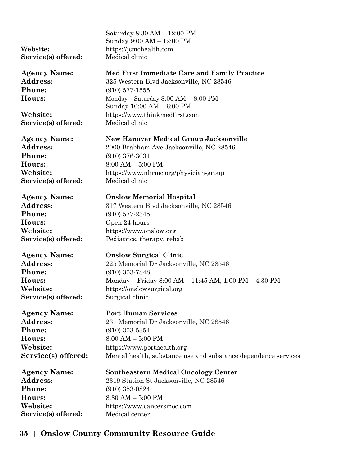Saturday 8:30 AM – 12:00 PM Sunday 9:00 AM – 12:00 PM **Website:** https://jcmchealth.com **Service(s) offered:** Medical clinic **Agency Name: Med First Immediate Care and Family Practice** Address: 325 Western Blvd Jacksonville, NC 28546 **Phone:** (910) 577-1555 **Hours:** Monday – Saturday 8:00 AM – 8:00 PM Sunday 10:00 AM – 6:00 PM **Website:** https://www.thinkmedfirst.com **Service(s) offered:** Medical clinic **Agency Name: New Hanover Medical Group Jacksonville** Address: 2000 Brabham Ave Jacksonville, NC 28546 **Phone:** (910) 376-3031 **Hours:** 8:00 AM – 5:00 PM **Website:** https://www.nhrmc.org/physician-group Service(s) offered: Medical clinic **Agency Name: Onslow Memorial Hospital** Address: 317 Western Blvd Jacksonville, NC 28546 **Phone:** (910) 577-2345 **Hours:** Open 24 hours **Website:** https://www.onslow.org **Service(s) offered:** Pediatrics, therapy, rehab **Agency Name: Onslow Surgical Clinic** Address: 225 Memorial Dr Jacksonville, NC 28546 **Phone:** (910) 353-7848 **Hours:** Monday – Friday 8:00 AM – 11:45 AM, 1:00 PM – 4:30 PM **Website:** https://onslowsurgical.org **Service(s) offered:** Surgical clinic **Agency Name: Port Human Services** Address: 231 Memorial Dr Jacksonville, NC 28546 **Phone:** (910) 353-5354 **Hours:** 8:00 AM – 5:00 PM **Website:** https://www.porthealth.org **Service(s) offered:** Mental health, substance use and substance dependence services **Agency Name: Southeastern Medical Oncology Center** Address: 2319 Station St Jacksonville, NC 28546 **Phone:** (910) 353-0824 **Hours:** 8:30 AM – 5:00 PM **Website:** https://www.cancersmoc.com **Service(s) offered:** Medical center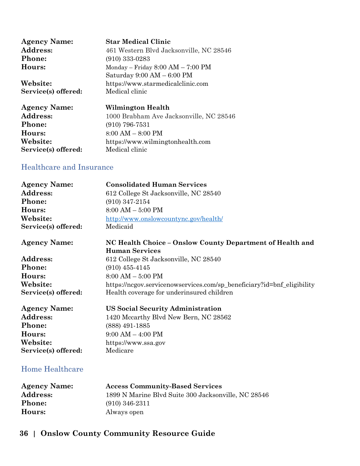| <b>Agency Name:</b> | <b>Star Medical Clinic</b>                   |
|---------------------|----------------------------------------------|
| <b>Address:</b>     | 461 Western Blvd Jacksonville, NC 28546      |
| <b>Phone:</b>       | $(910)$ 333-0283                             |
| Hours:              | Monday – Friday $8:00 AM - 7:00 PM$          |
|                     | Saturday $9:00 \text{ AM} - 6:00 \text{ PM}$ |
| Website:            | https://www.starmedicalclinic.com            |
| Service(s) offered: | Medical clinic                               |
| <b>Agency Name:</b> | Wilmington Health                            |
| Address:            | 1000 Brabham Ave Jacksonville, NC 28546      |
| <b>Phone:</b>       | $(910)$ 796-7531                             |
| Hours:              | $8:00 AM - 8:00 PM$                          |
| Website:            | https://www.wilmingtonhealth.com             |
| Service(s) offered: | Medical clinic                               |

#### <span id="page-35-0"></span>Healthcare and Insurance

| <b>Agency Name:</b>    | <b>Consolidated Human Services</b>                                                 |
|------------------------|------------------------------------------------------------------------------------|
| Address:               | 612 College St Jacksonville, NC 28540                                              |
| Phone:                 | $(910)$ 347-2154                                                                   |
| Hours:                 | $8:00 AM - 5:00 PM$                                                                |
| Website:               | http://www.onslowcountync.gov/health/                                              |
| Service(s) offered:    | Medicaid                                                                           |
| <b>Agency Name:</b>    | NC Health Choice - Onslow County Department of Health and<br><b>Human Services</b> |
| Address:               | 612 College St Jacksonville, NC 28540                                              |
| Phone:                 | $(910)$ 455-4145                                                                   |
| Hours:                 | $8:00 AM - 5:00 PM$                                                                |
| Website:               | https://ncgov.servicenowservices.com/sp_beneficiary?id=bnf_eligibility             |
| Service(s) offered:    | Health coverage for underinsured children                                          |
| <b>Agency Name:</b>    | <b>US Social Security Administration</b>                                           |
| Address:               | 1420 Mccarthy Blvd New Bern, NC 28562                                              |
| Phone:                 | (888) 491-1885                                                                     |
| Hours:                 | $9:00 AM - 4:00 PM$                                                                |
| Website:               | https://www.ssa.gov                                                                |
| Service(s) offered:    | Medicare                                                                           |
| <b>Home Healthcare</b> |                                                                                    |

<span id="page-35-1"></span>

| <b>Agency Name:</b> | <b>Access Community-Based Services</b>              |
|---------------------|-----------------------------------------------------|
| <b>Address:</b>     | 1899 N Marine Blvd Suite 300 Jacksonville, NC 28546 |
| <b>Phone:</b>       | $(910)$ 346-2311                                    |
| Hours:              | Always open                                         |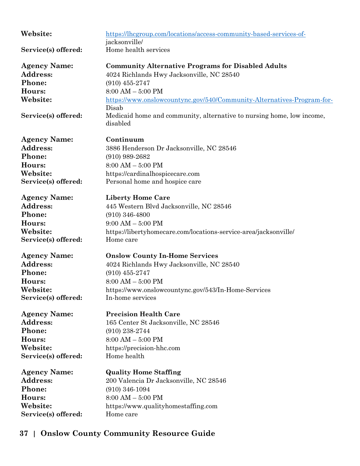| Website:            | https://lhcgroup.com/locations/access-community-based-services-of-<br>jacksonville/        |
|---------------------|--------------------------------------------------------------------------------------------|
| Service(s) offered: | Home health services                                                                       |
| <b>Agency Name:</b> | <b>Community Alternative Programs for Disabled Adults</b>                                  |
| Address:            | 4024 Richlands Hwy Jacksonville, NC 28540                                                  |
| Phone:              | $(910)$ 455-2747                                                                           |
| Hours:              | $8:00 AM - 5:00 PM$                                                                        |
| Website:            | https://www.onslowcountync.gov/540/Community-Alternatives-Program-for-                     |
| Service(s) offered: | Disab<br>Medicaid home and community, alternative to nursing home, low income,<br>disabled |
| <b>Agency Name:</b> | Continuum                                                                                  |
| <b>Address:</b>     | 3886 Henderson Dr Jacksonville, NC 28546                                                   |
| Phone:              | $(910)$ 989-2682                                                                           |
| Hours:              | $8:00 AM - 5:00 PM$                                                                        |
| Website:            | https://cardinalhospicecare.com                                                            |
| Service(s) offered: | Personal home and hospice care                                                             |
| <b>Agency Name:</b> | <b>Liberty Home Care</b>                                                                   |
| Address:            | 445 Western Blvd Jacksonville, NC 28546                                                    |
| Phone:              | $(910)$ 346-4800                                                                           |
| Hours:              | $9:00$ AM $-$ 5:00 PM                                                                      |
| Website:            | https://libertyhomecare.com/locations-service-area/jacksonville/                           |
| Service(s) offered: | Home care                                                                                  |
| <b>Agency Name:</b> | <b>Onslow County In-Home Services</b>                                                      |
| <b>Address:</b>     | 4024 Richlands Hwy Jacksonville, NC 28540                                                  |
| Phone:              | $(910)$ 455-2747                                                                           |
| Hours:              | $8:00 AM - 5:00 PM$                                                                        |
| Website:            | https://www.onslowcountync.gov/543/In-Home-Services                                        |
| Service(s) offered: | In-home services                                                                           |
| <b>Agency Name:</b> | <b>Precision Health Care</b>                                                               |
| <b>Address:</b>     | 165 Center St Jacksonville, NC 28546                                                       |
| Phone:              | $(910)$ 238-2744                                                                           |
| Hours:              | $8:00$ AM $-$ 5:00 PM                                                                      |
| Website:            | https://precision-hhc.com                                                                  |
| Service(s) offered: | Home health                                                                                |
| <b>Agency Name:</b> | <b>Quality Home Staffing</b>                                                               |
| Address:            | 200 Valencia Dr Jacksonville, NC 28546                                                     |
| Phone:              | $(910)$ 346-1094                                                                           |
| Hours:              | $8:00 AM - 5:00 PM$                                                                        |
| Website:            | https://www.qualityhomestaffing.com                                                        |
| Service(s) offered: | Home care                                                                                  |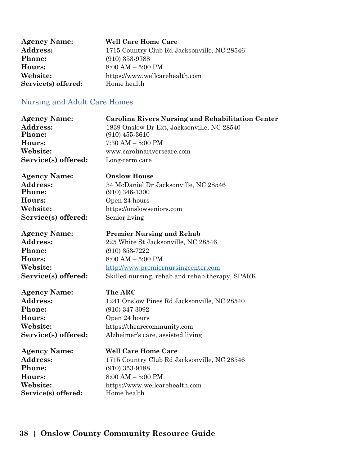| <b>Agency Name:</b> | <b>Well Care Home Care</b>                  |
|---------------------|---------------------------------------------|
| <b>Address:</b>     | 1715 Country Club Rd Jacksonville, NC 28546 |
| <b>Phone:</b>       | $(910)$ 353-9788                            |
| <b>Hours:</b>       | $8:00 AM - 5:00 PM$                         |
| Website:            | https://www.wellcarehealth.com              |
| Service(s) offered: | Home health                                 |

### Nursing and Adult Care Homes

| <b>Agency Name:</b><br>Address:<br><b>Phone:</b><br>Hours:<br>Website:<br>Service(s) offered: | <b>Carolina Rivers Nursing and Rehabilitation Center</b><br>1839 Onslow Dr Ext, Jacksonville, NC 28540<br>$(910)$ 455-3610<br>$7:30$ AM $-5:00$ PM<br>www.carolinariverscare.com<br>Long-term care |
|-----------------------------------------------------------------------------------------------|----------------------------------------------------------------------------------------------------------------------------------------------------------------------------------------------------|
| <b>Agency Name:</b>                                                                           | <b>Onslow House</b>                                                                                                                                                                                |
| <b>Address:</b>                                                                               | 34 McDaniel Dr Jacksonville, NC 28546                                                                                                                                                              |
| Phone:                                                                                        | $(910)$ 346-1300                                                                                                                                                                                   |
| Hours:                                                                                        | Open 24 hours                                                                                                                                                                                      |
| Website:                                                                                      | https://onslowseniors.com                                                                                                                                                                          |
| Service(s) offered:                                                                           | Senior living                                                                                                                                                                                      |
| <b>Agency Name:</b>                                                                           | <b>Premier Nursing and Rehab</b>                                                                                                                                                                   |
| <b>Address:</b>                                                                               | 225 White St Jacksonville, NC 28546                                                                                                                                                                |
| <b>Phone:</b>                                                                                 | $(910)$ 353-7222                                                                                                                                                                                   |
| Hours:                                                                                        | $8:00 AM - 5:00 PM$                                                                                                                                                                                |
| Website:                                                                                      | http://www.premiernursingcenter.com                                                                                                                                                                |
| Service(s) offered:                                                                           | Skilled nursing, rehab and rehab therapy, SPARK                                                                                                                                                    |
| <b>Agency Name:</b>                                                                           | The ARC                                                                                                                                                                                            |
| Address:                                                                                      | 1241 Onslow Pines Rd Jacksonville, NC 28540                                                                                                                                                        |
| Phone:                                                                                        | $(910)$ 347-3092                                                                                                                                                                                   |
| Hours:                                                                                        | Open 24 hours                                                                                                                                                                                      |
| Website:                                                                                      | https://thearccommunity.com                                                                                                                                                                        |
| Service(s) offered:                                                                           | Alzheimer's care, assisted living                                                                                                                                                                  |
| <b>Agency Name:</b>                                                                           | <b>Well Care Home Care</b>                                                                                                                                                                         |
| Address:                                                                                      | 1715 Country Club Rd Jacksonville, NC 28546                                                                                                                                                        |
| Phone:                                                                                        | $(910)$ 353-9788                                                                                                                                                                                   |
| Hours:                                                                                        | $8:00 AM - 5:00 PM$                                                                                                                                                                                |
| Website:                                                                                      | https://www.wellcarehealth.com                                                                                                                                                                     |
| Service(s) offered:                                                                           | Home health                                                                                                                                                                                        |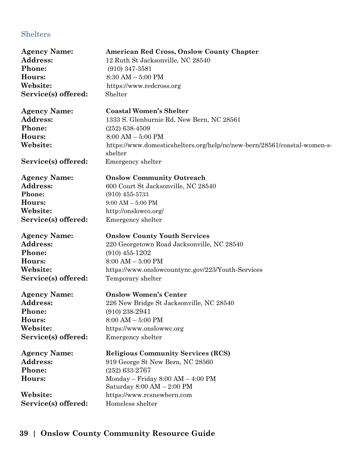### Shelters

| <b>Agency Name:</b><br>Address:<br>Phone:<br>Hours:<br>Website:<br>Service(s) offered: | <b>American Red Cross, Onslow County Chapter</b><br>12 Ruth St Jacksonville, NC 28540<br>$(910)$ 347-3581<br>$8:30 AM - 5:00 PM$<br>https://www.redcross.org<br>Shelter |
|----------------------------------------------------------------------------------------|-------------------------------------------------------------------------------------------------------------------------------------------------------------------------|
| <b>Agency Name:</b>                                                                    | <b>Coastal Women's Shelter</b>                                                                                                                                          |
| Address:                                                                               | 1333 S. Glenburnie Rd, New Bern, NC 28561                                                                                                                               |
| Phone:                                                                                 | $(252)$ 638-4509                                                                                                                                                        |
| Hours:<br>Website:                                                                     | $8:00 AM - 5:00 PM$<br>https://www.domesticshelters.org/help/nc/new-bern/28561/coastal-women-s-<br>shelter                                                              |
| Service(s) offered:                                                                    | Emergency shelter                                                                                                                                                       |
| <b>Agency Name:</b>                                                                    | <b>Onslow Community Outreach</b>                                                                                                                                        |
| <b>Address:</b>                                                                        | 600 Court St Jacksonville, NC 28540                                                                                                                                     |
| Phone:                                                                                 | $(910)$ 455-5733                                                                                                                                                        |
| Hours:                                                                                 | $9:00$ AM $-$ 5:00 PM                                                                                                                                                   |
| Website:                                                                               | http://onslowco.org/                                                                                                                                                    |
| Service(s) offered:                                                                    | Emergency shelter                                                                                                                                                       |
| <b>Agency Name:</b>                                                                    | <b>Onslow County Youth Services</b>                                                                                                                                     |
| <b>Address:</b>                                                                        | 220 Georgetown Road Jacksonville, NC 28540                                                                                                                              |
| Phone:                                                                                 | $(910)$ 455-1202                                                                                                                                                        |
| Hours:                                                                                 | $8:00 AM - 5:00 PM$                                                                                                                                                     |
| Website:                                                                               | https://www.onslowcountync.gov/223/Youth-Services                                                                                                                       |
| Service(s) offered:                                                                    | Temporary shelter                                                                                                                                                       |
| <b>Agency Name:</b>                                                                    | <b>Onslow Women's Center</b>                                                                                                                                            |
| Address:                                                                               | 226 New Bridge St Jacksonville, NC 28540                                                                                                                                |
| Phone:                                                                                 | $(910)$ 238-2941                                                                                                                                                        |
| Hours:                                                                                 | $8:00 AM - 5:00 PM$                                                                                                                                                     |
| Website:                                                                               | https://www.onslowwc.org                                                                                                                                                |
| Service(s) offered:                                                                    | Emergency shelter                                                                                                                                                       |
| <b>Agency Name:</b>                                                                    | <b>Religious Community Services (RCS)</b>                                                                                                                               |
| Address:                                                                               | 919 George St New Bern, NC 28560                                                                                                                                        |
| Phone:                                                                                 | $(252)$ 633-2767                                                                                                                                                        |
| Hours:                                                                                 | Monday - Friday $8:00 AM - 4:00 PM$                                                                                                                                     |
|                                                                                        | Saturday $8:00 AM - 2:00 PM$                                                                                                                                            |
| Website:                                                                               | https://www.rcsnewbern.com                                                                                                                                              |
| Service(s) offered:                                                                    | Homeless shelter                                                                                                                                                        |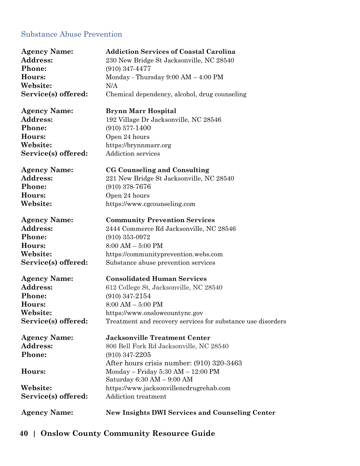### Substance Abuse Prevention

| <b>Agency Name:</b> | <b>Addiction Services of Coastal Carolina</b>               |
|---------------------|-------------------------------------------------------------|
| Address:            | 230 New Bridge St Jacksonville, NC 28540                    |
| Phone:              | $(910)$ 347-4477                                            |
| Hours:              | Monday - Thursday $9:00 AM - 4:00 PM$                       |
| Website:            | N/A                                                         |
| Service(s) offered: | Chemical dependency, alcohol, drug counseling               |
| <b>Agency Name:</b> | <b>Brynn Marr Hospital</b>                                  |
| <b>Address:</b>     | 192 Village Dr Jacksonville, NC 28546                       |
| Phone:              | $(910)$ 577-1400                                            |
| Hours:              | Open 24 hours                                               |
| Website:            | https://brynnmarr.org                                       |
| Service(s) offered: | <b>Addiction services</b>                                   |
| <b>Agency Name:</b> | CG Counseling and Consulting                                |
| Address:            | 221 New Bridge St Jacksonville, NC 28540                    |
| Phone:              | $(910)$ 378-7676                                            |
| Hours:              | Open 24 hours                                               |
| Website:            | https://www.cgcounseling.com                                |
| <b>Agency Name:</b> | <b>Community Prevention Services</b>                        |
| <b>Address:</b>     | 2444 Commerce Rd Jacksonville, NC 28546                     |
| Phone:              | $(910)$ 353-0972                                            |
| Hours:              | $8:00$ AM $-$ 5:00 PM                                       |
| Website:            | https://communityprevention.webs.com                        |
| Service(s) offered: | Substance abuse prevention services                         |
| <b>Agency Name:</b> | <b>Consolidated Human Services</b>                          |
| Address:            | 612 College St, Jacksonville, NC 28540                      |
| Phone:              | $(910)$ 347-2154                                            |
| Hours:              | $8:00 AM - 5:00 PM$                                         |
| Website:            | https://www.onslowcountync.gov                              |
| Service(s) offered: | Treatment and recovery services for substance use disorders |
| <b>Agency Name:</b> | <b>Jacksonville Treatment Center</b>                        |
| Address:            | 806 Bell Fork Rd Jacksonville, NC 28540                     |
| Phone:              | $(910)$ 347-2205                                            |
|                     | After hours crisis number: (910) 320-3463                   |
| Hours:              | Monday – Friday $5:30$ AM – $12:00$ PM                      |
|                     | Saturday $6:30 AM - 9:00 AM$                                |
| Website:            | https://www.jacksonvillencdrugrehab.com                     |
| Service(s) offered: | <b>Addiction treatment</b>                                  |
| <b>Agency Name:</b> | <b>New Insights DWI Services and Counseling Center</b>      |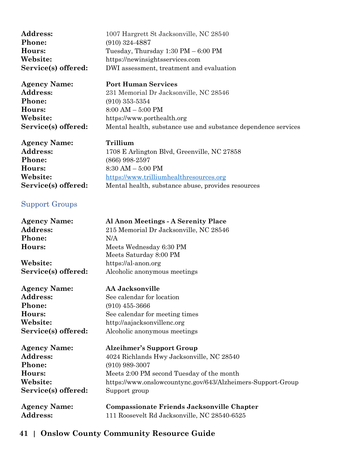| Address:            | 1007 Hargrett St Jacksonville, NC 28540               |
|---------------------|-------------------------------------------------------|
| <b>Phone:</b>       | $(910)$ 324-4887                                      |
| Hours:              | Tuesday, Thursday $1:30 \text{ PM} - 6:00 \text{ PM}$ |
| Website:            | https://newinsightsservices.com                       |
| Service(s) offered: | DWI assessment, treatment and evaluation              |
|                     |                                                       |

| <b>Agency Name:</b>                   | <b>Port Human Services</b>                                     |
|---------------------------------------|----------------------------------------------------------------|
| <b>Address:</b>                       | 231 Memorial Dr Jacksonville, NC 28546                         |
| <b>Phone:</b>                         | $(910)$ 353-5354                                               |
| Hours:                                | $8:00 AM - 5:00 PM$                                            |
| Website:                              | https://www.porthealth.org                                     |
| Service(s) offered:                   | Mental health, substance use and substance dependence services |
| $\mathbf{A}$ . The state $\mathbf{A}$ | m                                                              |

**Agency Name: Trillium** Address: 1708 E Arlington Blvd, Greenville, NC 27858 **Phone:** (866) 998-2597 **Hours:** 8:30 AM – 5:00 PM Website: [https://www.trilliumhealthresources.org](https://www.trilliumhealthresources.org/) Service(s) offered: Mental health, substance abuse, provides resources

### Support Groups

| <b>Agency Name:</b> | Al Anon Meetings - A Serenity Place                         |
|---------------------|-------------------------------------------------------------|
| Address:            | 215 Memorial Dr Jacksonville, NC 28546                      |
| Phone:              | N/A                                                         |
| Hours:              | Meets Wednesday 6:30 PM                                     |
|                     | Meets Saturday 8:00 PM                                      |
| Website:            | https://al-anon.org                                         |
| Service(s) offered: | Alcoholic anonymous meetings                                |
| <b>Agency Name:</b> | AA Jacksonville                                             |
| <b>Address:</b>     | See calendar for location                                   |
| Phone:              | $(910)$ 455-3666                                            |
| Hours:              | See calendar for meeting times                              |
| Website:            | http://aajacksonvillenc.org                                 |
| Service(s) offered: | Alcoholic anonymous meetings                                |
| <b>Agency Name:</b> | <b>Alzeihmer's Support Group</b>                            |
| Address:            | 4024 Richlands Hwy Jacksonville, NC 28540                   |
| Phone:              | $(910)$ 989-3007                                            |
| Hours:              | Meets 2:00 PM second Tuesday of the month                   |
| Website:            | https://www.onslowcountync.gov/643/Alzheimers-Support-Group |
| Service(s) offered: | Support group                                               |
| <b>Agency Name:</b> | Compassionate Friends Jacksonville Chapter                  |
| <b>Address:</b>     | 111 Roosevelt Rd Jacksonville, NC 28540-6525                |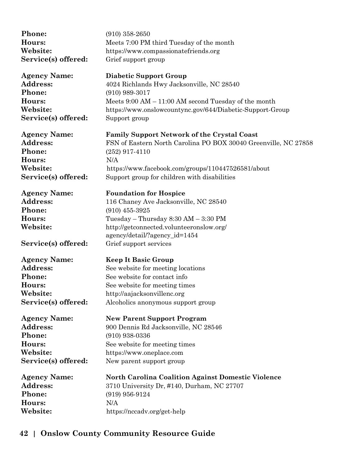| Phone:              | $(910)$ 358-2650                                                |
|---------------------|-----------------------------------------------------------------|
| Hours:              | Meets 7:00 PM third Tuesday of the month                        |
| Website:            | https://www.compassionatefriends.org                            |
| Service(s) offered: | Grief support group                                             |
| <b>Agency Name:</b> | <b>Diabetic Support Group</b>                                   |
| Address:            | 4024 Richlands Hwy Jacksonville, NC 28540                       |
| Phone:              | $(910)$ 989-3017                                                |
| Hours:              | Meets $9:00$ AM $-11:00$ AM second Tuesday of the month         |
| Website:            | https://www.onslowcountync.gov/644/Diabetic-Support-Group       |
| Service(s) offered: | Support group                                                   |
| <b>Agency Name:</b> | <b>Family Support Network of the Crystal Coast</b>              |
| Address:            | FSN of Eastern North Carolina PO BOX 30040 Greenville, NC 27858 |
| Phone:              | $(252)$ 917-4110                                                |
| Hours:              | N/A                                                             |
| Website:            | https://www.facebook.com/groups/110447526581/about              |
| Service(s) offered: | Support group for children with disabilities                    |
| <b>Agency Name:</b> | <b>Foundation for Hospice</b>                                   |
| Address:            | 116 Chaney Ave Jacksonville, NC 28540                           |
| Phone:              | $(910)$ 455-3925                                                |
| Hours:              | Tuesday – Thursday $8:30$ AM – $3:30$ PM                        |
| Website:            | http://getconnected.volunteeronslow.org/                        |
|                     | agency/detail/?agency_id=1454                                   |
| Service(s) offered: | Grief support services                                          |
| <b>Agency Name:</b> | <b>Keep It Basic Group</b>                                      |
| Address:            | See website for meeting locations                               |
| Phone:              | See website for contact info                                    |
| Hours:              | See website for meeting times                                   |
| Website:            | http://aajacksonvillenc.org                                     |
| Service(s) offered: | Alcoholics anonymous support group                              |
| <b>Agency Name:</b> | <b>New Parent Support Program</b>                               |
| <b>Address:</b>     | 900 Dennis Rd Jacksonville, NC 28546                            |
| Phone:              | $(910)$ 938-0336                                                |
| Hours:              | See website for meeting times                                   |
| Website:            | https://www.oneplace.com                                        |
| Service(s) offered: | New parent support group                                        |
| <b>Agency Name:</b> | <b>North Carolina Coalition Against Domestic Violence</b>       |
| Address:            | 3710 University Dr, #140, Durham, NC 27707                      |
| Phone:              | $(919)$ 956-9124                                                |
| Hours:              | N/A                                                             |
| Website:            | https://nccadv.org/get-help                                     |
|                     |                                                                 |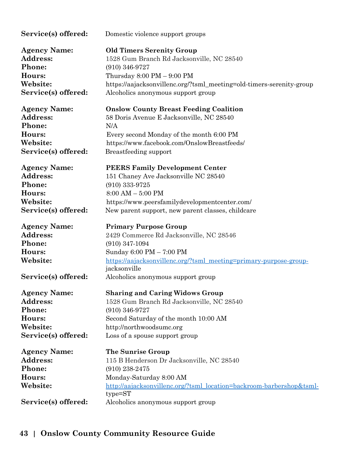| Service(s) offered:                                                                           | Domestic violence support groups                                                                                                                                                                                                                   |
|-----------------------------------------------------------------------------------------------|----------------------------------------------------------------------------------------------------------------------------------------------------------------------------------------------------------------------------------------------------|
| <b>Agency Name:</b>                                                                           | <b>Old Timers Serenity Group</b>                                                                                                                                                                                                                   |
| <b>Address:</b>                                                                               | 1528 Gum Branch Rd Jacksonville, NC 28540                                                                                                                                                                                                          |
| Phone:                                                                                        | $(910)$ 346-9727                                                                                                                                                                                                                                   |
| Hours:                                                                                        | Thursday $8:00 \text{ PM} - 9:00 \text{ PM}$                                                                                                                                                                                                       |
| Website:                                                                                      | https://aajacksonvillenc.org/?tsml_meeting=old-timers-serenity-group                                                                                                                                                                               |
| Service(s) offered:                                                                           | Alcoholics anonymous support group                                                                                                                                                                                                                 |
| <b>Agency Name:</b>                                                                           | <b>Onslow County Breast Feeding Coalition</b>                                                                                                                                                                                                      |
| Address:                                                                                      | 58 Doris Avenue E Jacksonville, NC 28540                                                                                                                                                                                                           |
| Phone:                                                                                        | N/A                                                                                                                                                                                                                                                |
| Hours:                                                                                        | Every second Monday of the month 6:00 PM                                                                                                                                                                                                           |
| Website:                                                                                      | https://www.facebook.com/OnslowBreastfeeds/                                                                                                                                                                                                        |
| Service(s) offered:                                                                           | Breastfeeding support                                                                                                                                                                                                                              |
| <b>Agency Name:</b>                                                                           | <b>PEERS Family Development Center</b>                                                                                                                                                                                                             |
| Address:                                                                                      | 151 Chaney Ave Jacksonville NC 28540                                                                                                                                                                                                               |
| Phone:                                                                                        | $(910)$ 333-9725                                                                                                                                                                                                                                   |
| Hours:                                                                                        | $8:00 AM - 5:00 PM$                                                                                                                                                                                                                                |
| Website:                                                                                      | https://www.peersfamilydevelopmentcenter.com/                                                                                                                                                                                                      |
| Service(s) offered:                                                                           | New parent support, new parent classes, childcare                                                                                                                                                                                                  |
| <b>Agency Name:</b><br><b>Address:</b><br>Phone:<br>Hours:<br>Website:<br>Service(s) offered: | <b>Primary Purpose Group</b><br>2429 Commerce Rd Jacksonville, NC 28546<br>$(910)$ 347-1094<br>Sunday 6:00 PM - 7:00 PM<br>https://aajacksonvillenc.org/?tsml_meeting=primary-purpose-group-<br>jacksonville<br>Alcoholics anonymous support group |
| <b>Agency Name:</b>                                                                           | <b>Sharing and Caring Widows Group</b>                                                                                                                                                                                                             |
| Address:                                                                                      | 1528 Gum Branch Rd Jacksonville, NC 28540                                                                                                                                                                                                          |
| Phone:                                                                                        | $(910)$ 346-9727                                                                                                                                                                                                                                   |
| Hours:                                                                                        | Second Saturday of the month 10:00 AM                                                                                                                                                                                                              |
| Website:                                                                                      | http://northwoodsumc.org                                                                                                                                                                                                                           |
| Service(s) offered:                                                                           | Loss of a spouse support group                                                                                                                                                                                                                     |
| <b>Agency Name:</b><br>Address:<br>Phone:<br>Hours:<br>Website:                               | The Sunrise Group<br>115 B Henderson Dr Jacksonville, NC 28540<br>$(910)$ 238-2475<br>Monday-Saturday 8:00 AM<br>http://aajacksonvillenc.org/?tsml_location=backroom-barbershop&tsml-<br>$type = ST$                                               |
| Service(s) offered:                                                                           | Alcoholics anonymous support group                                                                                                                                                                                                                 |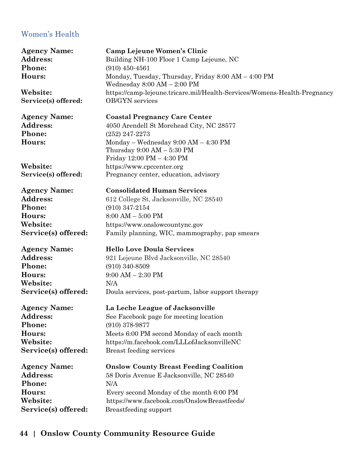### Women's Health

**Phone:** (910) 450-4561

**Service(s) offered:** OB/GYN services

**Phone:** (252) 247-2273

**Phone:** (910) 347-2154 **Hours:** 8:00 AM – 5:00 PM

**Phone:** (910) 340-8509 **Hours:** 9:00 AM – 2:30 PM **Website:** N/A

**Phone:** (910) 378-9877

**Phone:** N/A

**Agency Name: Camp Lejeune Women's Clinic** Address: Building NH-100 Floor 1 Camp Lejeune, NC **Hours:** Monday, Tuesday, Thursday, Friday 8:00 AM – 4:00 PM Wednesday 8:00 AM – 2:00 PM **Website:** https://camp-lejeune.tricare.mil/Health-Services/Womens-Health-Pregnancy

**Agency Name: Coastal Pregnancy Care Center** Address: 4050 Arendell St Morehead City, NC 28577 **Hours:** Monday – Wednesday 9:00 AM – 4:30 PM Thursday 9:00 AM – 5:30 PM Friday 12:00 PM – 4:30 PM **Website:** https://www.cpccenter.org **Service(s) offered:** Pregnancy center, education, advisory

**Agency Name: Consolidated Human Services** Address: 612 College St, Jacksonville, NC 28540 **Website:** https://www.onslowcountync.gov **Service(s) offered:** Family planning, WIC, mammography, pap smears

**Agency Name: Hello Love Doula Services** Address: 921 Lejeune Blvd Jacksonville, NC 28540 **Service(s) offered:** Doula services, post-partum, labor support therapy

**Agency Name: La Leche League of Jacksonville** Address: See Facebook page for meeting location **Hours:** Meets 6:00 PM second Monday of each month **Website:** https://m.facebook.com/LLLofJacksonvilleNC **Service(s) offered:** Breast feeding services

**Agency Name: Onslow County Breast Feeding Coalition** Address: 58 Doris Avenue E Jacksonville, NC 28540 **Hours:** Every second Monday of the month 6:00 PM **Website:** https://www.facebook.com/OnslowBreastfeeds/ **Service(s) offered:** Breastfeeding support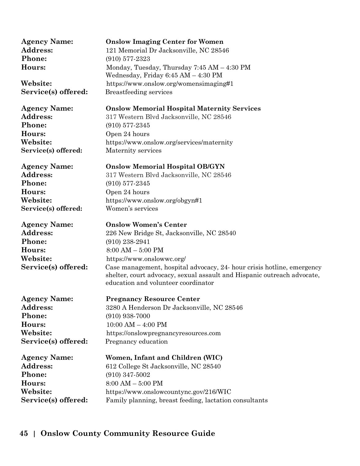| <b>Agency Name:</b> | <b>Onslow Imaging Center for Women</b>                                                                                                                                                   |
|---------------------|------------------------------------------------------------------------------------------------------------------------------------------------------------------------------------------|
| Address:            | 121 Memorial Dr Jacksonville, NC 28546                                                                                                                                                   |
| Phone:              | $(910)$ 577-2323                                                                                                                                                                         |
| Hours:              | Monday, Tuesday, Thursday 7:45 AM - 4:30 PM                                                                                                                                              |
|                     | Wednesday, Friday 6:45 AM - 4:30 PM                                                                                                                                                      |
| Website:            | https://www.onslow.org/womensimaging#1                                                                                                                                                   |
| Service(s) offered: | Breastfeeding services                                                                                                                                                                   |
| <b>Agency Name:</b> | <b>Onslow Memorial Hospital Maternity Services</b>                                                                                                                                       |
| <b>Address:</b>     | 317 Western Blvd Jacksonville, NC 28546                                                                                                                                                  |
| Phone:              | $(910)$ 577-2345                                                                                                                                                                         |
| Hours:              | Open 24 hours                                                                                                                                                                            |
| Website:            | https://www.onslow.org/services/maternity                                                                                                                                                |
| Service(s) offered: | Maternity services                                                                                                                                                                       |
| <b>Agency Name:</b> | <b>Onslow Memorial Hospital OB/GYN</b>                                                                                                                                                   |
| Address:            | 317 Western Blvd Jacksonville, NC 28546                                                                                                                                                  |
| Phone:              | $(910)$ 577-2345                                                                                                                                                                         |
| Hours:              | Open 24 hours                                                                                                                                                                            |
| Website:            | https://www.onslow.org/obgyn#1                                                                                                                                                           |
| Service(s) offered: | Women's services                                                                                                                                                                         |
|                     |                                                                                                                                                                                          |
| <b>Agency Name:</b> | <b>Onslow Women's Center</b>                                                                                                                                                             |
| Address:            | 226 New Bridge St, Jacksonville, NC 28540                                                                                                                                                |
| Phone:              | $(910)$ 238-2941                                                                                                                                                                         |
| Hours:              | $8:00 AM - 5:00 PM$                                                                                                                                                                      |
| Website:            | https://www.onslowwc.org/                                                                                                                                                                |
| Service(s) offered: | Case management, hospital advocacy, 24- hour crisis hotline, emergency<br>shelter, court advocacy, sexual assault and Hispanic outreach advocate,<br>education and volunteer coordinator |
| <b>Agency Name:</b> | <b>Pregnancy Resource Center</b>                                                                                                                                                         |
| <b>Address:</b>     | 3280 A Henderson Dr Jacksonville, NC 28546                                                                                                                                               |
| Phone:              | $(910)$ 938-7000                                                                                                                                                                         |
| Hours:              | $10:00$ AM $-$ 4:00 PM                                                                                                                                                                   |
| Website:            | https://onslowpregnancyresources.com                                                                                                                                                     |
| Service(s) offered: | Pregnancy education                                                                                                                                                                      |
| <b>Agency Name:</b> | Women, Infant and Children (WIC)                                                                                                                                                         |
| Address:            | 612 College St Jacksonville, NC 28540                                                                                                                                                    |
| Phone:              | $(910)$ 347-5002                                                                                                                                                                         |
| Hours:              | $8:00 AM - 5:00 PM$                                                                                                                                                                      |
| Website:            | https://www.onslowcountync.gov/216/WIC                                                                                                                                                   |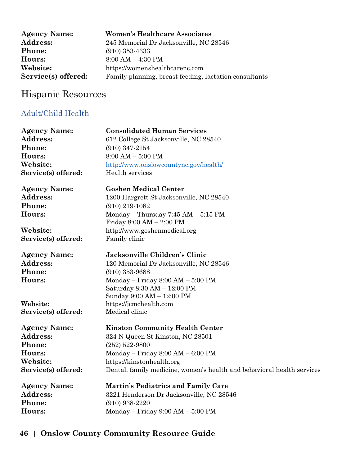| <b>Agency Name:</b> | <b>Women's Healthcare Associates</b>                   |
|---------------------|--------------------------------------------------------|
| <b>Address:</b>     | 245 Memorial Dr Jacksonville, NC 28546                 |
| <b>Phone:</b>       | $(910)$ 353-4333                                       |
| Hours:              | $8:00 AM - 4:30 PM$                                    |
| Website:            | https://womenshealthcarenc.com                         |
| Service(s) offered: | Family planning, breast feeding, lactation consultants |

# Hispanic Resources

### Adult/Child Health

| <b>Agency Name:</b> | <b>Consolidated Human Services</b>                                     |
|---------------------|------------------------------------------------------------------------|
| <b>Address:</b>     | 612 College St Jacksonville, NC 28540                                  |
| Phone:              | $(910)$ 347-2154                                                       |
| Hours:              | $8:00 AM - 5:00 PM$                                                    |
| Website:            | http://www.onslowcountync.gov/health/                                  |
| Service(s) offered: | Health services                                                        |
| <b>Agency Name:</b> | <b>Goshen Medical Center</b>                                           |
| <b>Address:</b>     | 1200 Hargrett St Jacksonville, NC 28540                                |
| Phone:              | $(910)$ 219-1082                                                       |
| Hours:              | Monday - Thursday 7:45 AM - 5:15 PM                                    |
|                     | Friday $8:00 \text{ AM} - 2:00 \text{ PM}$                             |
| Website:            | http://www.goshenmedical.org                                           |
| Service(s) offered: | Family clinic                                                          |
| <b>Agency Name:</b> | Jacksonville Children's Clinic                                         |
| <b>Address:</b>     | 120 Memorial Dr Jacksonville, NC 28546                                 |
| Phone:              | $(910)$ 353-9688                                                       |
| Hours:              | $Monday - Friday 8:00 AM - 5:00 PM$                                    |
|                     | Saturday 8:30 AM - 12:00 PM                                            |
|                     | Sunday 9:00 AM - 12:00 PM                                              |
| Website:            | https://jcmchealth.com                                                 |
| Service(s) offered: | Medical clinic                                                         |
| <b>Agency Name:</b> | <b>Kinston Community Health Center</b>                                 |
| Address:            | 324 N Queen St Kinston, NC 28501                                       |
| Phone:              | $(252) 522 - 9800$                                                     |
| Hours:              | Monday - Friday 8:00 AM - 6:00 PM                                      |
| Website:            | https://kinstonhealth.org                                              |
| Service(s) offered: | Dental, family medicine, women's health and behavioral health services |
| <b>Agency Name:</b> | <b>Martin's Pediatrics and Family Care</b>                             |
| Address:            | 3221 Henderson Dr Jacksonville, NC 28546                               |
| Phone:              | $(910)$ 938-2220                                                       |
| Hours:              | Monday - Friday 9:00 AM - 5:00 PM                                      |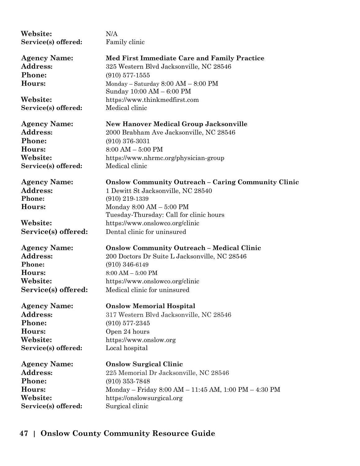| Website:            | N/A                                                        |
|---------------------|------------------------------------------------------------|
|                     |                                                            |
| Service(s) offered: | Family clinic                                              |
| <b>Agency Name:</b> | Med First Immediate Care and Family Practice               |
| <b>Address:</b>     | 325 Western Blvd Jacksonville, NC 28546                    |
|                     |                                                            |
| <b>Phone:</b>       | $(910)$ 577-1555                                           |
| <b>Hours:</b>       | Monday - Saturday $8:00$ AM - $8:00$ PM                    |
|                     | Sunday 10:00 AM - 6:00 PM                                  |
| <b>Website:</b>     | https://www.thinkmedfirst.com                              |
| Service(s) offered: | Medical clinic                                             |
| Agency Name:        | <b>New Hanover Medical Group Jacksonville</b>              |
| <b>Address:</b>     |                                                            |
|                     | 2000 Brabham Ave Jacksonville, NC 28546                    |
| <b>Phone:</b>       | $(910)$ 376-3031                                           |
| <b>Hours:</b>       | $8:00 AM - 5:00 PM$                                        |
| Website:            | https://www.nhrmc.org/physician-group                      |
| Service(s) offered: | Medical clinic                                             |
| <b>Agency Name:</b> | <b>Onslow Community Outreach - Caring Community Clinic</b> |
| <b>Address:</b>     | 1 Dewitt St Jacksonville, NC 28540                         |
| Phone:              | $(910)$ 219-1339                                           |
| <b>Hours:</b>       | Monday $8:00 AM - 5:00 PM$                                 |
|                     | Tuesday-Thursday: Call for clinic hours                    |
| <b>Website:</b>     | https://www.onslowco.org/clinic                            |
|                     | Dental clinic for uninsured                                |
| Service(s) offered: |                                                            |
| Agency Name:        | <b>Onslow Community Outreach - Medical Clinic</b>          |
| <b>Address:</b>     | 200 Doctors Dr Suite L Jacksonville, NC 28546              |
| Phone:              | $(910)$ 346-6149                                           |
| Hours:              | $8:00$ AM $-5:00$ PM                                       |
| Website:            | https://www.onslowco.org/clinic                            |
| Service(s) offered: | Medical clinic for uninsured                               |
|                     |                                                            |
| Agency Name:        | <b>Onslow Memorial Hospital</b>                            |
| <b>Address:</b>     | 317 Western Blvd Jacksonville, NC 28546                    |
| <b>Phone:</b>       | $(910)$ 577-2345                                           |
| <b>Hours:</b>       | Open 24 hours                                              |
| Website:            | https://www.onslow.org                                     |
| Service(s) offered: | Local hospital                                             |
|                     |                                                            |
| Agency Name:        | <b>Onslow Surgical Clinic</b>                              |
| <b>Address:</b>     | 225 Memorial Dr Jacksonville, NC 28546                     |
| Phone:              | $(910)$ 353-7848                                           |
| Hours:              | Monday - Friday 8:00 AM - 11:45 AM, 1:00 PM - 4:30 PM      |
| Website:            | https://onslowsurgical.org                                 |
| Service(s) offered: | Surgical clinic                                            |
|                     |                                                            |
|                     |                                                            |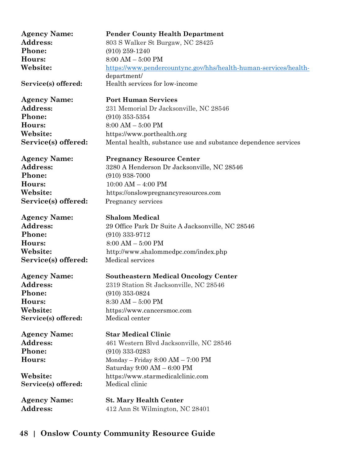| <b>Pender County Health Department</b><br>803 S Walker St Burgaw, NC 28425<br>https://www.pendercountync.gov/hhs/health-human-services/health-<br>Health services for low-income<br><b>Port Human Services</b><br>231 Memorial Dr Jacksonville, NC 28546<br>https://www.porthealth.org<br>Mental health, substance use and substance dependence services<br><b>Pregnancy Resource Center</b><br>3280 A Henderson Dr Jacksonville, NC 28546<br>https://onslowpregnancyresources.com |
|------------------------------------------------------------------------------------------------------------------------------------------------------------------------------------------------------------------------------------------------------------------------------------------------------------------------------------------------------------------------------------------------------------------------------------------------------------------------------------|
|                                                                                                                                                                                                                                                                                                                                                                                                                                                                                    |
|                                                                                                                                                                                                                                                                                                                                                                                                                                                                                    |
|                                                                                                                                                                                                                                                                                                                                                                                                                                                                                    |
|                                                                                                                                                                                                                                                                                                                                                                                                                                                                                    |
|                                                                                                                                                                                                                                                                                                                                                                                                                                                                                    |
|                                                                                                                                                                                                                                                                                                                                                                                                                                                                                    |
|                                                                                                                                                                                                                                                                                                                                                                                                                                                                                    |
|                                                                                                                                                                                                                                                                                                                                                                                                                                                                                    |
|                                                                                                                                                                                                                                                                                                                                                                                                                                                                                    |
|                                                                                                                                                                                                                                                                                                                                                                                                                                                                                    |
|                                                                                                                                                                                                                                                                                                                                                                                                                                                                                    |
|                                                                                                                                                                                                                                                                                                                                                                                                                                                                                    |
|                                                                                                                                                                                                                                                                                                                                                                                                                                                                                    |
|                                                                                                                                                                                                                                                                                                                                                                                                                                                                                    |
|                                                                                                                                                                                                                                                                                                                                                                                                                                                                                    |
|                                                                                                                                                                                                                                                                                                                                                                                                                                                                                    |
|                                                                                                                                                                                                                                                                                                                                                                                                                                                                                    |
|                                                                                                                                                                                                                                                                                                                                                                                                                                                                                    |
| 29 Office Park Dr Suite A Jacksonville, NC 28546                                                                                                                                                                                                                                                                                                                                                                                                                                   |
|                                                                                                                                                                                                                                                                                                                                                                                                                                                                                    |
|                                                                                                                                                                                                                                                                                                                                                                                                                                                                                    |
| http://www.shalommedpc.com/index.php                                                                                                                                                                                                                                                                                                                                                                                                                                               |
|                                                                                                                                                                                                                                                                                                                                                                                                                                                                                    |
| <b>Southeastern Medical Oncology Center</b>                                                                                                                                                                                                                                                                                                                                                                                                                                        |
| 2319 Station St Jacksonville, NC 28546                                                                                                                                                                                                                                                                                                                                                                                                                                             |
|                                                                                                                                                                                                                                                                                                                                                                                                                                                                                    |
|                                                                                                                                                                                                                                                                                                                                                                                                                                                                                    |
| https://www.cancersmoc.com                                                                                                                                                                                                                                                                                                                                                                                                                                                         |
|                                                                                                                                                                                                                                                                                                                                                                                                                                                                                    |
| <b>Star Medical Clinic</b>                                                                                                                                                                                                                                                                                                                                                                                                                                                         |
| 461 Western Blvd Jacksonville, NC 28546                                                                                                                                                                                                                                                                                                                                                                                                                                            |
|                                                                                                                                                                                                                                                                                                                                                                                                                                                                                    |
| Monday – Friday $8:00 AM - 7:00 PM$                                                                                                                                                                                                                                                                                                                                                                                                                                                |
| Saturday $9:00 \text{ AM} - 6:00 \text{ PM}$                                                                                                                                                                                                                                                                                                                                                                                                                                       |
| https://www.starmedicalclinic.com                                                                                                                                                                                                                                                                                                                                                                                                                                                  |
|                                                                                                                                                                                                                                                                                                                                                                                                                                                                                    |
| <b>St. Mary Health Center</b>                                                                                                                                                                                                                                                                                                                                                                                                                                                      |
|                                                                                                                                                                                                                                                                                                                                                                                                                                                                                    |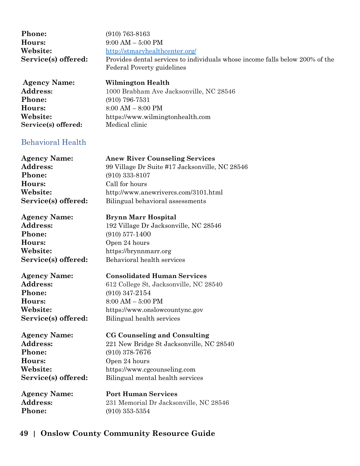| <b>Phone:</b>       | $(910) 763 - 8163$                                                           |
|---------------------|------------------------------------------------------------------------------|
| Hours:              | $9:00 AM - 5:00 PM$                                                          |
| Website:            | http://stmaryhealthcenter.org/                                               |
| Service(s) offered: | Provides dental services to individuals whose income falls below 200% of the |
|                     | <b>Federal Poverty guidelines</b>                                            |

| <b>Agency Name:</b> | Wilmington Health                       |
|---------------------|-----------------------------------------|
| Address:            | 1000 Brabham Ave Jacksonville, NC 28546 |
| <b>Phone:</b>       | $(910)$ 796-7531                        |
| Hours:              | $8:00 AM - 8:00 PM$                     |
| Website:            | https://www.wilmingtonhealth.com        |
| Service(s) offered: | Medical clinic                          |

### Behavioral Health

| <b>Agency Name:</b> |
|---------------------|
| <b>Address:</b>     |
| Phone:              |
| Hours:              |
| Website:            |
| Service(s) offered: |

**Phone:** (910) 577-1400 **Hours:** Open 24 hours

**Phone:** (910) 347-2154 **Hours:** 8:00 AM – 5:00 PM

**Phone:** (910) 378-7676 **Hours:** Open 24 hours **Service(s) offered:** Bilingual mental health services

**Agency Name: CG Counseling and Consulting** Address: 221 New Bridge St Jacksonville, NC 28540 **Website:** https://www.cgcounseling.com

**Phone:** (910) 353-5354

**Agency Name: Port Human Services Address:** 231 Memorial Dr Jacksonville, NC 28546

### **49 | Onslow County Community Resource Guide**

Call for hours<sup>.</sup> **Website:** http://www.anewrivercs.com/3101.html Bilingual behavioral assessments **Agency Name: Brynn Marr Hospital** Address: 192 Village Dr Jacksonville, NC 28546 **Website:** https://brynnmarr.org **Service(s) offered:** Behavioral health services

**Agency Name: Anew River Counseling Services**

**Phone:** (910) 333-8107

**Address:** 99 Village Dr Suite #17 Jacksonville, NC 28546

**Agency Name: Consolidated Human Services**

Address: 612 College St, Jacksonville, NC 28540

**Website:** https://www.onslowcountync.gov **Service(s) offered:** Bilingual health services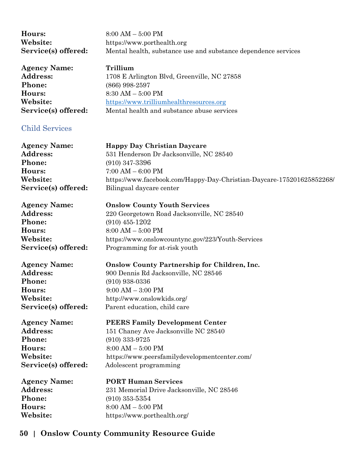| Hours:              | $8:00 AM - 5:00 PM$                                            |
|---------------------|----------------------------------------------------------------|
| Website:            | https://www.porthealth.org                                     |
| Service(s) offered: | Mental health, substance use and substance dependence services |
|                     |                                                                |

**Agency Name: Trillium** Address: 1708 E Arlington Blvd, Greenville, NC 27858 **Phone:** (866) 998-2597 **Hours:** 8:30 AM – 5:00 PM **Website:** [https://www.trilliumhealthresources.org](https://www.trilliumhealthresources.org/) **Service(s) offered:** Mental health and substance abuse services

#### Child Services

| <b>Agency Name:</b> | <b>Happy Day Christian Daycare</b>                                    |
|---------------------|-----------------------------------------------------------------------|
| <b>Address:</b>     | 531 Henderson Dr Jacksonville, NC 28540                               |
| <b>Phone:</b>       | $(910)$ 347-3396                                                      |
| Hours:              | $7:00 AM - 6:00 PM$                                                   |
| Website:            | https://www.facebook.com/Happy-Day-Christian-Daycare-175201625852268/ |
| Service(s) offered: | Bilingual daycare center                                              |
|                     |                                                                       |

# **Phone:** (910) 455-1202 **Hours:** 8:00 AM – 5:00 PM

**Website:** https://www.onslowcountync.gov/223/Youth-Services **Service(s) offered:** Programming for at-risk youth

**Agency Name: Onslow County Partnership for Children, Inc. Address:** 900 Dennis Rd Jacksonville, NC 28546 **Phone:** (910) 938-0336 **Hours:** 9:00 AM – 3:00 PM **Website:** http://www.onslowkids.org/ **Service(s) offered:** Parent education, child care

**Phone:** (910) 333-9725 **Hours:** 8:00 AM – 5:00 PM

**Agency Name: PEERS Family Development Center** Address: 151 Chaney Ave Jacksonville NC 28540

**Website:** https://www.peersfamilydevelopmentcenter.com/ **Service(s) offered:** Adolescent programming

**Phone:** (910) 353-5354

**Agency Name: PORT Human Services** Address: 231 Memorial Drive Jacksonville, NC 28546 **Hours:** 8:00 AM – 5:00 PM **Website:** https://www.porthealth.org/

### **50 | Onslow County Community Resource Guide**

**Agency Name: Onslow County Youth Services** Address: 220 Georgetown Road Jacksonville, NC 28540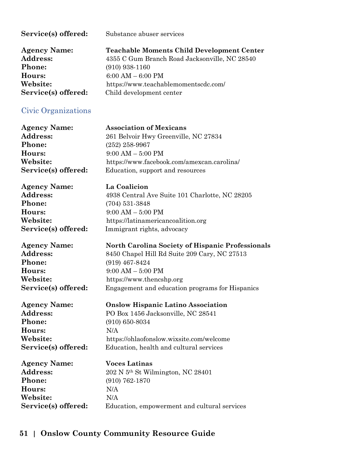| Service(s) offered: | Substance abuser services                         |
|---------------------|---------------------------------------------------|
| <b>Agency Name:</b> | <b>Teachable Moments Child Development Center</b> |
| <b>Address:</b>     | 4355 C Gum Branch Road Jacksonville, NC 28540     |
| <b>Phone:</b>       | $(910)$ 938-1160                                  |
| Hours:              | $6:00 AM - 6:00 PM$                               |
| Website:            | https://www.teachablemomentscdc.com/              |
| Service(s) offered: | Child development center                          |

## Civic Organizations

| <b>Agency Name:</b> | <b>Association of Mexicans</b>                   |
|---------------------|--------------------------------------------------|
| Address:            | 261 Belvoir Hwy Greenville, NC 27834             |
| Phone:              |                                                  |
|                     | $(252)$ 258-9967                                 |
| Hours:              | $9:00$ AM $-5:00$ PM                             |
| Website:            | https://www.facebook.com/amexcan.carolina/       |
| Service(s) offered: | Education, support and resources                 |
| <b>Agency Name:</b> | La Coalicion                                     |
| <b>Address:</b>     | 4938 Central Ave Suite 101 Charlotte, NC 28205   |
| Phone:              | $(704)$ 531-3848                                 |
| Hours:              | $9:00 AM - 5:00 PM$                              |
| Website:            | https://latinamericancoalition.org               |
| Service(s) offered: | Immigrant rights, advocacy                       |
|                     |                                                  |
| <b>Agency Name:</b> | North Carolina Society of Hispanic Professionals |
| Address:            | 8450 Chapel Hill Rd Suite 209 Cary, NC 27513     |
| Phone:              | $(919)$ 467-8424                                 |
| Hours:              | $9:00 AM - 5:00 PM$                              |
| Website:            | https://www.thencshp.org                         |
| Service(s) offered: | Engagement and education programs for Hispanics  |
|                     |                                                  |
| <b>Agency Name:</b> | <b>Onslow Hispanic Latino Association</b>        |
| Address:            | PO Box 1456 Jacksonville, NC 28541               |
| Phone:              | $(910) 650 - 8034$                               |
| Hours:              | N/A                                              |
| Website:            | https://ohlaofonslow.wixsite.com/welcome         |
| Service(s) offered: | Education, health and cultural services          |
| <b>Agency Name:</b> | <b>Voces Latinas</b>                             |
| Address:            | 202 N 5th St Wilmington, NC 28401                |
| Phone:              | $(910) 762 - 1870$                               |
| Hours:              | N/A                                              |
| Website:            | N/A                                              |
| Service(s) offered: | Education, empowerment and cultural services     |
|                     |                                                  |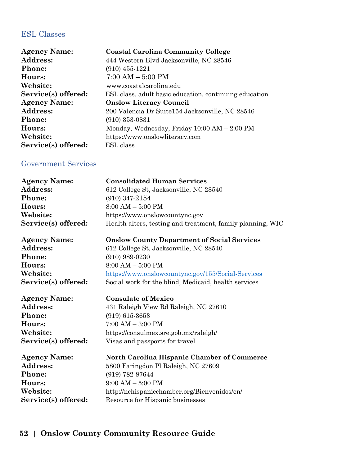### ESL Classes

| <b>Agency Name:</b> | <b>Coastal Carolina Community College</b>              |
|---------------------|--------------------------------------------------------|
| <b>Address:</b>     | 444 Western Blvd Jacksonville, NC 28546                |
| <b>Phone:</b>       | $(910)$ 455-1221                                       |
| Hours:              | $7:00 AM - 5:00 PM$                                    |
| Website:            | www.coastalcarolina.edu                                |
| Service(s) offered: | ESL class, adult basic education, continuing education |
| <b>Agency Name:</b> | <b>Onslow Literacy Council</b>                         |
| Address:            | 200 Valencia Dr Suite 154 Jacksonville, NC 28546       |
| Phone:              | $(910)$ 353-0831                                       |
| Hours:              | Monday, Wednesday, Friday $10:00$ AM $- 2:00$ PM       |
| Website:            | https://www.onslowliteracy.com                         |
| Service(s) offered: | ESL class                                              |

### Government Services

| <b>Agency Name:</b> | <b>Consolidated Human Services</b>                         |
|---------------------|------------------------------------------------------------|
| Address:            | 612 College St, Jacksonville, NC 28540                     |
| Phone:              | $(910)$ 347-2154                                           |
| Hours:              | $8:00 AM - 5:00 PM$                                        |
| Website:            | https://www.onslowcountync.gov                             |
| Service(s) offered: | Health alters, testing and treatment, family planning, WIC |
| <b>Agency Name:</b> | <b>Onslow County Department of Social Services</b>         |
| Address:            | 612 College St, Jacksonville, NC 28540                     |
| Phone:              | $(910)$ 989-0230                                           |
| Hours:              | $8:00$ AM $-5:00$ PM                                       |
| Website:            | https://www.onslowcountync.gov/155/Social-Services         |
| Service(s) offered: | Social work for the blind, Medicaid, health services       |
| <b>Agency Name:</b> | <b>Consulate of Mexico</b>                                 |
| Address:            | 431 Raleigh View Rd Raleigh, NC 27610                      |
| Phone:              | $(919)$ 615-3653                                           |
| Hours:              | $7:00 AM - 3:00 PM$                                        |
| Website:            | https://consulmex.sre.gob.mx/raleigh/                      |
| Service(s) offered: | Visas and passports for travel                             |
| <b>Agency Name:</b> | North Carolina Hispanic Chamber of Commerce                |
| Address:            | 5800 Faringdon Pl Raleigh, NC 27609                        |
| <b>Phone:</b>       | (919) 782-87644                                            |
| Hours:              | $9:00 AM - 5:00 PM$                                        |
| Website:            | http://nchispanicchamber.org/Bienvenidos/en/               |
| Service(s) offered: | Resource for Hispanic businesses                           |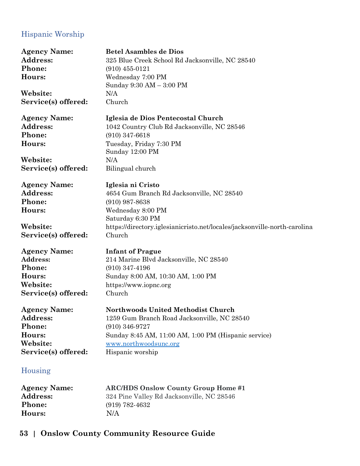### Hispanic Worship

| <b>Agency Name:</b> | <b>Betel Asambles de Dios</b>                                             |
|---------------------|---------------------------------------------------------------------------|
| Address:            | 325 Blue Creek School Rd Jacksonville, NC 28540                           |
| Phone:              | $(910)$ 455-0121                                                          |
| Hours:              | Wednesday 7:00 PM                                                         |
|                     | Sunday 9:30 AM - 3:00 PM                                                  |
| Website:            | N/A                                                                       |
| Service(s) offered: | Church                                                                    |
| <b>Agency Name:</b> | Iglesia de Dios Pentecostal Church                                        |
| Address:            | 1042 Country Club Rd Jacksonville, NC 28546                               |
| Phone:              | $(910)$ 347-6618                                                          |
| Hours:              | Tuesday, Friday 7:30 PM<br>Sunday 12:00 PM                                |
| Website:            | N/A                                                                       |
| Service(s) offered: | Bilingual church                                                          |
| <b>Agency Name:</b> | Iglesia ni Cristo                                                         |
| Address:            | 4654 Gum Branch Rd Jacksonville, NC 28540                                 |
| Phone:              | $(910)$ 987-8638                                                          |
| Hours:              | Wednesday 8:00 PM                                                         |
|                     | Saturday 6:30 PM                                                          |
| Website:            | https://directory.iglesianicristo.net/locales/jacksonville-north-carolina |
| Service(s) offered: | Church                                                                    |
| <b>Agency Name:</b> | <b>Infant of Prague</b>                                                   |
| Address:            | 214 Marine Blvd Jacksonville, NC 28540                                    |
| Phone:              | $(910)$ 347-4196                                                          |
| Hours:              | Sunday 8:00 AM, 10:30 AM, 1:00 PM                                         |
| Website:            | https://www.iopnc.org                                                     |
| Service(s) offered: | Church                                                                    |
| <b>Agency Name:</b> | <b>Northwoods United Methodist Church</b>                                 |
| <b>Address:</b>     | 1259 Gum Branch Road Jacksonville, NC 28540                               |
| Phone:              | $(910)$ 346-9727                                                          |
| Hours:              | Sunday 8:45 AM, 11:00 AM, 1:00 PM (Hispanic service)                      |
| Website:            | www.northwoodsunc.org                                                     |
| Service(s) offered: | Hispanic worship                                                          |
| Housing             |                                                                           |
| <b>Agency Name:</b> | <b>ARC/HDS Onslow County Group Home #1</b>                                |
| Address.            | 324 Pine Valley Rd Jacksonville NC 28546                                  |

Address: 324 Pine Valley Rd Jacksonville, NC 28546<br>Phone: (919) 782-4632 **Phone:** (919) 782-4632

### **53 | Onslow County Community Resource Guide**

**Hours:**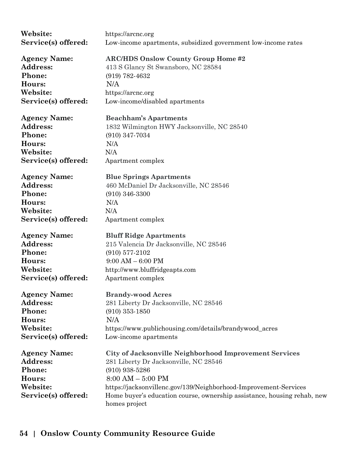| Website:            | https://arcnc.org                                                       |
|---------------------|-------------------------------------------------------------------------|
| Service(s) offered: | Low-income apartments, subsidized government low-income rates           |
|                     |                                                                         |
| <b>Agency Name:</b> | <b>ARC/HDS Onslow County Group Home #2</b>                              |
| <b>Address:</b>     | 413 S Glancy St Swansboro, NC 28584                                     |
| Phone:              | $(919) 782 - 4632$                                                      |
| Hours:              | N/A                                                                     |
| Website:            | https://arcnc.org                                                       |
| Service(s) offered: | Low-income/disabled apartments                                          |
|                     |                                                                         |
| <b>Agency Name:</b> | <b>Beachham's Apartments</b>                                            |
| <b>Address:</b>     | 1832 Wilmington HWY Jacksonville, NC 28540                              |
| Phone:              | $(910)$ 347-7034                                                        |
| Hours:              | N/A                                                                     |
| Website:            | N/A                                                                     |
|                     |                                                                         |
| Service(s) offered: | Apartment complex                                                       |
| <b>Agency Name:</b> | <b>Blue Springs Apartments</b>                                          |
| <b>Address:</b>     | 460 McDaniel Dr Jacksonville, NC 28546                                  |
| Phone:              | $(910)$ 346-3300                                                        |
| Hours:              | N/A                                                                     |
| Website:            | N/A                                                                     |
|                     |                                                                         |
| Service(s) offered: | Apartment complex                                                       |
| <b>Agency Name:</b> | <b>Bluff Ridge Apartments</b>                                           |
| <b>Address:</b>     | 215 Valencia Dr Jacksonville, NC 28546                                  |
| Phone:              | $(910)$ 577-2102                                                        |
| Hours:              | $9:00 AM - 6:00 PM$                                                     |
| Website:            | http://www.bluffridgeapts.com                                           |
| Service(s) offered: | Apartment complex                                                       |
|                     |                                                                         |
| <b>Agency Name:</b> | <b>Brandy-wood Acres</b>                                                |
| <b>Address:</b>     | 281 Liberty Dr Jacksonville, NC 28546                                   |
| Phone:              | $(910)$ 353-1850                                                        |
| Hours:              | N/A                                                                     |
| Website:            | https://www.publichousing.com/details/brandywood_acres                  |
| Service(s) offered: | Low-income apartments                                                   |
|                     |                                                                         |
| <b>Agency Name:</b> | City of Jacksonville Neighborhood Improvement Services                  |
| Address:            | 281 Liberty Dr Jacksonville, NC 28546                                   |
| Phone:              | $(910)$ 938-5286                                                        |
| Hours:              | $8:00 AM - 5:00 PM$                                                     |
| Website:            | https://jacksonvillenc.gov/139/Neighborhood-Improvement-Services        |
| Service(s) offered: | Home buyer's education course, ownership assistance, housing rehab, new |
|                     | homes project                                                           |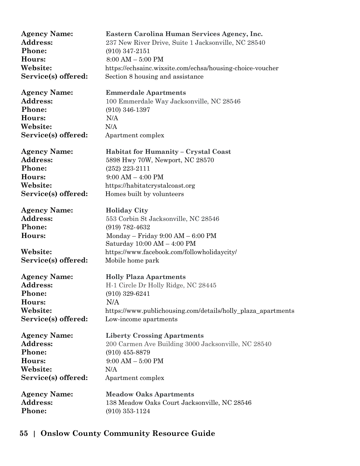| <b>Agency Name:</b> | Eastern Carolina Human Services Agency, Inc.                       |
|---------------------|--------------------------------------------------------------------|
| Address:            | 237 New River Drive, Suite 1 Jacksonville, NC 28540                |
| Phone:              | $(910)$ 347-2151                                                   |
| Hours:              | $8:00 AM - 5:00 PM$                                                |
| Website:            | https://echsainc.wixsite.com/echsa/housing-choice-voucher          |
| Service(s) offered: | Section 8 housing and assistance                                   |
| <b>Agency Name:</b> | <b>Emmerdale Apartments</b>                                        |
| Address:            | 100 Emmerdale Way Jacksonville, NC 28546                           |
| Phone:              | $(910)$ 346-1397                                                   |
| Hours:              | N/A                                                                |
| Website:            | N/A                                                                |
| Service(s) offered: | Apartment complex                                                  |
| <b>Agency Name:</b> | Habitat for Humanity - Crystal Coast                               |
| <b>Address:</b>     | 5898 Hwy 70W, Newport, NC 28570                                    |
| Phone:              | $(252)$ 223-2111                                                   |
| Hours:              | $9:00 AM - 4:00 PM$                                                |
| Website:            | https://habitatcrystalcoast.org                                    |
| Service(s) offered: | Homes built by volunteers                                          |
| <b>Agency Name:</b> | <b>Holiday City</b>                                                |
| Address:            | 553 Corbin St Jacksonville, NC 28546                               |
| Phone:              | $(919) 782 - 4632$                                                 |
| Hours:              | Monday – Friday $9:00 AM - 6:00 PM$<br>Saturday 10:00 AM - 4:00 PM |
| Website:            | https://www.facebook.com/followholidaycity/                        |
| Service(s) offered: | Mobile home park                                                   |
| <b>Agency Name:</b> | <b>Holly Plaza Apartments</b>                                      |
| <b>Address:</b>     | H-1 Circle Dr Holly Ridge, NC 28445                                |
| <b>Phone:</b>       | $(910)$ 329-6241                                                   |
| Hours:              | N/A                                                                |
| Website:            | https://www.publichousing.com/details/holly_plaza_apartments       |
| Service(s) offered: | Low-income apartments                                              |
| <b>Agency Name:</b> | <b>Liberty Crossing Apartments</b>                                 |
| <b>Address:</b>     | 200 Carmen Ave Building 3000 Jacksonville, NC 28540                |
| Phone:              | $(910)$ 455-8879                                                   |
| Hours:              | $9:00 AM - 5:00 PM$                                                |
| Website:            | N/A                                                                |
| Service(s) offered: | Apartment complex                                                  |
| <b>Agency Name:</b> | <b>Meadow Oaks Apartments</b>                                      |
| Address:            | 138 Meadow Oaks Court Jacksonville, NC 28546                       |
| Phone:              | $(910)$ 353-1124                                                   |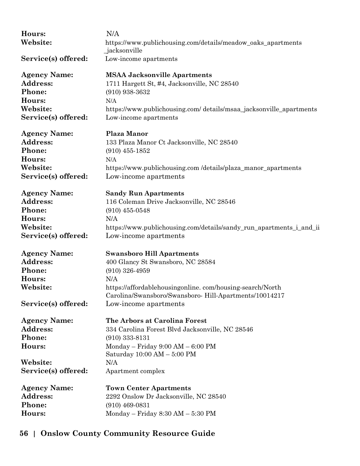| Hours:              | N/A                                                                           |
|---------------------|-------------------------------------------------------------------------------|
| Website:            | https://www.publichousing.com/details/meadow_oaks_apartments<br>_jacksonville |
| Service(s) offered: | Low-income apartments                                                         |
| <b>Agency Name:</b> | <b>MSAA Jacksonville Apartments</b>                                           |
| Address:            | 1711 Hargett St, #4, Jacksonville, NC 28540                                   |
| Phone:              | $(910)$ 938-3632                                                              |
| Hours:              | N/A                                                                           |
| Website:            | https://www.publichousing.com/ details/msaa_jacksonville_apartments           |
| Service(s) offered: | Low-income apartments                                                         |
| <b>Agency Name:</b> | <b>Plaza Manor</b>                                                            |
| <b>Address:</b>     | 133 Plaza Manor Ct Jacksonville, NC 28540                                     |
| Phone:              | $(910)$ 455-1852                                                              |
| Hours:              | N/A                                                                           |
| Website:            | https://www.publichousing.com/details/plaza_manor_apartments                  |
| Service(s) offered: | Low-income apartments                                                         |
| <b>Agency Name:</b> | <b>Sandy Run Apartments</b>                                                   |
| <b>Address:</b>     | 116 Coleman Drive Jacksonville, NC 28546                                      |
| Phone:              | $(910)$ 455-0548                                                              |
| Hours:              | N/A                                                                           |
| Website:            | https://www.publichousing.com/details/sandy_run_apartments_i_and_ii           |
| Service(s) offered: | Low-income apartments                                                         |
| <b>Agency Name:</b> | <b>Swansboro Hill Apartments</b>                                              |
| Address:            | 400 Glancy St Swansboro, NC 28584                                             |
| Phone:              | $(910)$ 326-4959                                                              |
| Hours:              | N/A                                                                           |
| Website:            | https://affordablehousingonline.com/housing-search/North                      |
|                     | Carolina/Swansboro/Swansboro-Hill-Apartments/10014217                         |
| Service(s) offered: | Low-income apartments                                                         |
| <b>Agency Name:</b> | The Arbors at Carolina Forest                                                 |
| Address:            | 334 Carolina Forest Blvd Jacksonville, NC 28546                               |
| Phone:              | $(910)$ 333-8131                                                              |
| Hours:              | Monday - Friday 9:00 AM - 6:00 PM<br>Saturday $10:00$ AM $-$ 5:00 PM          |
| Website:            | N/A                                                                           |
|                     |                                                                               |
| Service(s) offered: | Apartment complex                                                             |
| <b>Agency Name:</b> | <b>Town Center Apartments</b>                                                 |
| <b>Address:</b>     | 2292 Onslow Dr Jacksonville, NC 28540                                         |
| Phone:              | $(910)$ 469-0831                                                              |
| Hours:              | Monday - Friday 8:30 AM - 5:30 PM                                             |
|                     |                                                                               |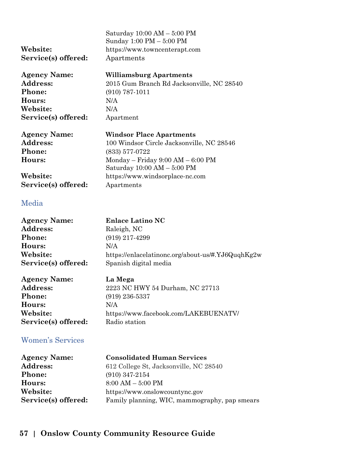|                     | Saturday 10:00 AM - 5:00 PM<br>Sunday 1:00 PM - 5:00 PM |
|---------------------|---------------------------------------------------------|
| <b>Website:</b>     | https://www.towncenterapt.com                           |
| Service(s) offered: | Apartments                                              |
| Agency Name:        | <b>Williamsburg Apartments</b>                          |
| <b>Address:</b>     | 2015 Gum Branch Rd Jacksonville, NC 28540               |
| <b>Phone:</b>       | $(910) 787 - 1011$                                      |
| <b>Hours:</b>       | N/A                                                     |
| <b>Website:</b>     | N/A                                                     |
| Service(s) offered: | Apartment                                               |
| <b>Agency Name:</b> | <b>Windsor Place Apartments</b>                         |
| <b>Address:</b>     | 100 Windsor Circle Jacksonville, NC 28546               |
| <b>Phone:</b>       | $(833)$ 577-0722                                        |
| <b>Hours:</b>       | Monday – Friday $9:00 AM - 6:00 PM$                     |
|                     | Saturday 10:00 AM - 5:00 PM                             |
| <b>Website:</b>     | https://www.windsorplace-nc.com                         |
| Service(s) offered: | Apartments                                              |
|                     |                                                         |

#### Media

| <b>Agency Name:</b> | <b>Enlace Latino NC</b>                           |
|---------------------|---------------------------------------------------|
| Address:            | Raleigh, NC                                       |
| <b>Phone:</b>       | $(919)$ 217-4299                                  |
| Hours:              | N/A                                               |
| Website:            | https://enlacelatinonc.org/about-us/#.YJ6QuqhKg2w |
| Service(s) offered: | Spanish digital media                             |

| <b>Agency Name:</b> | La Mega                               |
|---------------------|---------------------------------------|
| <b>Address:</b>     | 2223 NC HWY 54 Durham, NC 27713       |
| <b>Phone:</b>       | $(919)$ 236-5337                      |
| <b>Hours:</b>       | N/A                                   |
| Website:            | https://www.facebook.com/LAKEBUENATV/ |
| Service(s) offered: | Radio station                         |

### Women's Services

| <b>Agency Name:</b> | <b>Consolidated Human Services</b>            |
|---------------------|-----------------------------------------------|
| <b>Address:</b>     | 612 College St, Jacksonville, NC 28540        |
| <b>Phone:</b>       | $(910)$ 347-2154                              |
| Hours:              | $8:00 AM - 5:00 PM$                           |
| Website:            | https://www.onslowcountync.gov                |
| Service(s) offered: | Family planning, WIC, mammography, pap smears |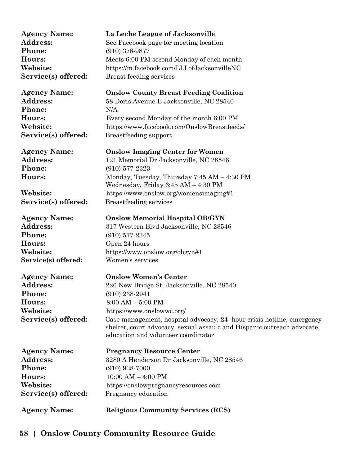| La Leche League of Jacksonville<br>See Facebook page for meeting location<br>$(910)$ 378-9877<br>Meets 6:00 PM second Monday of each month<br>https://m.facebook.com/LLLofJacksonvilleNC<br>Breast feeding services                                                                                                                         |
|---------------------------------------------------------------------------------------------------------------------------------------------------------------------------------------------------------------------------------------------------------------------------------------------------------------------------------------------|
| <b>Onslow County Breast Feeding Coalition</b><br>58 Doris Avenue E Jacksonville, NC 28540<br>N/A<br>Every second Monday of the month 6:00 PM<br>https://www.facebook.com/OnslowBreastfeeds/<br>Breastfeeding support                                                                                                                        |
| <b>Onslow Imaging Center for Women</b><br>121 Memorial Dr Jacksonville, NC 28546<br>$(910)$ 577-2323<br>Monday, Tuesday, Thursday $7:45$ AM $-4:30$ PM<br>Wednesday, Friday 6:45 AM - 4:30 PM<br>https://www.onslow.org/womensimaging#1<br>Breastfeeding services                                                                           |
| <b>Onslow Memorial Hospital OB/GYN</b><br>317 Western Blvd Jacksonville, NC 28546<br>$(910)$ 577-2345<br>Open 24 hours<br>https://www.onslow.org/obgyn#1<br>Women's services                                                                                                                                                                |
| <b>Onslow Women's Center</b><br>226 New Bridge St, Jacksonville, NC 28540<br>(910) 238-2941<br>$8:00 AM - 5:00 PM$<br>https://www.onslowwc.org/<br>Case management, hospital advocacy, 24- hour crisis hotline, emergency<br>shelter, court advocacy, sexual assault and Hispanic outreach advocate,<br>education and volunteer coordinator |
| <b>Pregnancy Resource Center</b><br>3280 A Henderson Dr Jacksonville, NC 28546<br>$(910)$ 938-7000<br>$10:00$ AM $-$ 4:00 PM<br>https://onslowpregnancyresources.com<br>Pregnancy education<br><b>Religious Community Services (RCS)</b>                                                                                                    |
|                                                                                                                                                                                                                                                                                                                                             |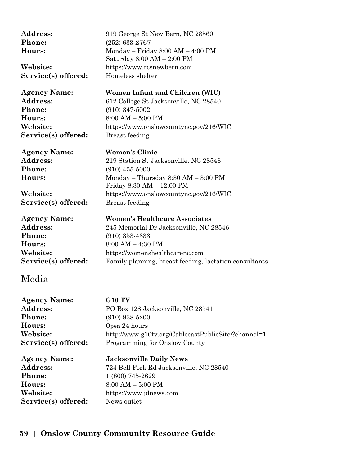| Address:<br>Phone:<br>Hours:<br>Website:<br>Service(s) offered: | 919 George St New Bern, NC 28560<br>$(252)$ 633-2767<br>Monday - Friday 8:00 AM - 4:00 PM<br>Saturday $8:00 AM - 2:00 PM$<br>https://www.rcsnewbern.com<br>Homeless shelter |
|-----------------------------------------------------------------|-----------------------------------------------------------------------------------------------------------------------------------------------------------------------------|
| <b>Agency Name:</b>                                             | Women Infant and Children (WIC)                                                                                                                                             |
| Address:<br>Phone:                                              | 612 College St Jacksonville, NC 28540                                                                                                                                       |
| Hours:                                                          | $(910)$ 347-5002<br>$8:00 AM - 5:00 PM$                                                                                                                                     |
| Website:                                                        | https://www.onslowcountync.gov/216/WIC                                                                                                                                      |
| Service(s) offered:                                             | <b>Breast</b> feeding                                                                                                                                                       |
| <b>Agency Name:</b>                                             | <b>Women's Clinic</b>                                                                                                                                                       |
| Address:                                                        | 219 Station St Jacksonville, NC 28546                                                                                                                                       |
| Phone:                                                          | $(910)$ 455-5000                                                                                                                                                            |
| Hours:                                                          | Monday - Thursday 8:30 AM - 3:00 PM<br>Friday 8:30 AM - 12:00 PM                                                                                                            |
| Website:                                                        | https://www.onslowcountync.gov/216/WIC                                                                                                                                      |
| Service(s) offered:                                             | <b>Breast</b> feeding                                                                                                                                                       |
| <b>Agency Name:</b>                                             | <b>Women's Healthcare Associates</b>                                                                                                                                        |
| Address:                                                        | 245 Memorial Dr Jacksonville, NC 28546                                                                                                                                      |
| Phone:                                                          | $(910)$ 353-4333                                                                                                                                                            |
| Hours:                                                          | $8:00 AM - 4:30 PM$                                                                                                                                                         |
| Website:                                                        | https://womenshealthcarenc.com                                                                                                                                              |
| Service(s) offered:                                             | Family planning, breast feeding, lactation consultants                                                                                                                      |
| Media                                                           |                                                                                                                                                                             |

| <b>Agency Name:</b> | <b>G10 TV</b>                                       |
|---------------------|-----------------------------------------------------|
| Address:            | PO Box 128 Jacksonville, NC 28541                   |
| Phone:              | $(910)$ 938-5200                                    |
| Hours:              | Open 24 hours                                       |
| Website:            | http://www.g10tv.org/CablecastPublicSite/?channel=1 |
| Service(s) offered: | Programming for Onslow County                       |
| <b>Agency Name:</b> | <b>Jacksonville Daily News</b>                      |
| Address:            | 724 Bell Fork Rd Jacksonville, NC 28540             |
| Phone:              | 1 (800) 745-2629                                    |
| Hours:              | $8:00 AM - 5:00 PM$                                 |
| Website:            | https://www.jdnews.com                              |
| Service(s) offered: | News outlet                                         |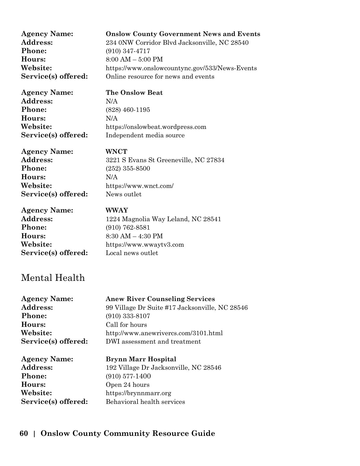| <b>Agency Name:</b> | <b>Onslow County Government News and Events</b> |
|---------------------|-------------------------------------------------|
| <b>Address:</b>     | 234 0NW Corridor Blvd Jacksonville, NC 28540    |
| <b>Phone:</b>       | $(910)$ 347-4717                                |
| Hours:              | $8:00 AM - 5:00 PM$                             |
| Website:            | https://www.onslowcountync.gov/533/News-Events  |
| Service(s) offered: | Online resource for news and events             |
|                     |                                                 |

**Address:** N/A **Phone:** (828) 460-1195 **Hours:** N/A

#### **Agency Name: The Onslow Beat**

**Website:** https://onslowbeat.wordpress.com **Service(s) offered:** Independent media source

**Agency Name: WNCT Phone:** (252) 355-8500 **Hours:** N/A **Service(s) offered:** News outlet

Address: 3221 S Evans St Greeneville, NC 27834 **Website:** https://www.wnct.com/

**Agency Name: WWAY Phone:** (910) 762-8581 **Hours:** 8:30 AM – 4:30 PM **Service(s) offered:** Local news outlet

Address: 1224 Magnolia Way Leland, NC 28541 **Website:** https://www.wwaytv3.com

## Mental Health

| <b>Agency Name:</b> | <b>Anew River Counseling Services</b>          |
|---------------------|------------------------------------------------|
| <b>Address:</b>     | 99 Village Dr Suite #17 Jacksonville, NC 28546 |
| <b>Phone:</b>       | $(910)$ 333-8107                               |
| Hours:              | Call for hours                                 |
| Website:            | http://www.anewrivercs.com/3101.html           |
| Service(s) offered: | DWI assessment and treatment                   |
|                     |                                                |

**Phone:** (910) 577-1400 **Hours:** Open 24 hours

**Agency Name: Brynn Marr Hospital** Address: 192 Village Dr Jacksonville, NC 28546 **Website:** https://brynnmarr.org **Service(s) offered:** Behavioral health services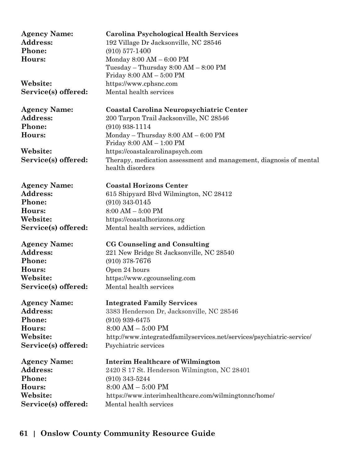| <b>Agency Name:</b><br>Address:<br>Phone:<br>Hours:<br>Website: | Carolina Psychological Health Services<br>192 Village Dr Jacksonville, NC 28546<br>$(910)$ 577-1400<br>Monday $8:00 AM - 6:00 PM$<br>Tuesday – Thursday $8:00 \text{ AM} - 8:00 \text{ PM}$<br>Friday 8:00 AM - 5:00 PM<br>https://www.cphsnc.com |
|-----------------------------------------------------------------|---------------------------------------------------------------------------------------------------------------------------------------------------------------------------------------------------------------------------------------------------|
| Service(s) offered:                                             | Mental health services                                                                                                                                                                                                                            |
| <b>Agency Name:</b>                                             | Coastal Carolina Neuropsychiatric Center                                                                                                                                                                                                          |
| Address:                                                        | 200 Tarpon Trail Jacksonville, NC 28546                                                                                                                                                                                                           |
| Phone:                                                          | $(910)$ 938-1114                                                                                                                                                                                                                                  |
| Hours:                                                          | Monday – Thursday $8:00$ AM – $6:00$ PM<br>Friday 8:00 AM - 1:00 PM                                                                                                                                                                               |
| Website:                                                        | https://coastalcarolinapsych.com                                                                                                                                                                                                                  |
| Service(s) offered:                                             | Therapy, medication assessment and management, diagnosis of mental<br>health disorders                                                                                                                                                            |
| <b>Agency Name:</b>                                             | <b>Coastal Horizons Center</b>                                                                                                                                                                                                                    |
| Address:                                                        | 615 Shipyard Blvd Wilmington, NC 28412                                                                                                                                                                                                            |
| Phone:                                                          | $(910)$ 343-0145                                                                                                                                                                                                                                  |
| Hours:                                                          | $8:00$ AM $-$ 5:00 PM                                                                                                                                                                                                                             |
| Website:                                                        | https://coastalhorizons.org                                                                                                                                                                                                                       |
| Service(s) offered:                                             | Mental health services, addiction                                                                                                                                                                                                                 |
| <b>Agency Name:</b>                                             | CG Counseling and Consulting                                                                                                                                                                                                                      |
| <b>Address:</b>                                                 | 221 New Bridge St Jacksonville, NC 28540                                                                                                                                                                                                          |
| Phone:                                                          | $(910)$ 378-7676                                                                                                                                                                                                                                  |
| Hours:                                                          | Open 24 hours                                                                                                                                                                                                                                     |
| Website:                                                        | https://www.cgcounseling.com                                                                                                                                                                                                                      |
| Service(s) offered:                                             | Mental health services                                                                                                                                                                                                                            |
| <b>Agency Name:</b>                                             | <b>Integrated Family Services</b>                                                                                                                                                                                                                 |
| <b>Address:</b>                                                 | 3383 Henderson Dr, Jacksonville, NC 28546                                                                                                                                                                                                         |
| Phone:                                                          | $(910)$ 939-6475                                                                                                                                                                                                                                  |
| Hours:                                                          | $8:00 AM - 5:00 PM$                                                                                                                                                                                                                               |
| Website:                                                        | http://www.integratedfamilyservices.net/services/psychiatric-service/                                                                                                                                                                             |
| Service(s) offered:                                             | Psychiatric services                                                                                                                                                                                                                              |
| <b>Agency Name:</b>                                             | <b>Interim Healthcare of Wilmington</b>                                                                                                                                                                                                           |
| <b>Address:</b>                                                 | 2420 S 17 St. Henderson Wilmington, NC 28401                                                                                                                                                                                                      |
| Phone:                                                          | $(910)$ 343-5244                                                                                                                                                                                                                                  |
| Hours:                                                          | $8:00 AM - 5:00 PM$                                                                                                                                                                                                                               |
| Website:                                                        | https://www.interimhealthcare.com/wilmingtonnc/home/                                                                                                                                                                                              |
| Service(s) offered:                                             | Mental health services                                                                                                                                                                                                                            |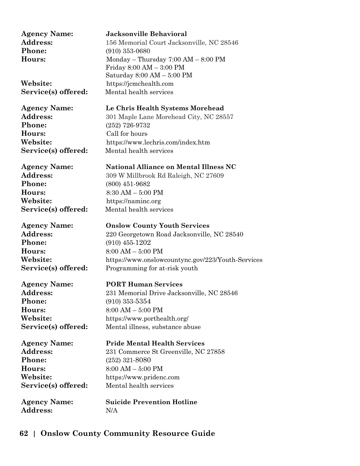| <b>Agency Name:</b> | <b>Jacksonville Behavioral</b>                    |
|---------------------|---------------------------------------------------|
| <b>Address:</b>     | 156 Memorial Court Jacksonville, NC 28546         |
| <b>Phone:</b>       | $(910)$ 353-0680                                  |
| <b>Hours:</b>       | Monday – Thursday $7:00$ AM – $8:00$ PM           |
|                     | Friday 8:00 AM - 3:00 PM                          |
|                     | Saturday 8:00 AM - 5:00 PM                        |
| Website:            | https://jcmchealth.com                            |
| Service(s) offered: | Mental health services                            |
| Agency Name:        | Le Chris Health Systems Morehead                  |
| <b>Address:</b>     | 301 Maple Lane Morehead City, NC 28557            |
| <b>Phone:</b>       | $(252)$ 726-9732                                  |
| Hours:              | Call for hours                                    |
|                     |                                                   |
| <b>Website:</b>     | https://www.lechris.com/index.htm                 |
| Service(s) offered: | Mental health services                            |
| Agency Name:        | <b>National Alliance on Mental Illness NC</b>     |
| <b>Address:</b>     | 309 W Millbrook Rd Raleigh, NC 27609              |
| <b>Phone:</b>       | $(800)$ 451-9682                                  |
| Hours:              | $8:30$ AM $-5:00$ PM                              |
| Website:            | https://naminc.org                                |
| Service(s) offered: | Mental health services                            |
|                     |                                                   |
| Agency Name:        | <b>Onslow County Youth Services</b>               |
| <b>Address:</b>     | 220 Georgetown Road Jacksonville, NC 28540        |
| <b>Phone:</b>       | $(910)$ 455-1202                                  |
| <b>Hours:</b>       | $8:00 AM - 5:00 PM$                               |
| <b>Website:</b>     | https://www.onslowcountync.gov/223/Youth-Services |
| Service(s) offered: | Programming for at-risk youth                     |
| Agency Name:        | <b>PORT Human Services</b>                        |
| Address:            | 231 Memorial Drive Jacksonville, NC 28546         |
| <b>Phone:</b>       | $(910)$ 353-5354                                  |
| <b>Hours:</b>       | $8:00 AM - 5:00 PM$                               |
| Website:            | https://www.porthealth.org/                       |
| Service(s) offered: | Mental illness, substance abuse                   |
|                     |                                                   |
| Agency Name:        | <b>Pride Mental Health Services</b>               |
| <b>Address:</b>     | 231 Commerce St Greenville, NC 27858              |
| <b>Phone:</b>       | $(252)$ 321-8080                                  |
| <b>Hours:</b>       | $8:00 AM - 5:00 PM$                               |
| <b>Website:</b>     | https://www.pridenc.com                           |
| Service(s) offered: | Mental health services                            |
|                     |                                                   |
| Agency Name:        | <b>Suicide Prevention Hotline</b>                 |
| <b>Address:</b>     | N/A                                               |
|                     |                                                   |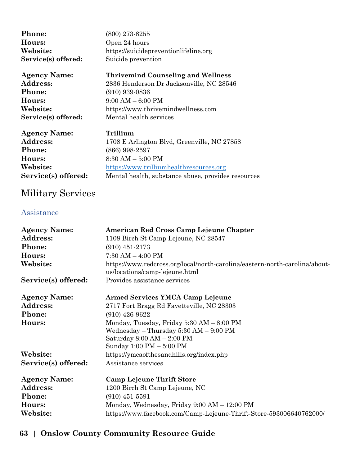| <b>Phone:</b><br>Hours:<br>Website:<br>Service(s) offered: | $(800)$ 273-8255<br>Open 24 hours<br>https://suicidepreventionlifeline.org<br>Suicide prevention |
|------------------------------------------------------------|--------------------------------------------------------------------------------------------------|
| <b>Agency Name:</b>                                        | <b>Thrivemind Counseling and Wellness</b>                                                        |
| Address:                                                   | 2836 Henderson Dr Jacksonville, NC 28546                                                         |
| <b>Phone:</b>                                              | $(910)$ 939-0836                                                                                 |
| Hours:                                                     | $9:00 AM - 6:00 PM$                                                                              |
| Website:                                                   | https://www.thrivemindwellness.com                                                               |
| Service(s) offered:                                        | Mental health services                                                                           |
| <b>Agency Name:</b>                                        | Trillium                                                                                         |
| Address:                                                   | 1708 E Arlington Blvd, Greenville, NC 27858                                                      |
| Phone:                                                     | $(866)$ 998-2597                                                                                 |
| Hours:                                                     | $8:30$ AM $-5:00$ PM                                                                             |
| Website:                                                   | https://www.trilliumhealthresources.org                                                          |
| Service(s) offered:                                        | Mental health, substance abuse, provides resources                                               |

# Military Services

### Assistance

| <b>Agency Name:</b> | American Red Cross Camp Lejeune Chapter                                                                       |
|---------------------|---------------------------------------------------------------------------------------------------------------|
| Address:            | 1108 Birch St Camp Lejeune, NC 28547                                                                          |
| Phone:              | $(910)$ 451-2173                                                                                              |
| Hours:              | $7:30$ AM $-$ 4:00 PM                                                                                         |
| Website:            | https://www.redcross.org/local/north-carolina/eastern-north-carolina/about-<br>us/locations/camp-lejeune.html |
| Service(s) offered: | Provides assistance services                                                                                  |
| <b>Agency Name:</b> | <b>Armed Services YMCA Camp Lejeune</b>                                                                       |
| Address:            | 2717 Fort Bragg Rd Fayetteville, NC 28303                                                                     |
| Phone:              | $(910)$ 426-9622                                                                                              |
| Hours:              | Monday, Tuesday, Friday $5:30$ AM $-8:00$ PM<br>Wednesday $-$ Thursday 5:30 AM $-$ 9:00 PM                    |
|                     | Saturday $8:00 \text{ AM} - 2:00 \text{ PM}$                                                                  |
|                     | Sunday 1:00 PM - 5:00 PM                                                                                      |
| Website:            | https://ymcaofthesandhills.org/index.php                                                                      |
| Service(s) offered: | Assistance services                                                                                           |
| <b>Agency Name:</b> | <b>Camp Lejeune Thrift Store</b>                                                                              |
| Address:            | 1200 Birch St Camp Lejeune, NC                                                                                |
| Phone:              | $(910)$ 451-5591                                                                                              |
| Hours:              | Monday, Wednesday, Friday 9:00 AM - 12:00 PM                                                                  |
| Website:            | https://www.facebook.com/Camp-Lejeune-Thrift-Store-593006640762000/                                           |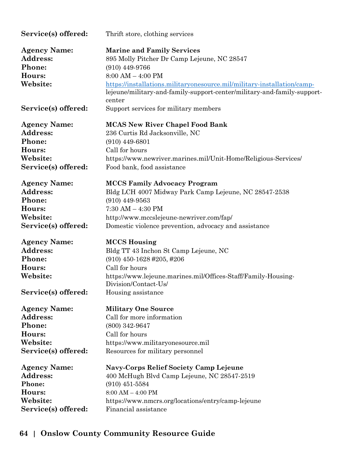| Service(s) offered:                                                                           | Thrift store, clothing services                                                                                                                                                                                                                                                               |
|-----------------------------------------------------------------------------------------------|-----------------------------------------------------------------------------------------------------------------------------------------------------------------------------------------------------------------------------------------------------------------------------------------------|
| <b>Agency Name:</b><br><b>Address:</b><br>Phone:<br>Hours:<br>Website:                        | <b>Marine and Family Services</b><br>895 Molly Pitcher Dr Camp Lejeune, NC 28547<br>$(910)$ 449-9766<br>$8:00$ AM $-$ 4:00 PM<br>https://installations.militaryonesource.mil/military-installation/camp-<br>lejeune/military-and-family-support-center/military-and-family-support-<br>center |
| Service(s) offered:                                                                           | Support services for military members                                                                                                                                                                                                                                                         |
| <b>Agency Name:</b>                                                                           | <b>MCAS New River Chapel Food Bank</b>                                                                                                                                                                                                                                                        |
| Address:                                                                                      | 236 Curtis Rd Jacksonville, NC                                                                                                                                                                                                                                                                |
| Phone:                                                                                        | $(910)$ 449-6801                                                                                                                                                                                                                                                                              |
| Hours:                                                                                        | Call for hours                                                                                                                                                                                                                                                                                |
| Website:                                                                                      | https://www.newriver.marines.mil/Unit-Home/Religious-Services/                                                                                                                                                                                                                                |
| Service(s) offered:                                                                           | Food bank, food assistance                                                                                                                                                                                                                                                                    |
| <b>Agency Name:</b>                                                                           | <b>MCCS Family Advocacy Program</b>                                                                                                                                                                                                                                                           |
| Address:                                                                                      | Bldg LCH 4007 Midway Park Camp Lejeune, NC 28547-2538                                                                                                                                                                                                                                         |
| Phone:                                                                                        | $(910)$ 449-9563                                                                                                                                                                                                                                                                              |
| Hours:                                                                                        | $7:30$ AM $-$ 4:30 PM                                                                                                                                                                                                                                                                         |
| Website:                                                                                      | http://www.mccslejeune-newriver.com/fap/                                                                                                                                                                                                                                                      |
| Service(s) offered:                                                                           | Domestic violence prevention, advocacy and assistance                                                                                                                                                                                                                                         |
| <b>Agency Name:</b><br><b>Address:</b><br>Phone:<br>Hours:<br>Website:<br>Service(s) offered: | <b>MCCS</b> Housing<br>Bldg TT 43 Inchon St Camp Lejeune, NC<br>$(910)$ 450-1628 #205, #206<br>Call for hours<br>https://www.lejeune.marines.mil/Offices-Staff/Family-Housing-<br>Division/Contact-Us/<br>Housing assistance                                                                  |
| <b>Agency Name:</b>                                                                           | <b>Military One Source</b>                                                                                                                                                                                                                                                                    |
| Address:                                                                                      | Call for more information                                                                                                                                                                                                                                                                     |
| Phone:                                                                                        | $(800)$ 342-9647                                                                                                                                                                                                                                                                              |
| Hours:                                                                                        | Call for hours                                                                                                                                                                                                                                                                                |
| Website:                                                                                      | https://www.militaryonesource.mil                                                                                                                                                                                                                                                             |
| Service(s) offered:                                                                           | Resources for military personnel                                                                                                                                                                                                                                                              |
| <b>Agency Name:</b>                                                                           | Navy-Corps Relief Society Camp Lejeune                                                                                                                                                                                                                                                        |
| <b>Address:</b>                                                                               | 400 McHugh Blvd Camp Lejeune, NC 28547-2519                                                                                                                                                                                                                                                   |
| Phone:                                                                                        | $(910)$ 451-5584                                                                                                                                                                                                                                                                              |
| Hours:                                                                                        | $8:00$ AM $-$ 4:00 PM                                                                                                                                                                                                                                                                         |
| Website:                                                                                      | https://www.nmcrs.org/locations/entry/camp-lejeune                                                                                                                                                                                                                                            |
| Service(s) offered:                                                                           | Financial assistance                                                                                                                                                                                                                                                                          |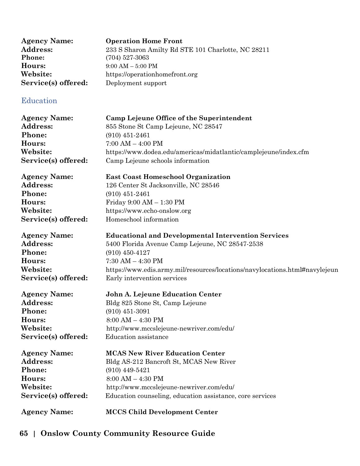| <b>Agency Name:</b> | <b>Operation Home Front</b>                        |
|---------------------|----------------------------------------------------|
| <b>Address:</b>     | 233 S Sharon Amilty Rd STE 101 Charlotte, NC 28211 |
| <b>Phone:</b>       | $(704)$ 527-3063                                   |
| Hours:              | $9:00 AM - 5:00 PM$                                |
| Website:            | https://operationhomefront.org                     |
| Service(s) offered: | Deployment support                                 |
|                     |                                                    |

### Education

| <b>Agency Name:</b> | Camp Lejeune Office of the Superintendent                                   |
|---------------------|-----------------------------------------------------------------------------|
| Address:            | 855 Stone St Camp Lejeune, NC 28547                                         |
| Phone:              | $(910)$ 451-2461                                                            |
| Hours:              | $7:00$ AM $-$ 4:00 PM                                                       |
| Website:            | https://www.dodea.edu/americas/midatlantic/camplejeune/index.cfm            |
| Service(s) offered: | Camp Lejeune schools information                                            |
|                     |                                                                             |
| <b>Agency Name:</b> | <b>East Coast Homeschool Organization</b>                                   |
| <b>Address:</b>     | 126 Center St Jacksonville, NC 28546                                        |
| Phone:              | $(910)$ 451-2461                                                            |
| Hours:              | Friday 9:00 AM - 1:30 PM                                                    |
| Website:            | https://www.echo-onslow.org                                                 |
| Service(s) offered: | Homeschool information                                                      |
|                     |                                                                             |
| <b>Agency Name:</b> | <b>Educational and Developmental Intervention Services</b>                  |
| <b>Address:</b>     | 5400 Florida Avenue Camp Lejeune, NC 28547-2538                             |
| Phone:              | $(910)$ 450-4127                                                            |
| Hours:              | $7:30$ AM $-$ 4:30 PM                                                       |
| Website:            | https://www.edis.army.mil/resources/locations/navylocations.html#navylejeun |
| Service(s) offered: | Early intervention services                                                 |
| <b>Agency Name:</b> | John A. Lejeune Education Center                                            |
| <b>Address:</b>     | Bldg 825 Stone St, Camp Lejeune                                             |
| Phone:              | $(910)$ 451-3091                                                            |
| Hours:              | $8:00 AM - 4:30 PM$                                                         |
| Website:            | http://www.mccslejeune-newriver.com/edu/                                    |
| Service(s) offered: | <b>Education</b> assistance                                                 |
|                     |                                                                             |
| <b>Agency Name:</b> | <b>MCAS New River Education Center</b>                                      |
| <b>Address:</b>     | Bldg AS-212 Bancroft St, MCAS New River                                     |
| Phone:              | $(910)$ 449-5421                                                            |
| Hours:              | $8:00 AM - 4:30 PM$                                                         |
| Website:            | http://www.mccslejeune-newriver.com/edu/                                    |
| Service(s) offered: | Education counseling, education assistance, core services                   |
|                     |                                                                             |
|                     |                                                                             |

**Agency Name: MCCS Child Development Center**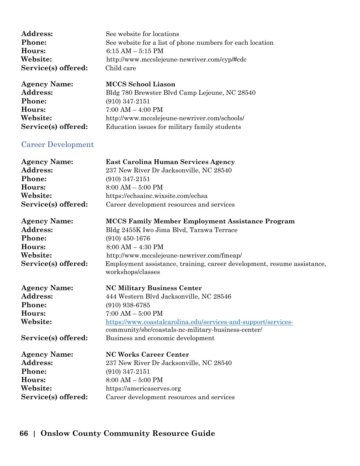| <b>Address:</b>     | See website for locations                                                         |
|---------------------|-----------------------------------------------------------------------------------|
| <b>Phone:</b>       | See website for a list of phone numbers for each location                         |
| Hours:              | $6:15 AM - 5:15 PM$                                                               |
| Website:            | http://www.mccslejeune-newriver.com/cyp/#cdc                                      |
| Service(s) offered: | Child care                                                                        |
| <b>Agency Name:</b> | <b>MCCS</b> School Liason                                                         |
| Addxoce             | $P_{\text{old}}$ 780 Browston $R_{\text{val}}$ Comp Loisure, $N_{\text{Q}}$ 98540 |

**Address:** Bldg 780 Brewster Blvd Camp Lejeune, NC 28540 **Phone:** (910) 347-2151 **Hours:** 7:00 AM – 4:00 PM **Website:** http://www.mccslejeune-newriver.com/schools/ **Service(s) offered:** Education issues for military family students

#### Career Development

| <b>Agency Name:</b> | <b>East Carolina Human Services Agency</b> |
|---------------------|--------------------------------------------|
| <b>Address:</b>     | 237 New River Dr Jacksonville, NC 28540    |
| Phone:              | $(910)$ 347-2151                           |
| Hours:              | $8:00 AM - 5:00 PM$                        |
| Website:            | https://echsainc.wixsite.com/echsa         |
| Service(s) offered: | Career development resources and services  |
|                     |                                            |

**Phone:** (910) 450-1676 **Hours:** 8:00 AM – 4:30 PM

**Agency Name: MCCS Family Member Employment Assistance Program** Address: Bldg 2455K Iwo Jima Blvd, Tarawa Terrace **Website:** http://www.mccslejeune-newriver.com/fmeap/ Service(s) offered: Employment assistance, training, career development, resume assistance, workshops/classes

**Agency Name: NC Military Business Center Phone:** (910) 938-6785

Address: 444 Western Blvd Jacksonville, NC 28546 **Hours:** 7:00 AM – 5:00 PM **Website:** [https://www.coastalcarolina.edu/services-and-support/services](https://www.coastalcarolina.edu/services-and-support/services-)community/sbc/coastals-nc-military-business-center/ **Service(s) offered:** Business and economic development

**Phone:** (910) 347-2151

**Agency Name: NC Works Career Center** Address: 237 New River Dr Jacksonville, NC 28540 **Hours:** 8:00 AM – 5:00 PM **Website:** https://americaserves.org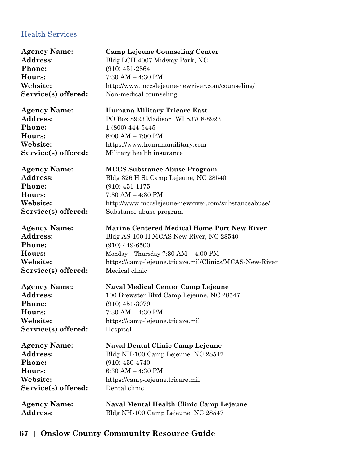### Health Services

| <b>Agency Name:</b> | <b>Camp Lejeune Counseling Center</b>                   |
|---------------------|---------------------------------------------------------|
| Address:            | Bldg LCH 4007 Midway Park, NC                           |
| Phone:              | $(910)$ 451-2864                                        |
| Hours:              | $7:30$ AM $-$ 4:30 PM                                   |
| Website:            | http://www.mccslejeune-newriver.com/counseling/         |
| Service(s) offered: | Non-medical counseling                                  |
| <b>Agency Name:</b> | <b>Humana Military Tricare East</b>                     |
| Address:            | PO Box 8923 Madison, WI 53708-8923                      |
| Phone:              | 1 (800) 444-5445                                        |
| Hours:              | $8:00 AM - 7:00 PM$                                     |
| Website:            | https://www.humanamilitary.com                          |
| Service(s) offered: | Military health insurance                               |
| <b>Agency Name:</b> | <b>MCCS Substance Abuse Program</b>                     |
| Address:            | Bldg 326 H St Camp Lejeune, NC 28540                    |
| Phone:              | $(910)$ 451-1175                                        |
| Hours:              | $7:30$ AM $-$ 4:30 PM                                   |
| Website:            | http://www.mccslejeune-newriver.com/substanceabuse/     |
| Service(s) offered: | Substance abuse program                                 |
| <b>Agency Name:</b> | <b>Marine Centered Medical Home Port New River</b>      |
| Address:            | Bldg AS-100 H MCAS New River, NC 28540                  |
| Phone:              | $(910)$ 449-6500                                        |
| Hours:              | Monday – Thursday $7:30$ AM – $4:00$ PM                 |
| Website:            | https://camp-lejeune.tricare.mil/Clinics/MCAS-New-River |
| Service(s) offered: | Medical clinic                                          |
| <b>Agency Name:</b> | <b>Naval Medical Center Camp Lejeune</b>                |
| Address:            | 100 Brewster Blvd Camp Lejeune, NC 28547                |
| Phone:              | $(910)$ 451-3079                                        |
| Hours:              | $7:30$ AM $-$ 4:30 PM                                   |
| Website:            | https://camp-lejeune.tricare.mil                        |
| Service(s) offered: | Hospital                                                |
| <b>Agency Name:</b> | <b>Naval Dental Clinic Camp Lejeune</b>                 |
| Address:            | Bldg NH-100 Camp Lejeune, NC 28547                      |
| Phone:              | $(910)$ 450-4740                                        |
| Hours:              | 6:30 AM $-$ 4:30 PM                                     |
| Website:            | https://camp-lejeune.tricare.mil                        |
| Service(s) offered: | Dental clinic                                           |
| <b>Agency Name:</b> | Naval Mental Health Clinic Camp Lejeune                 |
| Address:            | Bldg NH-100 Camp Lejeune, NC 28547                      |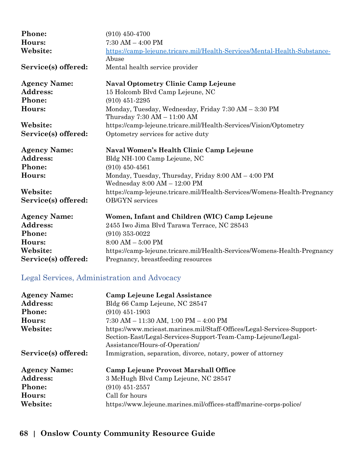| Phone:              | $(910)$ 450-4700                                                                                      |
|---------------------|-------------------------------------------------------------------------------------------------------|
| Hours:              | $7:30 AM - 4:00 PM$                                                                                   |
| Website:            | https://camp-lejeune.tricare.mil/Health-Services/Mental-Health-Substance-<br>Abuse                    |
| Service(s) offered: | Mental health service provider                                                                        |
| <b>Agency Name:</b> | <b>Naval Optometry Clinic Camp Lejeune</b>                                                            |
| Address:            | 15 Holcomb Blvd Camp Lejeune, NC                                                                      |
| <b>Phone:</b>       | $(910)$ 451-2295                                                                                      |
| Hours:              | Monday, Tuesday, Wednesday, Friday 7:30 AM - 3:30 PM<br>Thursday $7:30 \text{ AM} - 11:00 \text{ AM}$ |
| Website:            | https://camp-lejeune.tricare.mil/Health-Services/Vision/Optometry                                     |
| Service(s) offered: | Optometry services for active duty                                                                    |
|                     |                                                                                                       |
| <b>Agency Name:</b> | Naval Women's Health Clinic Camp Lejeune                                                              |
| Address:            | Bldg NH-100 Camp Lejeune, NC                                                                          |
| Phone:              | $(910)$ 450-4561                                                                                      |
| Hours:              | Monday, Tuesday, Thursday, Friday 8:00 AM - 4:00 PM<br>Wednesday $8:00 AM - 12:00 PM$                 |
| Website:            | https://camp-lejeune.tricare.mil/Health-Services/Womens-Health-Pregnancy                              |
| Service(s) offered: | OB/GYN services                                                                                       |
| <b>Agency Name:</b> | Women, Infant and Children (WIC) Camp Lejeune                                                         |
| <b>Address:</b>     | 2455 Iwo Jima Blvd Tarawa Terrace, NC 28543                                                           |
| Phone:              | $(910)$ 353-0022                                                                                      |
| Hours:              | $8:00 AM - 5:00 PM$                                                                                   |
| Website:            | https://camp-lejeune.tricare.mil/Health-Services/Womens-Health-Pregnancy                              |

### Legal Services, Administration and Advocacy

| <b>Agency Name:</b><br>Address: | Camp Lejeune Legal Assistance<br>Bldg 66 Camp Lejeune, NC 28547                                                                                                         |
|---------------------------------|-------------------------------------------------------------------------------------------------------------------------------------------------------------------------|
| <b>Phone:</b>                   | $(910)$ 451-1903                                                                                                                                                        |
| Hours:                          | $7:30$ AM $- 11:30$ AM, $1:00$ PM $- 4:00$ PM                                                                                                                           |
| Website:                        | https://www.mcieast.marines.mil/Staff-Offices/Legal-Services-Support-<br>Section-East/Legal-Services-Support-Team-Camp-Lejeune/Legal-<br>Assistance/Hours-of-Operation/ |
| Service(s) offered:             | Immigration, separation, divorce, notary, power of attorney                                                                                                             |
| <b>Agency Name:</b>             | Camp Lejeune Provost Marshall Office                                                                                                                                    |
| <b>Address:</b>                 | 3 McHugh Blvd Camp Lejeune, NC 28547                                                                                                                                    |
| <b>Phone:</b>                   | $(910)$ 451-2557                                                                                                                                                        |
| Hours:                          | Call for hours                                                                                                                                                          |
| Website:                        | https://www.lejeune.marines.mil/offices-staff/marine-corps-police/                                                                                                      |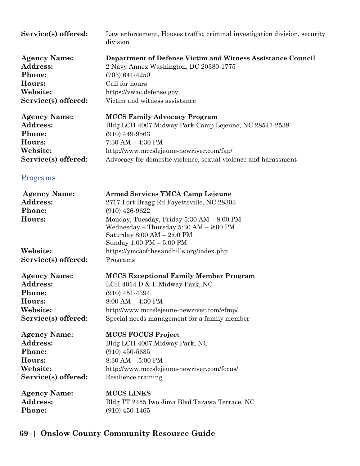| Service(s) offered:                                                                    | Law enforcement, Houses traffic, criminal investigation division, security<br>division                                                                                                                                                                                                                                  |
|----------------------------------------------------------------------------------------|-------------------------------------------------------------------------------------------------------------------------------------------------------------------------------------------------------------------------------------------------------------------------------------------------------------------------|
| <b>Agency Name:</b>                                                                    | Department of Defense Victim and Witness Assistance Council                                                                                                                                                                                                                                                             |
| Address:                                                                               | 2 Navy Annex Washington, DC 20380-1775                                                                                                                                                                                                                                                                                  |
| Phone:                                                                                 | $(703) 641 - 4250$                                                                                                                                                                                                                                                                                                      |
| Hours:                                                                                 | Call for hours                                                                                                                                                                                                                                                                                                          |
| Website:                                                                               | https://vwac.defense.gov                                                                                                                                                                                                                                                                                                |
| Service(s) offered:                                                                    | Victim and witness assistance                                                                                                                                                                                                                                                                                           |
| <b>Agency Name:</b>                                                                    | <b>MCCS Family Advocacy Program</b>                                                                                                                                                                                                                                                                                     |
| Address:                                                                               | Bldg LCH 4007 Midway Park Camp Lejeune, NC 28547-2538                                                                                                                                                                                                                                                                   |
| Phone:                                                                                 | $(910)$ 449-9563                                                                                                                                                                                                                                                                                                        |
| Hours:                                                                                 | $7:30$ AM $-$ 4:30 PM                                                                                                                                                                                                                                                                                                   |
| Website:                                                                               | http://www.mccslejeune-newriver.com/fap/                                                                                                                                                                                                                                                                                |
| Service(s) offered:                                                                    | Advocacy for domestic violence, sexual violence and harassment                                                                                                                                                                                                                                                          |
| Programs                                                                               |                                                                                                                                                                                                                                                                                                                         |
| <b>Agency Name:</b><br>Address:<br>Phone:<br>Hours:<br>Website:<br>Service(s) offered: | <b>Armed Services YMCA Camp Lejeune</b><br>2717 Fort Bragg Rd Fayetteville, NC 28303<br>$(910)$ 426-9622<br>Monday, Tuesday, Friday 5:30 AM - 8:00 PM<br>Wednesday $-$ Thursday 5:30 AM $-$ 9:00 PM<br>Saturday $8:00 AM - 2:00 PM$<br>Sunday 1:00 PM - 5:00 PM<br>https://ymcaofthesandhills.org/index.php<br>Programs |
| <b>Agency Name:</b>                                                                    | <b>MCCS Exceptional Family Member Program</b>                                                                                                                                                                                                                                                                           |
| Address:                                                                               | LCH 4014 D & E Midway Park, NC                                                                                                                                                                                                                                                                                          |
| Phone:                                                                                 | $(910)$ 451-4394                                                                                                                                                                                                                                                                                                        |
| Hours:                                                                                 | $8:00 AM - 4:30 PM$                                                                                                                                                                                                                                                                                                     |
| Website:                                                                               | http://www.mccslejeune-newriver.com/efmp/                                                                                                                                                                                                                                                                               |
| Service(s) offered:                                                                    | Special needs management for a family member                                                                                                                                                                                                                                                                            |
| <b>Agency Name:</b>                                                                    | <b>MCCS FOCUS Project</b>                                                                                                                                                                                                                                                                                               |
| <b>Address:</b>                                                                        | Bldg LCH 4007 Midway Park, NC                                                                                                                                                                                                                                                                                           |
| Phone:                                                                                 | $(910)$ 450-5635                                                                                                                                                                                                                                                                                                        |
| Hours:                                                                                 | $8:30$ AM $-5:00$ PM                                                                                                                                                                                                                                                                                                    |
| Website:                                                                               | http://www.mccslejeune-newriver.com/focus/                                                                                                                                                                                                                                                                              |
| Service(s) offered:                                                                    | Resilience training                                                                                                                                                                                                                                                                                                     |
| <b>Agency Name:</b>                                                                    | <b>MCCS LINKS</b>                                                                                                                                                                                                                                                                                                       |
| <b>Address:</b>                                                                        | Bldg TT 2455 Iwo Jima Blvd Tarawa Terrace, NC                                                                                                                                                                                                                                                                           |
| Phone:                                                                                 | $(910)$ 450-1465                                                                                                                                                                                                                                                                                                        |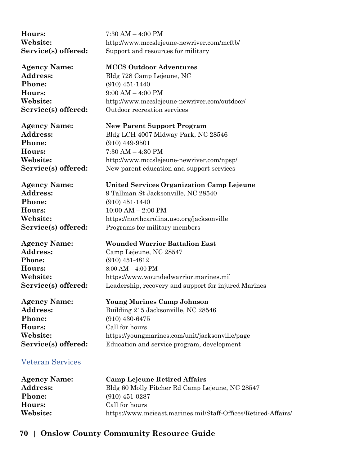**Hours:** 7:30 AM – 4:00 PM

**Phone:** (910) 451-1440 **Hours:** 9:00 AM – 4:00 PM

**Website:** http://www.mccslejeune-newriver.com/mcftb/ **Service(s) offered:** Support and resources for military

#### **Agency Name: MCCS Outdoor Adventures**

**Address:** Bldg 728 Camp Lejeune, NC **Website:** http://www.mccslejeune-newriver.com/outdoor/ **Service(s) offered:** Outdoor recreation services

**Agency Name: New Parent Support Program Phone:** (910) 449-9501 **Hours:** 7:30 AM – 4:30 PM

**Address:** Bldg LCH 4007 Midway Park, NC 28546 **Website:** http://www.mccslejeune-newriver.com/npsp/ **Service(s) offered:** New parent education and support services

**Phone:** (910) 451-1440 **Hours:** 10:00 AM – 2:00 PM

**Agency Name: Wounded Warrior Battalion East Phone:** (910) 451-4812 **Hours:** 8:00 AM – 4:00 PM

**Phone:** (910) 430-6475 **Hours:** Call for hours

**Agency Name: United Services Organization Camp Lejeune**

Address: 9 Tallman St Jacksonville, NC 28540 **Website:** https://northcarolina.uso.org/jacksonville **Service(s) offered:** Programs for military members

**Address:** Camp Lejeune, NC 28547 **Website:** https://www.woundedwarrior.marines.mil **Service(s) offered:** Leadership, recovery and support for injured Marines

**Agency Name: Young Marines Camp Johnson** Address: Building 215 Jacksonville, NC 28546 **Website:** https://youngmarines.com/unit/jacksonville/page **Service(s) offered:** Education and service program, development

#### Veteran Services

| <b>Agency Name:</b> | <b>Camp Lejeune Retired Affairs</b>                            |
|---------------------|----------------------------------------------------------------|
| <b>Address:</b>     | Bldg 60 Molly Pitcher Rd Camp Lejeune, NC 28547                |
| <b>Phone:</b>       | $(910)$ 451-0287                                               |
| Hours:              | Call for hours                                                 |
| Website:            | https://www.mcieast.marines.mil/Staff-Offices/Retired-Affairs/ |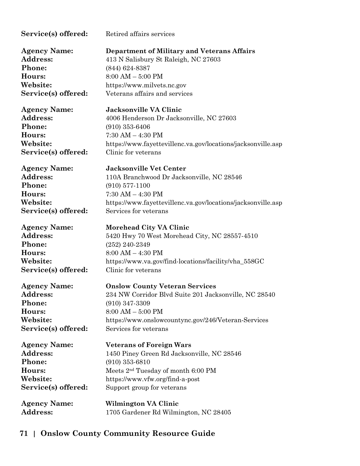| Service(s) offered: | Retired affairs services                                     |
|---------------------|--------------------------------------------------------------|
| <b>Agency Name:</b> | <b>Department of Military and Veterans Affairs</b>           |
| Address:            | 413 N Salisbury St Raleigh, NC 27603                         |
| Phone:              | $(844) 624 - 8387$                                           |
| Hours:              | $8:00 AM - 5:00 PM$                                          |
| Website:            | https://www.milvets.nc.gov                                   |
| Service(s) offered: | Veterans affairs and services                                |
| <b>Agency Name:</b> | <b>Jacksonville VA Clinic</b>                                |
| <b>Address:</b>     | 4006 Henderson Dr Jacksonville, NC 27603                     |
| Phone:              | $(910)$ 353-6406                                             |
| Hours:              | $7:30$ AM $-$ 4:30 PM                                        |
| Website:            | https://www.fayettevillenc.va.gov/locations/jacksonville.asp |
| Service(s) offered: | Clinic for veterans                                          |
| <b>Agency Name:</b> | <b>Jacksonville Vet Center</b>                               |
| Address:            | 110A Branchwood Dr Jacksonville, NC 28546                    |
| Phone:              | $(910)$ 577-1100                                             |
| Hours:              | $7:30$ AM $-$ 4:30 PM                                        |
| Website:            | https://www.fayettevillenc.va.gov/locations/jacksonville.asp |
| Service(s) offered: | Services for veterans                                        |
| <b>Agency Name:</b> | <b>Morehead City VA Clinic</b>                               |
| Address:            | 5420 Hwy 70 West Morehead City, NC 28557-4510                |
| Phone:              | $(252) 240 - 2349$                                           |
| Hours:              | $8:00$ AM $-$ 4:30 PM                                        |
| Website:            | https://www.va.gov/find-locations/facility/vha_558GC         |
| Service(s) offered: | Clinic for veterans                                          |
| <b>Agency Name:</b> | <b>Onslow County Veteran Services</b>                        |
| <b>Address:</b>     | 234 NW Corridor Blvd Suite 201 Jacksonville, NC 28540        |
| Phone:              | $(910)$ 347-3309                                             |
| Hours:              | $8:00 AM - 5:00 PM$                                          |
| Website:            | https://www.onslowcountync.gov/246/Veteran-Services          |
| Service(s) offered: | Services for veterans                                        |
| <b>Agency Name:</b> | <b>Veterans of Foreign Wars</b>                              |
| Address:            | 1450 Piney Green Rd Jacksonville, NC 28546                   |
| Phone:              | $(910)$ 353-6810                                             |
| Hours:              | Meets 2 <sup>nd</sup> Tuesday of month 6:00 PM               |
| Website:            | https://www.vfw.org/find-a-post                              |
| Service(s) offered: | Support group for veterans                                   |
| <b>Agency Name:</b> | Wilmington VA Clinic                                         |
| Address:            | 1705 Gardener Rd Wilmington, NC 28405                        |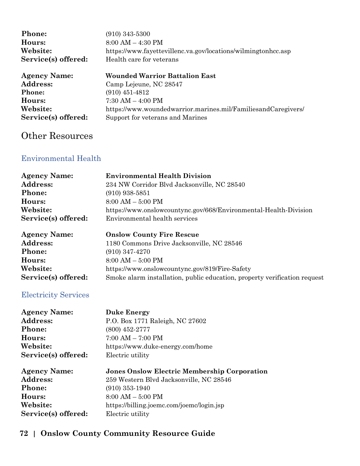| <b>Phone:</b>       | $(910)$ 343-5300                                              |
|---------------------|---------------------------------------------------------------|
| Hours:              | $8:00 AM - 4:30 PM$                                           |
| Website:            | https://www.fayettevillenc.va.gov/locations/wilmingtonhcc.asp |
| Service(s) offered: | Health care for veterans                                      |
| <b>Agency Name:</b> | <b>Wounded Warrior Battalion East</b>                         |
| <b>Address:</b>     | Camp Lejeune, NC 28547                                        |
| Phone:              | $(910)$ 451-4812                                              |
| Hours:              | $7:30$ AM $-$ 4:00 PM                                         |
| Website:            | https://www.woundedwarrior.marines.mil/FamiliesandCaregivers/ |
| Service(s) offered: | Support for veterans and Marines                              |
|                     |                                                               |

# Other Resources

### Environmental Health

| <b>Agency Name:</b><br><b>Address:</b><br>Phone:<br>Hours:<br>Website:<br>Service(s) offered: | <b>Environmental Health Division</b><br>234 NW Corridor Blvd Jacksonville, NC 28540<br>$(910)$ 938-5851<br>$8:00 AM - 5:00 PM$<br>https://www.onslowcountync.gov/668/Environmental-Health-Division<br>Environmental health services |
|-----------------------------------------------------------------------------------------------|-------------------------------------------------------------------------------------------------------------------------------------------------------------------------------------------------------------------------------------|
| <b>Agency Name:</b>                                                                           | <b>Onslow County Fire Rescue</b>                                                                                                                                                                                                    |
| Address:                                                                                      | 1180 Commons Drive Jacksonville, NC 28546                                                                                                                                                                                           |
| Phone:                                                                                        | $(910)$ 347-4270                                                                                                                                                                                                                    |
| Hours:                                                                                        | $8:00 AM - 5:00 PM$                                                                                                                                                                                                                 |
| Website:                                                                                      | https://www.onslowcountync.gov/819/Fire-Safety                                                                                                                                                                                      |
| Service(s) offered:                                                                           | Smoke alarm installation, public education, property verification request                                                                                                                                                           |
| <b>Electricity Services</b>                                                                   |                                                                                                                                                                                                                                     |
| <b>Agency Name:</b>                                                                           | <b>Duke Energy</b>                                                                                                                                                                                                                  |
| <b>Address:</b>                                                                               | P.O. Box 1771 Raleigh, NC 27602                                                                                                                                                                                                     |
| Phone:                                                                                        | $(800)$ 452-2777                                                                                                                                                                                                                    |
| Hours:                                                                                        | $7:00 AM - 7:00 PM$                                                                                                                                                                                                                 |
| Website:                                                                                      | https://www.duke-energy.com/home                                                                                                                                                                                                    |
| Service(s) offered:                                                                           | Electric utility                                                                                                                                                                                                                    |
| <b>Agency Name:</b>                                                                           | <b>Jones Onslow Electric Membership Corporation</b>                                                                                                                                                                                 |
| Address:                                                                                      | 259 Western Blvd Jacksonville, NC 28546                                                                                                                                                                                             |
| Phone:                                                                                        | $(910)$ 353-1940                                                                                                                                                                                                                    |
| Hours:                                                                                        | $8:00 AM - 5:00 PM$                                                                                                                                                                                                                 |
| Website:                                                                                      | https://billing.joemc.com/joemc/login.jsp                                                                                                                                                                                           |
| Service(s) offered:                                                                           | Electric utility                                                                                                                                                                                                                    |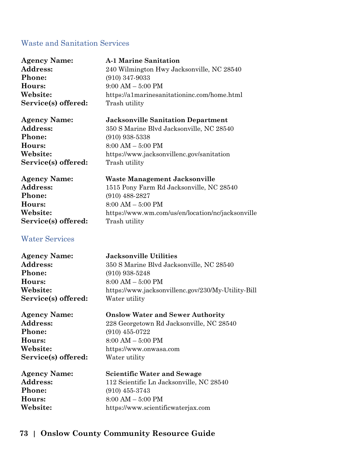#### Waste and Sanitation Services

| <b>Agency Name:</b>   | <b>A-1 Marine Sanitation</b>                       |
|-----------------------|----------------------------------------------------|
| Address:              | 240 Wilmington Hwy Jacksonville, NC 28540          |
| Phone:                | $(910)$ 347-9033                                   |
| Hours:                | $9:00 AM - 5:00 PM$                                |
| Website:              | https://a1marinesanitationinc.com/home.html        |
| Service(s) offered:   | Trash utility                                      |
| <b>Agency Name:</b>   | <b>Jacksonville Sanitation Department</b>          |
| <b>Address:</b>       | 350 S Marine Blvd Jacksonville, NC 28540           |
| Phone:                | $(910)$ 938-5338                                   |
| Hours:                | $8:00$ AM $-5:00$ PM                               |
| Website:              | https://www.jacksonvillenc.gov/sanitation          |
| Service(s) offered:   | Trash utility                                      |
| <b>Agency Name:</b>   | Waste Management Jacksonville                      |
| Address:              | 1515 Pony Farm Rd Jacksonville, NC 28540           |
| Phone:                | $(910)$ 488-2827                                   |
| Hours:                | $8:00 AM - 5:00 PM$                                |
| Website:              | https://www.wm.com/us/en/location/nc/jacksonville  |
| Service(s) offered:   | Trash utility                                      |
| <b>Water Services</b> |                                                    |
| <b>Agency Name:</b>   | <b>Jacksonville Utilities</b>                      |
| <b>Address:</b>       | 350 S Marine Blvd Jacksonville, NC 28540           |
| Phone:                | $(910)$ 938-5248                                   |
| Hours:                | $8:00 AM - 5:00 PM$                                |
| Website:              | https://www.jacksonvillenc.gov/230/My-Utility-Bill |
| Service(s) offered:   | Water utility                                      |
| <b>Agency Name:</b>   | <b>Onslow Water and Sewer Authority</b>            |
| <b>Address:</b>       | 228 Georgetown Rd Jacksonville, NC 28540           |
| Phone:                | $(910)$ 455-0722                                   |
| Hours:                | $8:00 AM - 5:00 PM$                                |
| Website:              | https://www.onwasa.com                             |
| Service(s) offered:   | Water utility                                      |
| <b>Agency Name:</b>   | <b>Scientific Water and Sewage</b>                 |
| Address:              | 112 Scientific Ln Jacksonville, NC 28540           |
| Phone:                | $(910)$ 455-3743                                   |
| Hours:                | $8:00 AM - 5:00 PM$                                |
| Website:              | https://www.scientificwaterjax.com                 |

## **73 | Onslow County Community Resource Guide**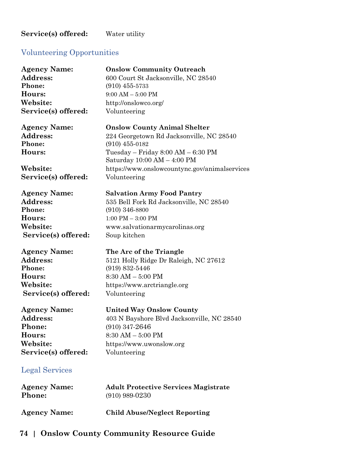#### Service(s) offered: Water utility

## Volunteering Opportunities

| <b>Agency Name:</b>   | <b>Onslow Community Outreach</b>                                                    |
|-----------------------|-------------------------------------------------------------------------------------|
| Address:              | 600 Court St Jacksonville, NC 28540                                                 |
| Phone:                | $(910)$ 455-5733                                                                    |
| Hours:                | $9:00$ AM $-5:00$ PM                                                                |
| Website:              | http://onslowco.org/                                                                |
| Service(s) offered:   | Volunteering                                                                        |
| <b>Agency Name:</b>   | <b>Onslow County Animal Shelter</b>                                                 |
| Address:              | 224 Georgetown Rd Jacksonville, NC 28540                                            |
| Phone:                | $(910)$ 455-0182                                                                    |
| Hours:                | Tuesday – Friday $8:00 \text{ AM} - 6:30 \text{ PM}$<br>Saturday 10:00 AM - 4:00 PM |
| Website:              | https://www.onslowcountync.gov/animalservices                                       |
| Service(s) offered:   | Volunteering                                                                        |
| <b>Agency Name:</b>   | <b>Salvation Army Food Pantry</b>                                                   |
| Address:              | 535 Bell Fork Rd Jacksonville, NC 28540                                             |
| Phone:                | $(910)$ 346-8800                                                                    |
| Hours:                | $1:00$ PM $-3:00$ PM                                                                |
| Website:              | www.salvationarmycarolinas.org                                                      |
| Service(s) offered:   | Soup kitchen                                                                        |
| <b>Agency Name:</b>   | The Arc of the Triangle                                                             |
| Address:              | 5121 Holly Ridge Dr Raleigh, NC 27612                                               |
| Phone:                | $(919) 832 - 5446$                                                                  |
| Hours:                | $8:30$ AM $-5:00$ PM                                                                |
| Website:              | https://www.arctriangle.org                                                         |
| Service(s) offered:   | Volunteering                                                                        |
| <b>Agency Name:</b>   | <b>United Way Onslow County</b>                                                     |
| Address:              | 403 N Bayshore Blvd Jacksonville, NC 28540                                          |
| Phone:                | $(910)$ 347-2646                                                                    |
| Hours:                | $8:30$ AM $-5:00$ PM                                                                |
| Website:              | https://www.uwonslow.org                                                            |
| Service(s) offered:   | Volunteering                                                                        |
| <b>Legal Services</b> |                                                                                     |
| <b>Agency Name:</b>   | <b>Adult Protective Services Magistrate</b>                                         |
| Phone:                | $(910)$ 989-0230                                                                    |
| <b>Agency Name:</b>   | <b>Child Abuse/Neglect Reporting</b>                                                |

# **74 | Onslow County Community Resource Guide**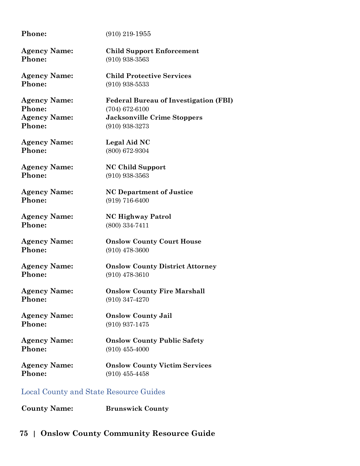| Phone:                                 | $(910)$ 219-1955                             |
|----------------------------------------|----------------------------------------------|
| <b>Agency Name:</b>                    | <b>Child Support Enforcement</b>             |
| Phone:                                 | $(910)$ 938-3563                             |
| <b>Agency Name:</b>                    | <b>Child Protective Services</b>             |
| Phone:                                 | $(910)$ 938-5533                             |
| <b>Agency Name:</b>                    | <b>Federal Bureau of Investigation (FBI)</b> |
| Phone:                                 | $(704)$ 672-6100                             |
| <b>Agency Name:</b>                    | <b>Jacksonville Crime Stoppers</b>           |
| Phone:                                 | $(910)$ 938-3273                             |
| <b>Agency Name:</b>                    | Legal Aid NC                                 |
| Phone:                                 | (800) 672-9304                               |
| <b>Agency Name:</b>                    | <b>NC Child Support</b>                      |
| Phone:                                 | $(910)$ 938-3563                             |
| <b>Agency Name:</b>                    | <b>NC Department of Justice</b>              |
| Phone:                                 | (919) 716-6400                               |
| <b>Agency Name:</b>                    | <b>NC Highway Patrol</b>                     |
| Phone:                                 | (800) 334-7411                               |
| <b>Agency Name:</b>                    | <b>Onslow County Court House</b>             |
| Phone:                                 | $(910)$ 478-3600                             |
| <b>Agency Name:</b>                    | <b>Onslow County District Attorney</b>       |
| Phone:                                 | $(910)$ 478-3610                             |
| <b>Agency Name:</b>                    | <b>Onslow County Fire Marshall</b>           |
| Phone:                                 | $(910)$ 347-4270                             |
| <b>Agency Name:</b>                    | <b>Onslow County Jail</b>                    |
| Phone:                                 | $(910)$ 937-1475                             |
| <b>Agency Name:</b>                    | <b>Onslow County Public Safety</b>           |
| Phone:                                 | $(910)$ 455-4000                             |
| <b>Agency Name:</b>                    | <b>Onslow County Victim Services</b>         |
| Phone:                                 | $(910)$ 455-4458                             |
| Local County and State Resource Guides |                                              |

**County Name: Brunswick County**

## **75 | Onslow County Community Resource Guide**